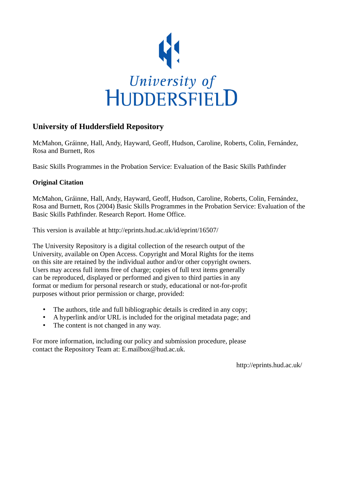

#### **University of Huddersfield Repository**

McMahon, Gráinne, Hall, Andy, Hayward, Geoff, Hudson, Caroline, Roberts, Colin, Fernández, Rosa and Burnett, Ros

Basic Skills Programmes in the Probation Service: Evaluation of the Basic Skills Pathfinder

#### **Original Citation**

McMahon, Gráinne, Hall, Andy, Hayward, Geoff, Hudson, Caroline, Roberts, Colin, Fernández, Rosa and Burnett, Ros (2004) Basic Skills Programmes in the Probation Service: Evaluation of the Basic Skills Pathfinder. Research Report. Home Office.

This version is available at http://eprints.hud.ac.uk/id/eprint/16507/

The University Repository is a digital collection of the research output of the University, available on Open Access. Copyright and Moral Rights for the items on this site are retained by the individual author and/or other copyright owners. Users may access full items free of charge; copies of full text items generally can be reproduced, displayed or performed and given to third parties in any format or medium for personal research or study, educational or not-for-profit purposes without prior permission or charge, provided:

- The authors, title and full bibliographic details is credited in any copy;
- A hyperlink and/or URL is included for the original metadata page; and
- The content is not changed in any way.

For more information, including our policy and submission procedure, please contact the Repository Team at: E.mailbox@hud.ac.uk.

http://eprints.hud.ac.uk/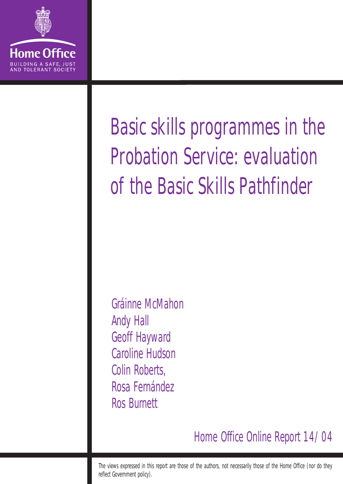

# Basic skills programmes in the Probation Service: evaluation of the Basic Skills Pathfinder

Gráinne McMahon Andy Hall Geoff Hayward Caroline Hudson Colin Roberts, Rosa Fernández Ros Burnett

Home Office Online Report 14/04

The views expressed in this report are those of the authors, not necessarily those of the Home Office (nor do they reflect Government policy).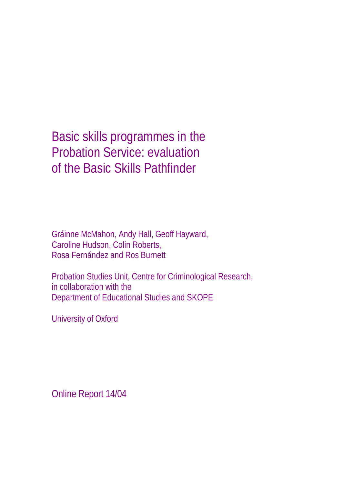Basic skills programmes in the Probation Service: evaluation of the Basic Skills Pathfinder

Gráinne McMahon, Andy Hall, Geoff Hayward, Caroline Hudson, Colin Roberts, Rosa Fernández and Ros Burnett

Probation Studies Unit, Centre for Criminological Research, in collaboration with the Department of Educational Studies and SKOPE

University of Oxford

Online Report 14/04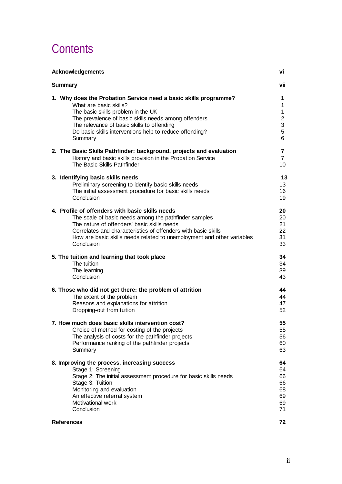# **Contents**

| <b>Acknowledgements</b>                                                | VÌ             |
|------------------------------------------------------------------------|----------------|
| <b>Summary</b>                                                         | vii            |
| 1. Why does the Probation Service need a basic skills programme?       | 1              |
| What are basic skills?                                                 | 1              |
| The basic skills problem in the UK                                     | 1              |
| The prevalence of basic skills needs among offenders                   | 2              |
| The relevance of basic skills to offending                             | 3              |
| Do basic skills interventions help to reduce offending?                | 5              |
| Summary                                                                | 6              |
| 2. The Basic Skills Pathfinder: background, projects and evaluation    | $\overline{7}$ |
| History and basic skills provision in the Probation Service            | $\overline{7}$ |
| The Basic Skills Pathfinder                                            | 10             |
| 3. Identifying basic skills needs                                      | 13             |
| Preliminary screening to identify basic skills needs                   | 13             |
| The initial assessment procedure for basic skills needs                | 16             |
| Conclusion                                                             | 19             |
| 4. Profile of offenders with basic skills needs                        | 20             |
| The scale of basic needs among the pathfinder samples                  | 20             |
| The nature of offenders' basic skills needs                            | 21             |
| Correlates and characteristics of offenders with basic skills          | 22             |
| How are basic skills needs related to unemployment and other variables | 31             |
| Conclusion                                                             | 33             |
| 5. The tuition and learning that took place                            | 34             |
| The tuition                                                            | 34             |
| The learning                                                           | 39             |
| Conclusion                                                             | 43             |
| 6. Those who did not get there: the problem of attrition               | 44             |
| The extent of the problem                                              | 44             |
| Reasons and explanations for attrition                                 | 47             |
| Dropping-out from tuition                                              | 52             |
| 7. How much does basic skills intervention cost?                       | 55             |
| Choice of method for costing of the projects                           | 55             |
| The analysis of costs for the pathfinder projects                      | 56             |
| Performance ranking of the pathfinder projects                         | 60             |
| Summary                                                                | 63             |
| 8. Improving the process, increasing success                           | 64             |
| Stage 1: Screening                                                     | 64             |
| Stage 2: The initial assessment procedure for basic skills needs       | 66             |
| Stage 3: Tuition                                                       | 66             |
| Monitoring and evaluation                                              | 68             |
| An effective referral system                                           | 69             |
| Motivational work                                                      | 69             |
| Conclusion                                                             | 71             |
| <b>References</b>                                                      | 72             |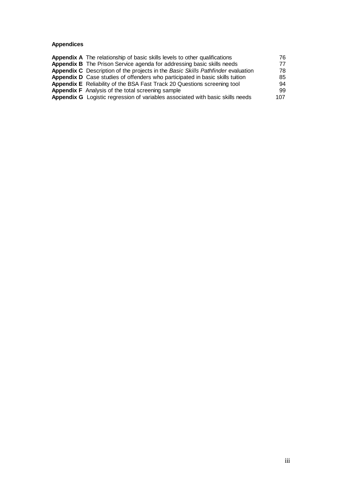#### **Appendices**

| <b>Appendix A</b> The relationship of basic skills levels to other qualifications | 76  |
|-----------------------------------------------------------------------------------|-----|
| Appendix B The Prison Service agenda for addressing basic skills needs            | 77  |
| Appendix C Description of the projects in the Basic Skills Pathfinder evaluation  | 78  |
| Appendix D Case studies of offenders who participated in basic skills tuition     | 85  |
| Appendix E Reliability of the BSA Fast Track 20 Questions screening tool          | 94  |
| <b>Appendix F</b> Analysis of the total screening sample                          | 99. |
| Appendix G Logistic regression of variables associated with basic skills needs    | 107 |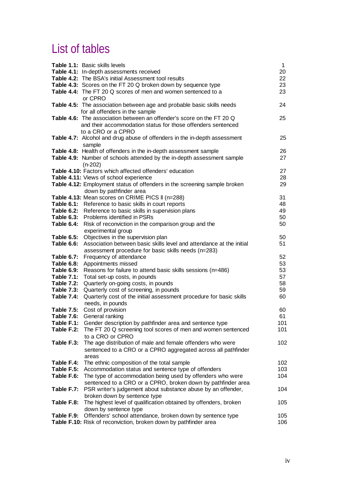# List of tables

|                                                                                  | Table 1.1: Basic skills levels<br>Table 4.1: In-depth assessments received<br>Table 4.2: The BSA's initial Assessment tool results<br>Table 4.3: Scores on the FT 20 Q broken down by sequence type<br>Table 4.4: The FT 20 Q scores of men and women sentenced to a                                                                                                     | 1<br>20<br>22<br>23<br>23              |
|----------------------------------------------------------------------------------|--------------------------------------------------------------------------------------------------------------------------------------------------------------------------------------------------------------------------------------------------------------------------------------------------------------------------------------------------------------------------|----------------------------------------|
|                                                                                  | or CPRO<br><b>Table 4.5:</b> The association between age and probable basic skills needs                                                                                                                                                                                                                                                                                 | 24                                     |
|                                                                                  | for all offenders in the sample<br>Table 4.6: The association between an offender's score on the FT 20 Q<br>and their accommodation status for those offenders sentenced                                                                                                                                                                                                 | 25                                     |
|                                                                                  | to a CRO or a CPRO<br>Table 4.7: Alcohol and drug abuse of offenders in the in-depth assessment<br>sample                                                                                                                                                                                                                                                                | 25                                     |
|                                                                                  | Table 4.8: Health of offenders in the in-depth assessment sample<br>Table 4.9: Number of schools attended by the in-depth assessment sample<br>$(n-202)$                                                                                                                                                                                                                 | 26<br>27                               |
|                                                                                  | <b>Table 4.10:</b> Factors which affected offenders' education<br>Table 4.11: Views of school experience<br>Table 4.12: Employment status of offenders in the screening sample broken                                                                                                                                                                                    | 27<br>28<br>29                         |
|                                                                                  | down by pathfinder area<br>Table 4.13: Mean scores on CRIME PICS II (n=288)<br>Table 6.1: Reference to basic skills in court reports<br>Table 6.2: Reference to basic skills in supervision plans<br>Table 6.3: Problems identified in PSRs<br>Table 6.4: Risk of reconviction in the comparison group and the                                                           | 31<br>48<br>49<br>50<br>50             |
|                                                                                  | experimental group<br>Table 6.5: Objectives in the supervision plan<br>Table 6.6: Association between basic skills level and attendance at the initial                                                                                                                                                                                                                   | 50<br>51                               |
| Table 6.8:<br>Table 6.9:<br>Table 7.1:<br>Table 7.2:<br>Table 7.3:<br>Table 7.4: | assessment procedure for basic skills needs (n=283)<br>Table 6.7: Frequency of attendance<br>Appointments missed<br>Reasons for failure to attend basic skills sessions (n=486)<br>Total set-up costs, in pounds<br>Quarterly on-going costs, in pounds<br>Quarterly cost of screening, in pounds<br>Quarterly cost of the initial assessment procedure for basic skills | 52<br>53<br>53<br>57<br>58<br>59<br>60 |
| Table 7.5:<br>Table 7.6:<br>Table F.2:                                           | needs, in pounds<br>Cost of provision<br>General ranking<br>Table F.1: Gender description by pathfinder area and sentence type<br>The FT 20 Q screening tool scores of men and women sentenced<br>to a CRO or CPRO                                                                                                                                                       | 60<br>61<br>101<br>101                 |
| Table F.3:                                                                       | The age distribution of male and female offenders who were<br>sentenced to a CRO or a CPRO aggregated across all pathfinder                                                                                                                                                                                                                                              | 102                                    |
| Table F.4:<br>Table F.5:<br>Table F.6:<br>Table F.7:                             | areas<br>The ethnic composition of the total sample<br>Accommodation status and sentence type of offenders<br>The type of accommodation being used by offenders who were<br>sentenced to a CRO or a CPRO, broken down by pathfinder area<br>PSR writer's judgement about substance abuse by an offender,                                                                 | 102 <sub>2</sub><br>103<br>104<br>104  |
| Table F.8:                                                                       | broken down by sentence type<br>The highest level of qualification obtained by offenders, broken                                                                                                                                                                                                                                                                         | 105                                    |
|                                                                                  | down by sentence type<br>Table F.9: Offenders' school attendance, broken down by sentence type<br>Table F.10: Risk of reconviction, broken down by pathfinder area                                                                                                                                                                                                       | 105<br>106                             |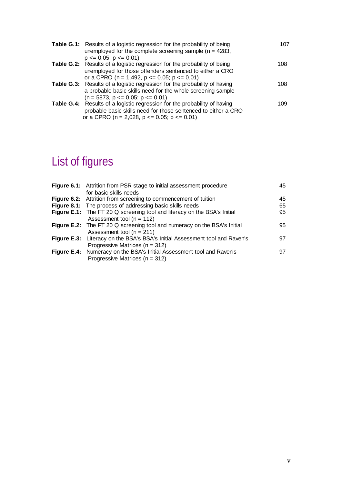| <b>Table G.1:</b> Results of a logistic regression for the probability of being<br>unemployed for the complete screening sample ( $n = 4283$ ,<br>$p \le 0.05$ ; $p \le 0.01$ )                               | 107 |
|---------------------------------------------------------------------------------------------------------------------------------------------------------------------------------------------------------------|-----|
| <b>Table G.2:</b> Results of a logistic regression for the probability of being<br>unemployed for those offenders sentenced to either a CRO<br>or a CPRO ( $n = 1,492$ , $p \le 0.05$ ; $p \le 0.01$ )        | 108 |
| <b>Table G.3:</b> Results of a logistic regression for the probability of having<br>a probable basic skills need for the whole screening sample<br>$(n = 5873, p \le 0.05; p \le 0.01)$                       | 108 |
| <b>Table G.4:</b> Results of a logistic regression for the probability of having<br>probable basic skills need for those sentenced to either a CRO<br>or a CPRO ( $n = 2,028$ , $p \le 0.05$ ; $p \le 0.01$ ) | 109 |

# List of figures

| <b>Figure 6.1:</b> Attrition from PSR stage to initial assessment procedure | 45 |
|-----------------------------------------------------------------------------|----|
| for basic skills needs                                                      |    |
| Figure 6.2: Attrition from screening to commencement of tuition             | 45 |
| <b>Figure 8.1:</b> The process of addressing basic skills needs             | 65 |
| Figure E.1: The FT 20 Q screening tool and literacy on the BSA's Initial    | 95 |
| Assessment tool ( $n = 112$ )                                               |    |
| Figure E.2: The FT 20 Q screening tool and numeracy on the BSA's Initial    | 95 |
| Assessment tool ( $n = 211$ )                                               |    |
| Figure E.3: Literacy on the BSA's BSA's Initial Assessment tool and Raven's | 97 |
| Progressive Matrices ( $n = 312$ )                                          |    |
| Figure E.4: Numeracy on the BSA's Initial Assessment tool and Raven's       | 97 |
| Progressive Matrices ( $n = 312$ )                                          |    |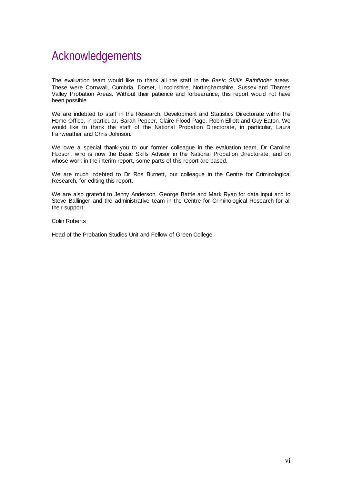### Acknowledgements

The evaluation team would like to thank all the staff in the *Basic Skills Pathfinder* areas. These were Cornwall, Cumbria, Dorset, Lincolnshire, Nottinghamshire, Sussex and Thames Valley Probation Areas. Without their patience and forbearance, this report would not have been possible.

We are indebted to staff in the Research, Development and Statistics Directorate within the Home Office, in particular, Sarah Pepper, Claire Flood-Page, Robin Elliott and Guy Eaton. We would like to thank the staff of the National Probation Directorate, in particular, Laura Fairweather and Chris Johnson.

We owe a special thank-you to our former colleague in the evaluation team, Dr Caroline Hudson, who is now the Basic Skills Advisor in the National Probation Directorate, and on whose work in the interim report, some parts of this report are based.

We are much indebted to Dr Ros Burnett, our colleague in the Centre for Criminological Research, for editing this report.

We are also grateful to Jenny Anderson, George Battle and Mark Ryan for data input and to Steve Ballinger and the administrative team in the Centre for Criminological Research for all their support.

Colin Roberts

Head of the Probation Studies Unit and Fellow of Green College.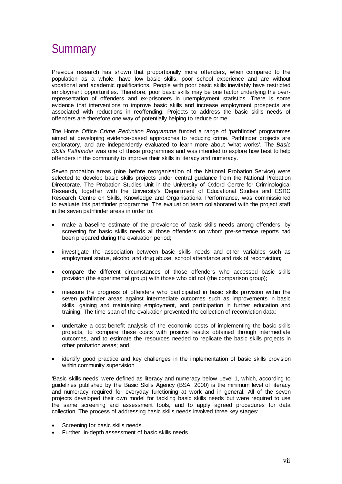### **Summary**

Previous research has shown that proportionally more offenders, when compared to the population as a whole, have low basic skills, poor school experience and are without vocational and academic qualifications. People with poor basic skills inevitably have restricted employment opportunities. Therefore, poor basic skills may be one factor underlying the overrepresentation of offenders and ex-prisoners in unemployment statistics. There is some evidence that interventions to improve basic skills and increase employment prospects are associated with reductions in reoffending. Projects to address the basic skills needs of offenders are therefore one way of potentially helping to reduce crime.

The Home Office *Crime Reduction Programme* funded a range of 'pathfinder' programmes aimed at developing evidence-based approaches to reducing crime. Pathfinder projects are exploratory, and are independently evaluated to learn more about 'what works'. The *Basic Skills Pathfinder* was one of these programmes and was intended to explore how best to help offenders in the community to improve their skills in literacy and numeracy.

Seven probation areas (nine before reorganisation of the National Probation Service) were selected to develop basic skills projects under central guidance from the National Probation Directorate. The Probation Studies Unit in the University of Oxford Centre for Criminological Research, together with the University's Department of Educational Studies and ESRC Research Centre on Skills, Knowledge and Organisational Performance, was commissioned to evaluate this pathfinder programme. The evaluation team collaborated with the project staff in the seven pathfinder areas in order to:

- make a baseline estimate of the prevalence of basic skills needs among offenders, by screening for basic skills needs all those offenders on whom pre-sentence reports had been prepared during the evaluation period;
- investigate the association between basic skills needs and other variables such as employment status, alcohol and drug abuse, school attendance and risk of reconviction;
- compare the different circumstances of those offenders who accessed basic skills provision (the experimental group) with those who did not (the comparison group);
- measure the progress of offenders who participated in basic skills provision within the seven pathfinder areas against intermediate outcomes such as improvements in basic skills, gaining and maintaining employment, and participation in further education and training. The time-span of the evaluation prevented the collection of reconviction data;
- undertake a cost-benefit analysis of the economic costs of implementing the basic skills projects, to compare these costs with positive results obtained through intermediate outcomes, and to estimate the resources needed to replicate the basic skills projects in other probation areas; and
- identify good practice and key challenges in the implementation of basic skills provision within community supervision.

'Basic skills needs' were defined as literacy and numeracy below Level 1, which, according to guidelines published by the Basic Skills Agency (BSA, 2000) is the minimum level of literacy and numeracy required for everyday functioning at work and in general. All of the seven projects developed their own model for tackling basic skills needs but were required to use the same screening and assessment tools, and to apply agreed procedures for data collection. The process of addressing basic skills needs involved three key stages:

- Screening for basic skills needs.
- Further, in-depth assessment of basic skills needs.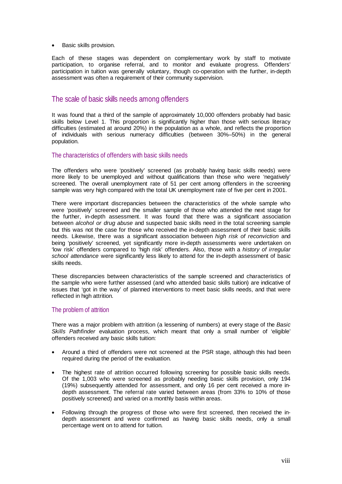• Basic skills provision.

Each of these stages was dependent on complementary work by staff to motivate participation, to organise referral, and to monitor and evaluate progress. Offenders' participation in tuition was generally voluntary, though co-operation with the further, in-depth assessment was often a requirement of their community supervision.

#### The scale of basic skills needs among offenders

It was found that a third of the sample of approximately 10,000 offenders probably had basic skills below Level 1. This proportion is significantly higher than those with serious literacy difficulties (estimated at around 20%) in the population as a whole, and reflects the proportion of individuals with serious numeracy difficulties (between 30%–50%) in the general population.

#### The characteristics of offenders with basic skills needs

The offenders who were 'positively' screened (as probably having basic skills needs) were more likely to be unemployed and without qualifications than those who were 'negatively' screened. The overall unemployment rate of 51 per cent among offenders in the screening sample was very high compared with the total UK unemployment rate of five per cent in 2001.

There were important discrepancies between the characteristics of the whole sample who were 'positively' screened and the smaller sample of those who attended the next stage for the further, in-depth assessment. It was found that there was a significant association between *alcohol or drug abuse* and suspected basic skills need in the total screening sample but this was not the case for those who received the in-depth assessment of their basic skills needs. Likewise, there was a significant association between *high risk of reconviction* and being 'positively' screened, yet significantly more in-depth assessments were undertaken on 'low risk' offenders compared to 'high risk' offenders. Also, those with a *history of irregular school attendance* were significantly less likely to attend for the in-depth assessment of basic skills needs.

These discrepancies between characteristics of the sample screened and characteristics of the sample who were further assessed (and who attended basic skills tuition) are indicative of issues that 'got in the way' of planned interventions to meet basic skills needs, and that were reflected in high attrition.

#### The problem of attrition

There was a major problem with attrition (a lessening of numbers) at every stage of the *Basic Skills Pathfinder* evaluation process, which meant that only a small number of 'eligible' offenders received any basic skills tuition:

- Around a third of offenders were not screened at the PSR stage, although this had been required during the period of the evaluation.
- The highest rate of attrition occurred following screening for possible basic skills needs. Of the 1,003 who were screened as probably needing basic skills provision, only 194 (19%) subsequently attended for assessment, and only 16 per cent received a more indepth assessment. The referral rate varied between areas (from 33% to 10% of those positively screened) and varied on a monthly basis within areas.
- Following through the progress of those who were first screened, then received the indepth assessment and were confirmed as having basic skills needs, only a small percentage went on to attend for tuition.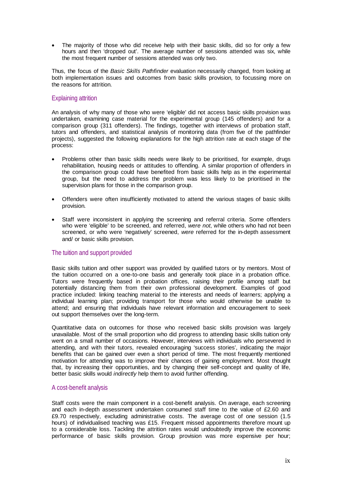The majority of those who did receive help with their basic skills, did so for only a few hours and then 'dropped out'. The average number of sessions attended was six, while the most frequent number of sessions attended was only two.

Thus, the focus of the *Basic Skills Pathfinder* evaluation necessarily changed, from looking at both implementation issues and outcomes from basic skills provision, to focussing more on the reasons for attrition.

#### Explaining attrition

An analysis of why many of those who were 'eligible' did not access basic skills provision was undertaken, examining case material for the experimental group (145 offenders) and for a comparison group (311 offenders). The findings, together with interviews of probation staff, tutors and offenders, and statistical analysis of monitoring data (from five of the pathfinder projects), suggested the following explanations for the high attrition rate at each stage of the process:

- Problems other than basic skills needs were likely to be prioritised, for example, drugs rehabilitation, housing needs or attitudes to offending. A similar proportion of offenders in the comparison group could have benefited from basic skills help as in the experimental group, but the need to address the problem was less likely to be prioritised in the supervision plans for those in the comparison group.
- Offenders were often insufficiently motivated to attend the various stages of basic skills provision.
- Staff were inconsistent in applying the screening and referral criteria. Some offenders who were 'eligible' to be screened, and referred, *were not*, while others who had not been screened, or who were 'negatively' screened, *were* referred for the in-depth assessment and/ or basic skills provision.

#### The tuition and support provided

Basic skills tuition and other support was provided by qualified tutors or by mentors. Most of the tuition occurred on a one-to-one basis and generally took place in a probation office. Tutors were frequently based in probation offices, raising their profile among staff but potentially distancing them from their own professional development. Examples of good practice included: linking teaching material to the interests and needs of learners; applying a individual learning plan; providing transport for those who would otherwise be unable to attend; and ensuring that individuals have relevant information and encouragement to seek out support themselves over the long-term.

Quantitative data on outcomes for those who received basic skills provision was largely unavailable. Most of the small proportion who did progress to attending basic skills tuition only went on a small number of occasions. However, interviews with individuals who persevered in attending, and with their tutors, revealed encouraging 'success stories', indicating the major benefits that can be gained over even a short period of time. The most frequently mentioned motivation for attending was to improve their chances of gaining employment. Most thought that, by increasing their opportunities, and by changing their self-concept and quality of life, better basic skills would *indirectly* help them to avoid further offending.

#### A cost-benefit analysis

Staff costs were the main component in a cost-benefit analysis. On average, each screening and each in-depth assessment undertaken consumed staff time to the value of £2.60 and £9.70 respectively, excluding administrative costs. The average cost of one session (1.5 hours) of individualised teaching was £15. Frequent missed appointments therefore mount up to a considerable loss. Tackling the attrition rates would undoubtedly improve the economic performance of basic skills provision. Group provision was more expensive per hour;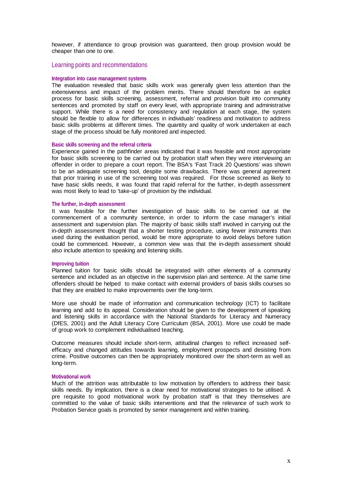however, if attendance to group provision was guaranteed, then group provision would be cheaper than one to one.

#### Learning points and recommendations

#### **Integration into case management systems**

The evaluation revealed that basic skills work was generally given less attention than the extensiveness and impact of the problem merits. There should therefore be an explicit process for basic skills screening, assessment, referral and provision built into community sentences and promoted by staff on every level, with appropriate training and administrative support. While there is a need for consistency and regulation at each stage, the system should be flexible to allow for differences in individuals' readiness and motivation to address basic skills problems at different times. The quantity and quality of work undertaken at each stage of the process should be fully monitored and inspected.

#### **Basic skills screening and the referral criteria**

Experience gained in the pathfinder areas indicated that it was feasible and most appropriate for basic skills screening to be carried out by probation staff when they were interviewing an offender in order to prepare a court report. The BSA's 'Fast Track 20 Questions' was shown to be an adequate screening tool, despite some drawbacks. There was general agreement that prior training in use of the screening tool was required. For those screened as likely to have basic skills needs, it was found that rapid referral for the further, in-depth assessment was most likely to lead to 'take-up' of provision by the individual.

#### **The further, in-depth assessment**

It was feasible for the further investigation of basic skills to be carried out at the commencement of a community sentence, in order to inform the case manager's initial assessment and supervision plan. The majority of basic skills staff involved in carrying out the in-depth assessment thought that a shorter testing procedure, using fewer instruments than used during the evaluation period, would be more appropriate to avoid delays before tuition could be commenced. However, a common view was that the in-depth assessment should also include attention to speaking and listening skills.

#### **Improving tuition**

Planned tuition for basic skills should be integrated with other elements of a community sentence and included as an objective in the supervision plan and sentence. At the same time offenders should be helped to make contact with external providers of basis skills courses so that they are enabled to make improvements over the long-term.

More use should be made of information and communication technology (ICT) to facilitate learning and add to its appeal. Consideration should be given to the development of speaking and listening skills in accordance with the National Standards for Literacy and Numeracy (DfES, 2001) and the Adult Literacy Core Curriculum (BSA, 2001). More use could be made of group work to complement individualised teaching.

Outcome measures should include short-term, attitudinal changes to reflect increased selfefficacy and changed attitudes towards learning, employment prospects and desisting from crime. Positive outcomes can then be appropriately monitored over the short-term as well as long-term.

#### **Motivational work**

Much of the attrition was attributable to low motivation by offenders to address their basic skills needs. By implication, there is a clear need for motivational strategies to be utilised. A pre requisite to good motivational work by probation staff is that they themselves are committed to the value of basic skills interventions and that the relevance of such work to Probation Service goals is promoted by senior management and within training.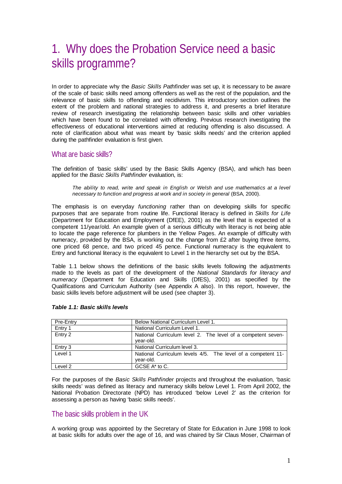# 1. Why does the Probation Service need a basic skills programme?

In order to appreciate why the *Basic Skills Pathfinder* was set up, it is necessary to be aware of the scale of basic skills need among offenders as well as the rest of the population, and the relevance of basic skills to offending and recidivism. This introductory section outlines the extent of the problem and national strategies to address it, and presents a brief literature review of research investigating the relationship between basic skills and other variables which have been found to be correlated with offending. Previous research investigating the effectiveness of educational interventions aimed at reducing offending is also discussed. A note of clarification about what was meant by 'basic skills needs' and the criterion applied during the pathfinder evaluation is first given.

#### What are basic skills?

The definition of 'basic skills' used by the Basic Skills Agency (BSA), and which has been applied for the *Basic Skills Pathfinder* evaluation, is:

*The ability to read, write and speak in English or Welsh and use mathematics at a level necessary to function and progress at work and in society in general* (BSA, 2000).

The emphasis is on everyday *functioning* rather than on developing skills for specific purposes that are separate from routine life. Functional literacy is defined in *Skills for Life*  (Department for Education and Employment (DfEE), 2001) as the level that is expected of a competent 11/year/old. An example given of a serious difficulty with literacy is not being able to locate the page reference for plumbers in the Yellow Pages. An example of difficulty with numeracy, provided by the BSA, is working out the change from £2 after buying three items, one priced 68 pence, and two priced 45 pence. Functional numeracy is the equivalent to Entry and functional literacy is the equivalent to Level 1 in the hierarchy set out by the BSA.

Table 1.1 below shows the definitions of the basic skills levels following the adjustments made to the levels as part of the development of the *National Standards for literacy and numeracy* (Department for Education and Skills (DfES), 2001) as specified by the Qualifications and Curriculum Authority (see Appendix A also). In this report, however, the basic skills levels before adjustment will be used (see chapter 3).

| Pre-Entry | Below National Curriculum Level 1.                                        |
|-----------|---------------------------------------------------------------------------|
| Entry 1   | National Curriculum Level 1.                                              |
| Entry 2   | National Curriculum level 2. The level of a competent seven-<br>year-old. |
| Entry 3   | National Curriculum level 3.                                              |
| Level 1   | National Curriculum levels 4/5. The level of a competent 11-<br>year-old. |
| Level 2   | GCSE A* to C.                                                             |

#### *Table 1.1: Basic skills levels*

For the purposes of the *Basic Skills Pathfinder* projects and throughout the evaluation, 'basic skills needs' was defined as literacy and numeracy skills below Level 1. From April 2002, the National Probation Directorate (NPD) has introduced 'below Level 2' as the criterion for assessing a person as having 'basic skills needs'.

#### The basic skills problem in the UK

A working group was appointed by the Secretary of State for Education in June 1998 to look at basic skills for adults over the age of 16, and was chaired by Sir Claus Moser, Chairman of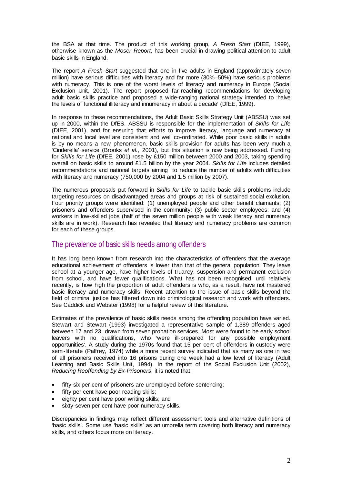the BSA at that time. The product of this working group, *A Fresh Start* (DfEE, 1999), otherwise known as the *Moser Report*, has been crucial in drawing political attention to adult basic skills in England.

The report *A Fresh Start* suggested that one in five adults in England (approximately seven million) have serious difficulties with literacy and far more (30%–50%) have serious problems with numeracy. This is one of the worst levels of literacy and numeracy in Europe (Social Exclusion Unit, 2001). The report proposed far-reaching recommendations for developing adult basic skills practice and proposed a wide-ranging national strategy intended to 'halve the levels of functional illiteracy and innumeracy in about a decade' (DfEE, 1999).

In response to these recommendations, the Adult Basic Skills Strategy Unit (ABSSU) was set up in 2000, within the DfES. ABSSU is responsible for the implementation of *Skills for Life* (DfEE, 2001), and for ensuring that efforts to improve literacy, language and numeracy at national and local level are consistent and well co-ordinated. While poor basic skills in adults is by no means a new phenomenon, basic skills provision for adults has been very much a 'Cinderella' service (Brooks *et al.*, 2001), but this situation is now being addressed. Funding for *Skills for Life* (DfEE, 2001) rose by £150 million between 2000 and 2003, taking spending overall on basic skills to around £1.5 billion by the year 2004. *Skills for Life* includes detailed recommendations and national targets aiming to reduce the number of adults with difficulties with literacy and numeracy (750,000 by 2004 and 1.5 million by 2007).

The numerous proposals put forward in *Skills for Life* to tackle basic skills problems include targeting resources on disadvantaged areas and groups at risk of sustained social exclusion. Four priority groups were identified: (1) unemployed people and other benefit claimants; (2) prisoners and offenders supervised in the community; (3) public sector employees; and (4) workers in low-skilled jobs (half of the seven million people with weak literacy and numeracy skills are in work). Research has revealed that literacy and numeracy problems are common for each of these groups.

#### The prevalence of basic skills needs among offenders

It has long been known from research into the characteristics of offenders that the average educational achievement of offenders is lower than that of the general population. They leave school at a younger age, have higher levels of truancy, suspension and permanent exclusion from school, and have fewer qualifications. What has not been recognised, until relatively recently, is how high the proportion of adult offenders is who, as a result, have not mastered basic literacy and numeracy skills. Recent attention to the issue of basic skills beyond the field of criminal justice has filtered down into criminological research and work with offenders. See Caddick and Webster (1998) for a helpful review of this literature.

Estimates of the prevalence of basic skills needs among the offending population have varied. Stewart and Stewart (1993) investigated a representative sample of 1,389 offenders aged between 17 and 23, drawn from seven probation services. Most were found to be early school leavers with no qualifications, who 'were ill-prepared for any possible employment opportunities'. A study during the 1970s found that 15 per cent of offenders in custody were semi-literate (Palfrey, 1974) while a more recent survey indicated that as many as one in two of all prisoners received into 16 prisons during one week had a low level of literacy (Adult Learning and Basic Skills Unit, 1994). In the report of the Social Exclusion Unit (2002), *Reducing Reoffending by Ex-Prisoners*, it is noted that:

- fifty-six per cent of prisoners are unemployed before sentencing;
- fifty per cent have poor reading skills;
- eighty per cent have poor writing skills; and
- sixty-seven per cent have poor numeracy skills.

Discrepancies in findings may reflect different assessment tools and alternative definitions of 'basic skills'. Some use 'basic skills' as an umbrella term covering both literacy and numeracy skills, and others focus more on literacy.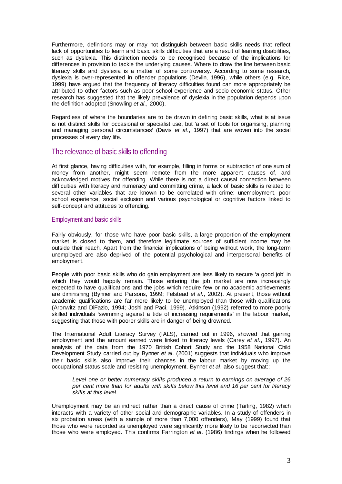Furthermore, definitions may or may not distinguish between basic skills needs that reflect lack of opportunities to learn and basic skills difficulties that are a result of learning disabilities, such as dyslexia. This distinction needs to be recognised because of the implications for differences in provision to tackle the underlying causes. Where to draw the line between basic literacy skills and dyslexia is a matter of some controversy. According to some research, dyslexia is over-represented in offender populations (Devlin, 1996), while others (e.g. Rice, 1999) have argued that the frequency of literacy difficulties found can more appropriately be attributed to other factors such as poor school experience and socio-economic status. Other research has suggested that the likely prevalence of dyslexia in the population depends upon the definition adopted (Snowling *et al.,* 2000).

Regardless of where the boundaries are to be drawn in defining basic skills, what is at issue is not distinct skills for occasional or specialist use, but 'a set of tools for organising, planning and managing personal circumstances' (Davis *et al*., 1997) that are woven into the social processes of every day life.

#### The relevance of basic skills to offending

At first glance, having difficulties with, for example, filling in forms or subtraction of one sum of money from another, might seem remote from the more apparent causes of, and acknowledged motives for offending. While there is not a direct causal connection between difficulties with literacy and numeracy and committing crime, a lack of basic skills is related to several other variables that are known to be correlated with crime: unemployment, poor school experience, social exclusion and various psychological or cognitive factors linked to self-concept and attitudes to offending.

#### Employment and basic skills

Fairly obviously, for those who have poor basic skills, a large proportion of the employment market is closed to them, and therefore legitimate sources of sufficient income may be outside their reach. Apart from the financial implications of being without work, the long-term unemployed are also deprived of the potential psychological and interpersonal benefits of employment.

People with poor basic skills who do gain employment are less likely to secure 'a good job' in which they would happily remain. Those entering the job market are now increasingly expected to have qualifications and the jobs which require few or no academic achievements are diminishing (Bynner and Parsons, 1999; Felstead *et al.*, 2002). At present, those without academic qualifications are far more likely to be unemployed than those with qualifications (Aronwitz and DiFazio, 1994; Joshi and Paci, 1999). Atkinson (1992) referred to more poorly skilled individuals 'swimming against a tide of increasing requirements' in the labour market, suggesting that those with poorer skills are in danger of being drowned.

The International Adult Literacy Survey (IALS), carried out in 1996, showed that gaining employment and the amount earned were linked to literacy levels (Carey *et al.*, 1997). An analysis of the data from the 1970 British Cohort Study and the 1958 National Child Development Study carried out by Bynner *et al*. (2001) suggests that individuals who improve their basic skills also improve their chances in the labour market by moving up the occupational status scale and resisting unemployment. Bynner *et al*. also suggest that::

*Level one or better numeracy skills produced a return to earnings on average of 26 per cent more than for adults with skills below this level and 16 per cent for literacy skills at this level.* 

Unemployment may be an indirect rather than a direct cause of crime (Tarling, 1982) which interacts with a variety of other social and demographic variables. In a study of offenders in six probation areas (with a sample of more than 7,000 offenders), May (1999) found that those who were recorded as unemployed were significantly more likely to be reconvicted than those who were employed. This confirms Farrington *et al*. (1986) findings when he followed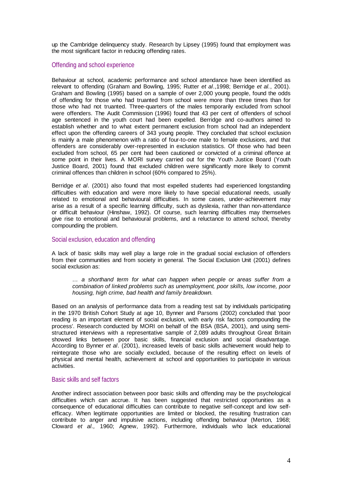up the Cambridge delinquency study. Research by Lipsey (1995) found that employment was the most significant factor in reducing offending rates.

#### Offending and school experience

Behaviour at school, academic performance and school attendance have been identified as relevant to offending (Graham and Bowling, 1995; Rutter *et al*.,1998; Berridge *et al.*, 2001). Graham and Bowling (1995) based on a sample of over 2,000 young people, found the odds of offending for those who had truanted from school were more than three times than for those who had not truanted. Three-quarters of the males temporarily excluded from school were offenders. The Audit Commission (1996) found that 43 per cent of offenders of school age sentenced in the youth court had been expelled. Berridge and co-authors aimed to establish whether and to what extent permanent exclusion from school had an independent effect upon the offending careers of 343 young people. They concluded that school exclusion is mainly a male phenomenon with a ratio of four-to-one male to female exclusions, and that offenders are considerably over-represented in exclusion statistics. Of those who had been excluded from school, 65 per cent had been cautioned or convicted of a criminal offence at some point in their lives. A MORI survey carried out for the Youth Justice Board (Youth Justice Board, 2001) found that excluded children were significantly more likely to commit criminal offences than children in school (60% compared to 25%).

Berridge *et al*. (2001) also found that most expelled students had experienced longstanding difficulties with education and were more likely to have special educational needs, usually related to emotional and behavioural difficulties. In some cases, under-achievement may arise as a result of a specific learning difficulty, such as dyslexia, rather than non-attendance or difficult behaviour (Hinshaw, 1992). Of course, such learning difficulties may themselves give rise to emotional and behavioural problems, and a reluctance to attend school, thereby compounding the problem.

#### Social exclusion, education and offending

A lack of basic skills may well play a large role in the gradual social exclusion of offenders from their communities and from society in general. The Social Exclusion Unit (2001) defines social exclusion as:

*… a shorthand term for what can happen when people or areas suffer from a combination of linked problems such as unemployment, poor skills, low income, poor housing, high crime, bad health and family breakdown.* 

Based on an analysis of performance data from a reading test sat by individuals participating in the 1970 British Cohort Study at age 10, Bynner and Parsons (2002) concluded that 'poor reading is an important element of social exclusion, with early risk factors compounding the process'. Research conducted by MORI on behalf of the BSA (BSA, 2001), and using semistructured interviews with a representative sample of 2,089 adults throughout Great Britain showed links between poor basic skills, financial exclusion and social disadvantage. According to Bynner *et al*. (2001), increased levels of basic skills achievement would help to reintegrate those who are socially excluded, because of the resulting effect on levels of physical and mental health, achievement at school and opportunities to participate in various activities.

#### Basic skills and self factors

Another indirect association between poor basic skills and offending may be the psychological difficulties which can accrue. It has been suggested that restricted opportunities as a consequence of educational difficulties can contribute to negative self-concept and low selfefficacy. When legitimate opportunities are limited or blocked, the resulting frustration can contribute to anger and impulsive actions, including offending behaviour (Merton, 1968; Cloward *et al.,* 1960; Agnew, 1992). Furthermore, individuals who lack educational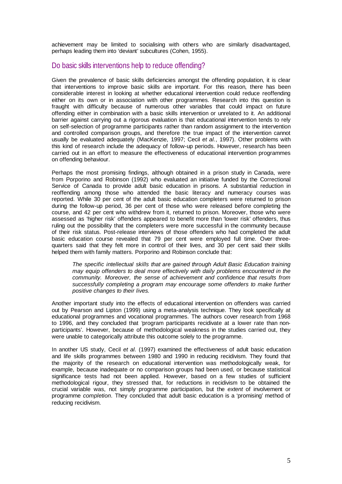achievement may be limited to socialising with others who are similarly disadvantaged, perhaps leading them into 'deviant' subcultures (Cohen, 1955).

#### Do basic skills interventions help to reduce offending?

Given the prevalence of basic skills deficiencies amongst the offending population, it is clear that interventions to improve basic skills are important. For this reason, there has been considerable interest in looking at whether educational intervention could reduce reoffending either on its own or in association with other programmes. Research into this question is fraught with difficulty because of numerous other variables that could impact on future offending either in combination with a basic skills intervention or unrelated to it. An additional barrier against carrying out a rigorous evaluation is that educational intervention tends to rely on self-selection of programme participants rather than random assignment to the intervention and controlled comparison groups, and therefore the true impact of the intervention cannot usually be evaluated adequately (MacKenzie, 1997; Cecil *et al.*, 1997). Other problems with this kind of research include the adequacy of follow-up periods. However, research has been carried out in an effort to measure the effectiveness of educational intervention programmes on offending behaviour.

Perhaps the most promising findings, although obtained in a prison study in Canada, were from Porporino and Robinson (1992) who evaluated an initiative funded by the Correctional Service of Canada to provide adult basic education in prisons. A substantial reduction in reoffending among those who attended the basic literacy and numeracy courses was reported. While 30 per cent of the adult basic education completers were returned to prison during the follow-up period, 36 per cent of those who were released before completing the course, and 42 per cent who withdrew from it, returned to prison. Moreover, those who were assessed as 'higher risk' offenders appeared to benefit more than 'lower risk' offenders, thus ruling out the possibility that the completers were more successful in the community because of their risk status. Post-release interviews of those offenders who had completed the adult basic education course revealed that 79 per cent were employed full time. Over threequarters said that they felt more in control of their lives, and 30 per cent said their skills helped them with family matters. Porporino and Robinson conclude that:

*The specific intellectual skills that are gained through Adult Basic Education training may equip offenders to deal more effectively with daily problems encountered in the community. Moreover, the sense of achievement and confidence that results from successfully completing a program may encourage some offenders to make further positive changes to their lives.* 

Another important study into the effects of educational intervention on offenders was carried out by Pearson and Lipton (1999) using a meta-analysis technique. They look specifically at educational programmes and vocational programmes. The authors cover research from 1968 to 1996, and they concluded that *'*program participants recidivate at a lower rate than nonparticipants'. However, because of methodological weakness in the studies carried out, they were unable to categorically attribute this outcome solely to the programme.

In another US study, Cecil *et al.* (1997) examined the effectiveness of adult basic education and life skills programmes between 1980 and 1990 in reducing recidivism. They found that the majority of the research on educational intervention was methodologically weak, for example, because inadequate or no comparison groups had been used, or because statistical significance tests had not been applied. However, based on a few studies of sufficient methodological rigour, they stressed that, for reductions in recidivism to be obtained the crucial variable was, not simply programme participation, but the *extent* of involvement or programme *completion*. They concluded that adult basic education is a 'promising' method of reducing recidivism.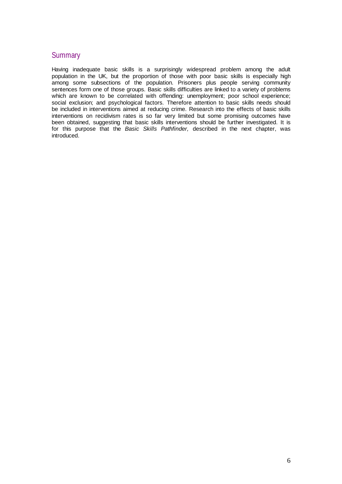#### **Summary**

Having inadequate basic skills is a surprisingly widespread problem among the adult population in the UK, but the proportion of those with poor basic skills is especially high among some subsections of the population. Prisoners plus people serving community sentences form one of those groups. Basic skills difficulties are linked to a variety of problems which are known to be correlated with offending: unemployment; poor school experience; social exclusion; and psychological factors. Therefore attention to basic skills needs should be included in interventions aimed at reducing crime. Research into the effects of basic skills interventions on recidivism rates is so far very limited but some promising outcomes have been obtained, suggesting that basic skills interventions should be further investigated. It is for this purpose that the *Basic Skills Pathfinder,* described in the next chapter, was introduced.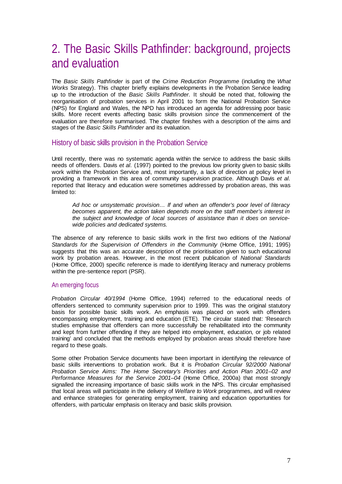# 2. The Basic Skills Pathfinder: background, projects and evaluation

The *Basic Skills Pathfinder* is part of the *Crime Reduction Programme* (including the *What Works* Strategy). This chapter briefly explains developments in the Probation Service leading up to the introduction of the *Basic Skills Pathfinder.* It should be noted that, following the reorganisation of probation services in April 2001 to form the National Probation Service (NPS) for England and Wales, the NPD has introduced an agenda for addressing poor basic skills. More recent events affecting basic skills provision *since* the commencement of the evaluation are therefore summarised. The chapter finishes with a description of the aims and stages of the *Basic Skills Pathfinder* and its evaluation.

#### History of basic skills provision in the Probation Service

Until recently, there was no systematic agenda within the service to address the basic skills needs of offenders. Davis *et al.* (1997) pointed to the previous low priority given to basic skills work within the Probation Service and, most importantly, a lack of direction at policy level in providing a framework in this area of community supervision practice. Although Davis *et al.*  reported that literacy and education were sometimes addressed by probation areas, this was limited to:

*Ad hoc or unsystematic provision… If and when an offender's poor level of literacy becomes apparent, the action taken depends more on the staff member's interest in the subject and knowledge of local sources of assistance than it does on servicewide policies and dedicated systems.* 

The absence of any reference to basic skills work in the first two editions of the *National Standards for the Supervision of Offenders in the Community* (Home Office, 1991; 1995) suggests that this was an accurate description of the prioritisation given to such educational work by probation areas. However, in the most recent publication of *National Standards* (Home Office, 2000) specific reference is made to identifying literacy and numeracy problems within the pre-sentence report (PSR).

#### An emerging focus

*Probation Circular 40/1994* (Home Office, 1994) referred to the educational needs of offenders sentenced to community supervision prior to 1999. This was the original statutory basis for possible basic skills work. An emphasis was placed on work with offenders encompassing employment, training and education (ETE). The circular stated that: 'Research studies emphasise that offenders can more successfully be rehabilitated into the community and kept from further offending if they are helped into employment, education, or job related training' and concluded that the methods employed by probation areas should therefore have regard to these goals.

Some other Probation Service documents have been important in identifying the relevance of basic skills interventions to probation work. But it is *Probation Circular 92/2000 National Probation Service Aims: The Home Secretary's Priorities and Action Plan 2001–02 and Performance Measures for the Service 2001–04* (Home Office, 2000a) that most strongly signalled the increasing importance of basic skills work in the NPS. This circular emphasised that local areas will participate in the delivery of *Welfare to Work* programmes, and will review and enhance strategies for generating employment, training and education opportunities for offenders, with particular emphasis on literacy and basic skills provision.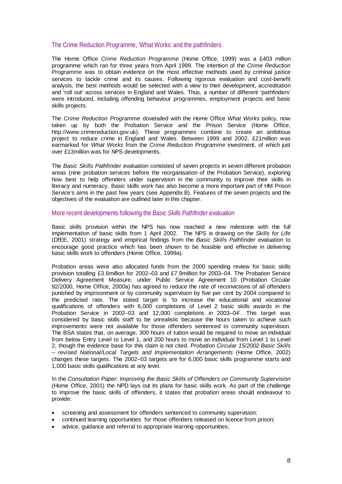#### The Crime Reduction Programme, 'What Works' and the pathfinders

The Home Office *Crime Reduction Programme* (Home Office, 1999) was a £403 million programme which ran for three years from April 1999. The intention of the *Crime Reduction Programme* was to obtain evidence on the most effective methods used by criminal justice services to tackle crime and its causes. Following rigorous evaluation and cost-benefit analysis, the best methods would be selected with a view to their development, accreditation and 'roll out' across services in England and Wales. Thus, a number of different 'pathfinders' were introduced, including offending behaviour programmes, employment projects and basic skills projects.

The *Crime Reduction Programme* dovetailed with the Home Office *What Works* policy, now taken up by both the Probation Service and the Prison Service (Home Office, http://www.crimereduction.gov.uk). These programmes combine to create an ambitious project to reduce crime in England and Wales. Between 1999 and 2002, £21million was earmarked for *What Works* from the *Crime Reduction Programme* investment, of which just over £13million was for NPS developments.

The *Basic Skills Pathfinder* evaluation consisted of seven projects in seven different probation areas (nine probation services before the reorganisation of the Probation Service), exploring how best to help offenders under supervision in the community to improve their skills in literacy and numeracy. Basic skills work has also become a more important part of HM Prison Service's aims in the past few years (see Appendix B). Features of the seven projects and the objectives of the evaluation are outlined later in this chapter.

#### More recent developments following the *Basic Skills Pathfinder* evaluation

Basic skills provision within the NPS has now reached a new milestone with the full implementation of basic skills from 1 April 2002. The NPS is drawing on the *Skills for Life*  (DfEE, 2001) strategy and empirical findings from the *Basic Skills Pathfinder* evaluation to encourage good practice which has been shown to be feasible and effective in delivering basic skills work to offenders (Home Office, 1999a)*.* 

Probation areas were also allocated funds from the 2000 spending review for basic skills provision totalling £3.6million for 2002–03 and £7.9million for 2003–04. The Probation Service Delivery Agreement Measure, under Public Service Agreement 10 (Probation Circular 92/2000, Home Office, 2000a) has agreed to reduce the rate of reconvictions of all offenders punished by imprisonment or by community supervision by five per cent by 2004 compared to the predicted rate. The stated target is 'to increase the educational and vocational qualifications of offenders with 6,000 completions of Level 2 basic skills awards in the Probation Service in 2002–03 and 12,000 completions in 2003–04'. This target was considered by basic skills staff to be unrealistic because the hours taken to achieve such improvements were not available for those offenders sentenced to community supervision. The BSA states that, on average, 300 hours of tuition would be required to move an individual from below Entry Level to Level 1, and 200 hours to move an individual from Level 1 to Level 2, though the evidence base for this claim is not cited. *Probation Circular 15/2002 Basic Skills – revised National/Local Targets and Implementation Arrangements* (Home Office, 2002) changes these targets. The 2002–03 targets are for 6,000 basic skills programme starts and 1,000 basic skills qualifications at any level.

In the *Consultation Paper: Improving the Basic Skills of Offenders on Community Supervision*  (Home Office, 2001) the NPD lays out its plans for basic skills work. As part of the challenge to improve the basic skills of offenders, it states that probation areas should endeavour to provide:

- screening and assessment for offenders sentenced to community supervision;
- continued learning opportunities for those offenders released on licence from prison;
- advice, guidance and referral to appropriate learning opportunities;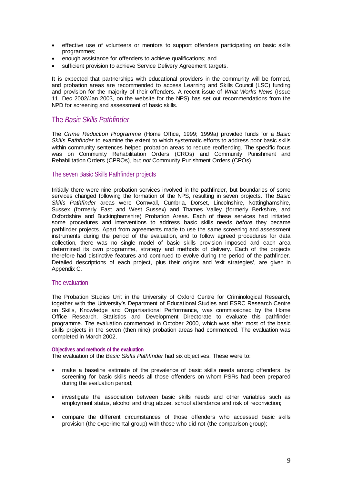- effective use of volunteers or mentors to support offenders participating on basic skills programmes;
- enough assistance for offenders to achieve qualifications; and
- sufficient provision to achieve Service Delivery Agreement targets.

It is expected that partnerships with educational providers in the community will be formed, and probation areas are recommended to access Learning and Skills Council (LSC) funding and provision for the majority of their offenders. A recent issue of *What Works News* (Issue 11, Dec 2002/Jan 2003, on the website for the NPS) has set out recommendations from the NPD for screening and assessment of basic skills.

#### The *Basic Skills Pathfinder*

The *Crime Reduction Programme* (Home Office, 1999; 1999a) provided funds for a *Basic Skills Pathfinder* to examine the extent to which systematic efforts to address poor basic skills within community sentences helped probation areas to reduce reoffending. The specific focus was on Community Rehabilitation Orders (CROs) and Community Punishment and Rehabilitation Orders (CPROs), but *not* Community Punishment Orders (CPOs).

#### The seven Basic Skills Pathfinder projects

Initially there were nine probation services involved in the pathfinder, but boundaries of some services changed following the formation of the NPS, resulting in seven projects. The *Basic Skills Pathfinder* areas were Cornwall, Cumbria, Dorset, Lincolnshire, Nottinghamshire, Sussex (formerly East and West Sussex) and Thames Valley (formerly Berkshire, and Oxfordshire and Buckinghamshire) Probation Areas. Each of these services had initiated some procedures and interventions to address basic skills needs *before* they became pathfinder projects. Apart from agreements made to use the same screening and assessment instruments during the period of the evaluation, and to follow agreed procedures for data collection, there was no single model of basic skills provision imposed and each area determined its own programme, strategy and methods of delivery. Each of the projects therefore had distinctive features and continued to evolve during the period of the pathfinder. Detailed descriptions of each project, plus their origins and 'exit strategies', are given in Appendix C.

#### The evaluation

The Probation Studies Unit in the University of Oxford Centre for Criminological Research, together with the University's Department of Educational Studies and ESRC Research Centre on Skills, Knowledge and Organisational Performance, was commissioned by the Home Office Research, Statistics and Development Directorate to evaluate this pathfinder programme. The evaluation commenced in October 2000, which was after most of the basic skills projects in the seven (then nine) probation areas had commenced. The evaluation was completed in March 2002.

#### **Objectives and methods of the evaluation**

The evaluation of the *Basic Skills Pathfinder* had six objectives. These were to:

- make a baseline estimate of the prevalence of basic skills needs among offenders, by screening for basic skills needs all those offenders on whom PSRs had been prepared during the evaluation period;
- investigate the association between basic skills needs and other variables such as employment status, alcohol and drug abuse, school attendance and risk of reconviction;
- compare the different circumstances of those offenders who accessed basic skills provision (the experimental group) with those who did not (the comparison group);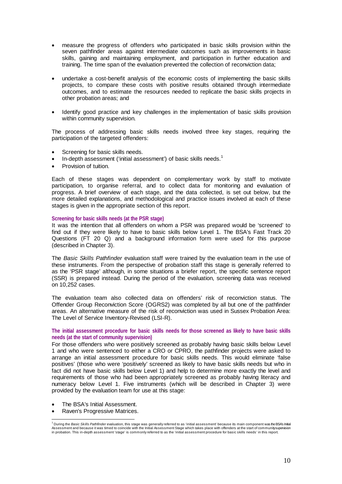- measure the progress of offenders who participated in basic skills provision within the seven pathfinder areas against intermediate outcomes such as improvements in basic skills, gaining and maintaining employment, and participation in further education and training. The time span of the evaluation prevented the collection of reconviction data;
- undertake a cost-benefit analysis of the economic costs of implementing the basic skills projects, to compare these costs with positive results obtained through intermediate outcomes, and to estimate the resources needed to replicate the basic skills projects in other probation areas; and
- Identify good practice and key challenges in the implementation of basic skills provision within community supervision.

The process of addressing basic skills needs involved three key stages, requiring the participation of the targeted offenders:

- Screening for basic skills needs.
- In-depth assessment ('initial assessment') of basic skills needs. $1$
- Provision of tuition.

Each of these stages was dependent on complementary work by staff to motivate participation, to organise referral, and to collect data for monitoring and evaluation of progress. A brief overview of each stage, and the data collected, is set out below, but the more detailed explanations, and methodological and practice issues involved at each of these stages is given in the appropriate section of this report.

#### **Screening for basic skills needs (at the PSR stage)**

It was the intention that all offenders on whom a PSR was prepared would be 'screened' to find out if they were likely to have to basic skills below Level 1. The BSA's Fast Track 20 Questions (FT 20 Q) and a background information form were used for this purpose (described in Chapter 3).

The *Basic Skills Pathfinder* evaluation staff were trained by the evaluation team in the use of these instruments. From the perspective of probation staff this stage is generally referred to as the 'PSR stage' although, in some situations a briefer report, the specific sentence report (SSR) is prepared instead. During the period of the evaluation, screening data was received on 10,252 cases.

The evaluation team also collected data on offenders' risk of reconviction status. The Offender Group Reconviction Score (OGRS2) was completed by all but one of the pathfinder areas. An alternative measure of the risk of reconviction was used in Sussex Probation Area: The Level of Service Inventory-Revised (LSI-R).

#### **The initial assessment procedure for basic skills needs for those screened as likely to have basic skills needs (at the start of community supervision)**

For those offenders who were positively screened as probably having basic skills below Level 1 and who were sentenced to either a CRO or CPRO, the pathfinder projects were asked to arrange an initial assessment procedure for basic skills needs. This would eliminate 'false positives' (those who were 'positively' screened as likely to have basic skills needs but who in fact did not have basic skills below Level 1) and help to determine more exactly the level and requirements of those who had been appropriately screened as probably having literacy and numeracy below Level 1. Five instruments (which will be described in Chapter 3) were provided by the evaluation team for use at this stage:

- The BSA's Initial Assessment.
- Raven's Progressive Matrices.

the Uning the *Basic Skills Pathfinder* evaluation, this stage was generally referred to as 'initial assessment' because its main component was the BSA's Initial in the SA's Initial production and because it was the Man in in probation. This in-depth assessment 'stage' is commonly referred to as the 'initial assessment procedure for basic skills needs' in this report.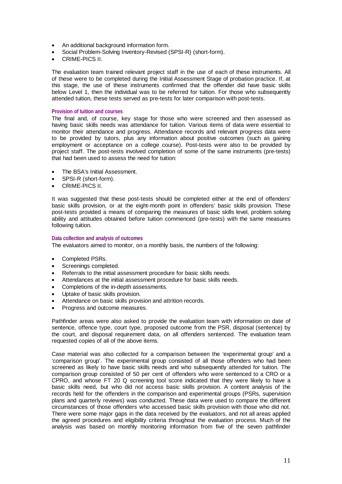- An additional background information form.
- Social Problem-Solving Inventory-Revised (SPSI-R) (short-form).
- CRIME-PICS II.

The evaluation team trained relevant project staff in the use of each of these instruments. All of these were to be completed during the Initial Assessment Stage of probation practice. If, at this stage, the use of these instruments confirmed that the offender did have basic skills below Level 1, then the individual was to be referred for tuition. For those who subsequently attended tuition, these tests served as pre-tests for later comparison with post-tests.

#### **Provision of tuition and courses**

The final and, of course, key stage for those who were screened and then assessed as having basic skills needs was attendance for tuition. Various items of data were essential to monitor their attendance and progress. Attendance records and relevant progress data were to be provided by tutors, plus any information about positive outcomes (such as gaining employment or acceptance on a college course). Post-tests were also to be provided by project staff. The post-tests involved completion of some of the same instruments (pre-tests) that had been used to assess the need for tuition:

- The BSA's Initial Assessment.
- SPSI-R (short-form).
- CRIME-PICS II.

It was suggested that these post-tests should be completed either at the end of offenders' basic skills provision, or at the eight-month point in offenders' basic skills provision. These post-tests provided a means of comparing the measures of basic skills level, problem solving ability and attitudes obtained before tuition commenced (pre-tests) with the same measures following tuition.

#### **Data collection and analysis of outcomes**

The evaluators aimed to monitor, on a monthly basis, the numbers of the following:

- Completed PSRs.
- Screenings completed.
- Referrals to the initial assessment procedure for basic skills needs.
- Attendances at the initial assessment procedure for basic skills needs.
- Completions of the in-depth assessments.
- Uptake of basic skills provision.
- Attendance on basic skills provision and attrition records.
- Progress and outcome measures.

Pathfinder areas were also asked to provide the evaluation team with information on date of sentence, offence type, court type, proposed outcome from the PSR, disposal (sentence) by the court, and disposal requirement data, on all offenders sentenced. The evaluation team requested copies of all of the above items.

Case material was also collected for a comparison between the 'experimental group' and a 'comparison group'. The experimental group consisted of all those offenders who had been screened as likely to have basic skills needs and who subsequently attended for tuition. The comparison group consisted of 50 per cent of offenders who were sentenced to a CRO or a CPRO, and whose FT 20 Q screening tool score indicated that they were likely to have a basic skills need, but who did *not* access basic skills provision. A content analysis of the records held for the offenders in the comparison and experimental groups (PSRs, supervision plans and quarterly reviews) was conducted. These data were used to compare the different circumstances of those offenders who accessed basic skills provision with those who did not. There were some major gaps in the data received by the evaluators, and not all areas applied the agreed procedures and eligibility criteria throughout the evaluation process. Much of the analysis was based on monthly monitoring information from five of the seven pathfinder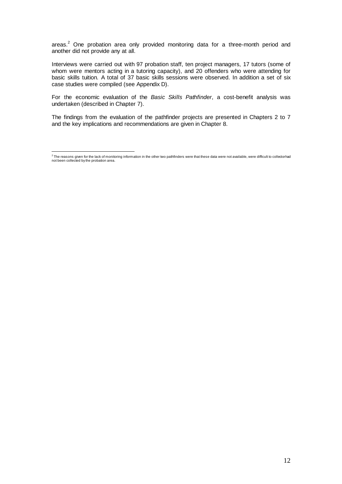areas. $2$  One probation area only provided monitoring data for a three-month period and another did not provide any at all.

Interviews were carried out with 97 probation staff, ten project managers, 17 tutors (some of whom were mentors acting in a tutoring capacity), and 20 offenders who were attending for basic skills tuition. A total of 37 basic skills sessions were observed. In addition a set of six case studies were compiled (see Appendix D).

For the economic evaluation of the *Basic Skills Pathfinder*, a cost-benefit analysis was undertaken (described in Chapter 7).

The findings from the evaluation of the pathfinder projects are presented in Chapters 2 to 7 and the key implications and recommendations are given in Chapter 8.

<sup>&</sup>lt;sup>2</sup> The reasons given for the lack of monitoring information in the other two pathfinders were that these data were not available, were difficult to collectorhad<br>not been collected by the probation area.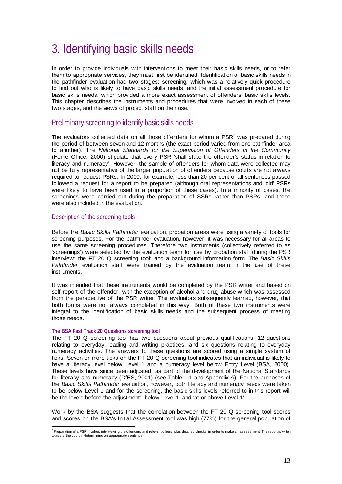# 3. Identifying basic skills needs

In order to provide individuals with interventions to meet their basic skills needs, or to refer them to appropriate services, they must first be identified. Identification of basic skills needs in the pathfinder evaluation had two stages: screening, which was a relatively quick procedure to find out who is likely to have basic skills needs; and the initial assessment procedure for basic skills needs, which provided a more exact assessment of offenders' basic skills levels. This chapter describes the instruments and procedures that were involved in each of these two stages, and the views of project staff on their use.

#### Preliminary screening to identify basic skills needs

The evaluators collected data on all those offenders for whom a  $PSR<sup>3</sup>$  was prepared during the period of between seven and 12 months (the exact period varied from one pathfinder area to another). The *National Standards for the Supervision of Offenders in the Community* (Home Office, 2000) stipulate that every PSR 'shall state the offender's status in relation to literacy and numeracy'. However, the sample of offenders for whom data were collected may not be fully representative of the larger population of offenders because courts are not always required to request PSRs. In 2000, for example, less than 20 per cent of all sentences passed followed a request for a report to be prepared (although oral representations and 'old' PSRs were likely to have been used in a proportion of these cases). In a minority of cases, the screenings were carried out during the preparation of SSRs rather than PSRs, and these were also included in the evaluation.

#### Description of the screening tools

Before the *Basic Skills Pathfinder* evaluation, probation areas were using a variety of tools for screening purposes. For the pathfinder evaluation, however, it was necessary for all areas to use the same screening procedures. Therefore two instruments (collectively referred to as 'screenings') were selected by the evaluation team for use by probation staff during the PSR interview: the FT 20 Q screening tool; and a background information form. The *Basic Skills Pathfinder* evaluation staff were trained by the evaluation team in the use of these instruments.

It was intended that these instruments would be completed by the PSR writer and based on self-report of the offender, with the exception of alcohol and drug abuse which was assessed from the perspective of the PSR writer. The evaluators subsequently learned, however, that both forms were not always completed in this way. Both of these two instruments were integral to the identification of basic skills needs and the subsequent process of meeting those needs.

#### **The BSA Fast Track 20 Questions screening tool**

The FT 20 Q screening tool has two questions about previous qualifications, 12 questions relating to everyday reading and writing practices, and six questions relating to everyday numeracy activities. The answers to these questions are scored using a simple system of ticks. Seven or more ticks on the FT 20 Q screening tool indicates that an individual is likely to have a literacy level below Level 1 and a numeracy level below Entry Level (BSA, 2000). These levels have since been adjusted, as part of the development of the National Standards for literacy and numeracy (DfES, 2001) (see Table 1.1 and Appendix A). For the purposes of the *Basic Skills Pathfinder* evaluation, however, both literacy and numeracy needs were taken to be below Level 1 and for the screening, the basic skills levels referred to in this report will be the levels before the adjustment: 'below Level 1' and 'at or above Level 1' .

Work by the BSA suggests that the correlation between the FT 20 Q screening tool scores and scores on the BSA's Initial Assessment tool was high (77%) for the general population of

a<br><sup>3</sup> Preparation of a PSR involves interviewing the offenders and relevant others, plus detailed checks, in order to make an assessment. The report is written to assist the court in determining an appropriate sentence.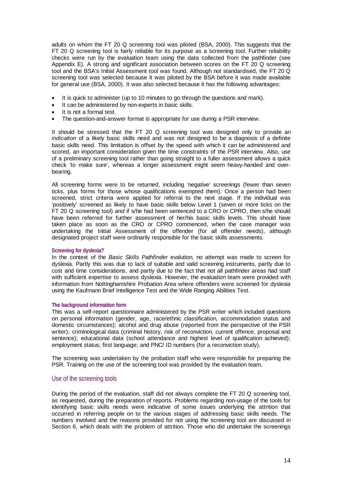adults on whom the FT 20 Q screening tool was piloted (BSA, 2000). This suggests that the FT 20 Q screening tool is fairly reliable for its purpose as a screening tool. Further reliability checks were run by the evaluation team using the data collected from the pathfinder (see Appendix E). A strong and significant association between scores on the FT 20 Q screening tool and the BSA's Initial Assessment tool was found. Although not standardised, the FT 20 Q screening tool was selected because it was piloted by the BSA before it was made available for general use (BSA, 2000). It was also selected because it has the following advantages:

- It is quick to administer (up to 10 minutes to go through the questions and mark).
- It can be administered by non-experts in basic skills.
- It is not a formal test.
- The question-and-answer format is appropriate for use during a PSR interview.

It should be stressed that the FT 20 Q screening tool was designed only to provide an *indication* of a likely basic skills need and was not designed to be a diagnosis of a definite basic skills need. This limitation is offset by the speed with which it can be administered and scored, an important consideration given the time constraints of the PSR interview. Also, use of a preliminary screening tool rather than going straight to a fuller assessment allows a quick check 'to make sure', whereas a longer assessment might seem heavy-handed and overbearing.

All screening forms were to be returned, including 'negative' screenings (fewer than seven ticks, plus forms for those whose qualifications exempted them). Once a person had been screened, strict criteria were applied for referral to the next stage. If the individual was 'positively' screened as likely to have basic skills below Level 1 (seven or more ticks on the FT 20 Q screening tool) *and* if s/he had been sentenced to a CRO or CPRO, then s/he should have been referred for further assessment of her/his basic skills levels. This should have taken place as soon as the CRO or CPRO commenced, when the case manager was undertaking the Initial Assessment of the offender (for all offender needs), although designated project staff were ordinarily responsible for the basic skills assessments.

#### **Screening for dyslexia?**

In the context of the *Basic Skills Pathfinder* evalution, no attempt was made to screen for dyslexia. Partly this was due to lack of suitable and valid screening instruments, partly due to cost and time considerations, and partly due to the fact that not all pathfinder areas had staff with sufficient expertise to assess dyslexia. However, the evaluation team were provided with information from Nottinghamshire Probation Area where offenders were screened for dyslexia using the Kaufmann Brief Intelligence Test and the Wide Ranging Abilities Test.

#### **The background information form**

This was a self-report questionnaire administered by the PSR writer which included questions on personal information (gender, age, race/ethnic classification, accommodation status and domestic circumstances); alcohol and drug abuse (reported from the perspective of the PSR writer); criminological data (criminal history, risk of reconviction, current offence, proposal and sentence); educational data (school attendance and highest level of qualification achieved); employment status; first language; and PNC/ ID numbers (for a reconviction study).

The screening was undertaken by the probation staff who were responsible for preparing the PSR. Training on the use of the screening tool was provided by the evaluation team.

#### Use of the screening tools

During the period of the evaluation, staff did not always complete the FT 20 Q screening tool, as requested, during the preparation of reports. Problems regarding non-usage of the tools for identifying basic skills needs were indicative of some issues underlying the attrition that occurred in referring people on to the various stages of addressing basic skills needs. The numbers involved and the reasons provided for not using the screening tool are discussed in Section 6, which deals with the problem of attrition. Those who did undertake the screenings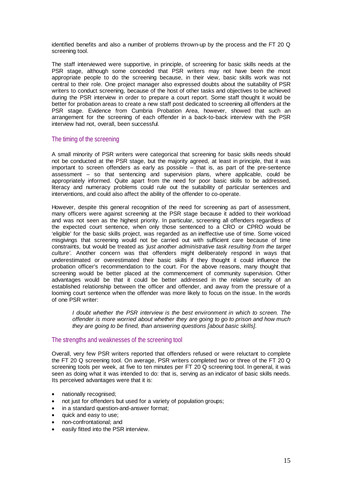identified benefits and also a number of problems thrown-up by the process and the FT 20 Q screening tool.

The staff interviewed were supportive, in principle, of screening for basic skills needs at the PSR stage, although some conceded that PSR writers may not have been the most appropriate people to do the screening because, in their view, basic skills work was not central to their role. One project manager also expressed doubts about the suitability of PSR writers to conduct screening, because of the host of other tasks and objectives to be achieved during the PSR interview in order to prepare a court report. Some staff thought it would be better for probation areas to create a new staff post dedicated to screening all offenders at the PSR stage. Evidence from Cumbria Probation Area, however, showed that such an arrangement for the screening of each offender in a back-to-back interview with the PSR interview had not, overall, been successful.

#### The timing of the screening

A small minority of PSR writers were categorical that screening for basic skills needs should not be conducted at the PSR stage, but the majority agreed, at least in principle, that it was important to screen offenders as early as possible – that is, as part of the pre-sentence assessment – so that sentencing and supervision plans, where applicable, could be appropriately informed. Quite apart from the need for poor basic skills to be addressed, literacy and numeracy problems could rule out the suitability of particular sentences and interventions, and could also affect the ability of the offender to co-operate.

However, despite this general recognition of the need for screening as part of assessment, many officers were against screening at the PSR stage because it added to their workload and was not seen as the highest priority. In particular, screening all offenders regardless of the expected court sentence, when only those sentenced to a CRO or CPRO would be 'eligible' for the basic skills project, was regarded as an ineffective use of time. Some voiced misgivings that screening would not be carried out with sufficient care because of time constraints, but would be treated as *'just another administrative task resulting from the target culture'*. Another concern was that offenders might deliberately respond in ways that underestimated or overestimated their basic skills if they thought it could influence the probation officer's recommendation to the court. For the above reasons, many thought that screening would be better placed at the commencement of community supervision. Other advantages would be that it could be better addressed in the relative security of an established relationship between the officer and offender, and away from the pressure of a looming court sentence when the offender was more likely to focus on the issue. In the words of one PSR writer:

*I* doubt whether the PSR interview is the best environment in which to screen. The *offender is more worried about whether they are going to go to prison and how much they are going to be fined, than answering questions [about basic skills].* 

#### The strengths and weaknesses of the screening tool

Overall, very few PSR writers reported that offenders refused or were reluctant to complete the FT 20 Q screening tool. On average, PSR writers completed two or three of the FT 20 Q screening tools per week, at five to ten minutes per FT 20 Q screening tool. In general, it was seen as doing what it was intended to do: that is, serving as an indicator of basic skills needs. Its perceived advantages were that it is:

- nationally recognised;
- not just for offenders but used for a variety of population groups;
- in a standard question-and-answer format;
- quick and easy to use;
- non-confrontational; and
- easily fitted into the PSR interview.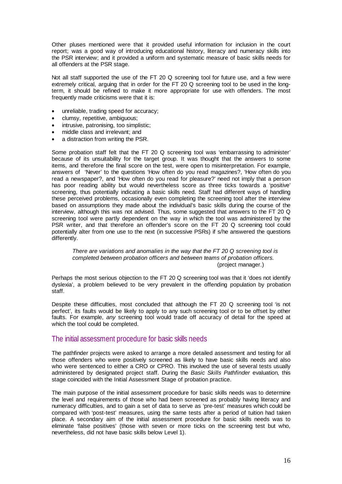Other pluses mentioned were that it provided useful information for inclusion in the court report; was a good way of introducing educational history, literacy and numeracy skills into the PSR interview; and it provided a uniform and systematic measure of basic skills needs for all offenders at the PSR stage.

Not all staff supported the use of the FT 20 Q screening tool for future use, and a few were extremely critical, arguing that in order for the FT 20 Q screening tool to be used in the longterm, it should be refined to make it more appropriate for use with offenders. The most frequently made criticisms were that it is:

- unreliable, trading speed for accuracy;
- clumsy, repetitive, ambiguous;
- intrusive, patronising, too simplistic;
- middle class and irrelevant; and
- a distraction from writing the PSR.

Some probation staff felt that the FT 20 Q screening tool was 'embarrassing to administer' because of its unsuitability for the target group. It was thought that the answers to some items, and therefore the final score on the test, were open to misinterpretation. For example, answers of 'Never' to the questions 'How often do you read magazines?, 'How often do you read a newspaper?, and 'How often do you read for pleasure?' need not imply that a person has poor reading ability but would nevertheless score as three ticks towards a 'positive' screening, thus potentially indicating a basic skills need. Staff had different ways of handling these perceived problems, occasionally even completing the screening tool after the interview based on assumptions they made about the individual's basic skills during the course of the interview, although this was not advised. Thus, some suggested that answers to the FT 20 Q screening tool were partly dependent on the way in which the tool was administered by the PSR writer, and that therefore an offender's score on the FT 20 Q screening tool could potentially alter from one use to the next (in successive PSRs) if s/he answered the questions differently.

#### *There are variations and anomalies in the way that the FT 20 Q screening tool is completed between probation officers and between teams of probation officers.* (project manager.)

Perhaps the most serious objection to the FT 20 Q screening tool was that it 'does not identify dyslexia', a problem believed to be very prevalent in the offending population by probation staff.

Despite these difficulties, most concluded that although the FT 20 Q screening tool 'is not perfect', its faults would be likely to apply to any such screening tool or to be offset by other faults. For example, *any* screening tool would trade off accuracy of detail for the speed at which the tool could be completed.

#### The initial assessment procedure for basic skills needs

The pathfinder projects were asked to arrange a more detailed assessment and testing for all those offenders who were positively screened as likely to have basic skills needs and also who were sentenced to either a CRO or CPRO. This involved the use of several tests usually administered by designated project staff. During the *Basic Skills Pathfinder* evaluation, this stage coincided with the Initial Assessment Stage of probation practice.

The main purpose of the initial assessment procedure for basic skills needs was to determine the level and requirements of those who had been screened as probably having literacy and numeracy difficulties, and to gain a set of data to serve as 'pre-test' measures which could be compared with 'post-test' measures, using the same tests after a period of tuition had taken place. A secondary aim of the initial assessment procedure for basic skills needs was to eliminate 'false positives' (those with seven or more ticks on the screening test but who, nevertheless, did not have basic skills below Level 1).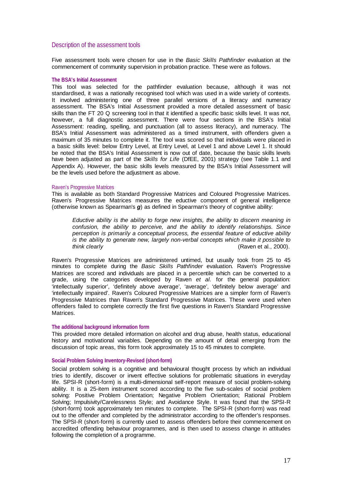#### Description of the assessment tools

Five assessment tools were chosen for use in the *Basic Skills Pathfinder* evaluation at the commencement of community supervision in probation practice. These were as follows.

#### **The BSA's Initial Assessment**

This tool was selected for the pathfinder evaluation because, although it was not standardised, it was a nationally recognised tool which was used in a wide variety of contexts. It involved administering one of three parallel versions of a literacy and numeracy assessment. The BSA's Initial Assessment provided a more detailed assessment of basic skills than the FT 20 Q screening tool in that it identified a specific basic skills level. It was not, however, a full diagnostic assessment. There were four sections in the BSA's Initial Assessment: reading, spelling, and punctuation (all to assess literacy), and numeracy. The BSA's Initial Assessment was administered as a timed instrument, with offenders given a maximum of 35 minutes to complete it. The tool was scored so that individuals were placed in a basic skills level: below Entry Level, at Entry Level, at Level 1 and above Level 1. It should be noted that the BSA's Initial Assessment is now out of date, because the basic skills levels have been adjusted as part of the *Skills for Life* (DfEE, 2001) strategy (see Table 1.1 and Appendix A). However, the basic skills levels measured by the BSA's Initial Assessment will be the levels used before the adjustment as above.

#### Raven's Progressive Matrices

This is available as both Standard Progressive Matrices and Coloured Progressive Matrices. Raven's Progressive Matrices measures the eductive component of general intelligence (otherwise known as Spearman's *g*) as defined in Spearman's theory of cognitive ability:

*Eductive ability is the ability to forge new insights, the ability to discern meaning in confusion, the ability to perceive, and the ability to identify relationships. Since perception is primarily a conceptual process, the essential feature of eductive ability is the ability to generate new, largely non-verbal concepts which make it possible to think clearly* (Raven et al., 2000).

Raven's Progressive Matrices are administered untimed, but usually took from 25 to 45 minutes to complete during the *Basic Skills Pathfinder* evaluation. Raven's Progressive Matrices are scored and individuals are placed in a percentile which can be converted to a grade, using the categories developed by Raven *et al.* for the general population: 'intellectually superior', 'definitely above average', 'average', 'definitely below average' and 'intellectually impaired'. Raven's Coloured Progressive Matrices are a simpler form of Raven's Progressive Matrices than Raven's Standard Progressive Matrices. These were used when offenders failed to complete correctly the first five questions in Raven's Standard Progressive Matrices.

#### **The additional background information form**

This provided more detailed information on alcohol and drug abuse, health status, educational history and motivational variables. Depending on the amount of detail emerging from the discussion of topic areas, this form took approximately 15 to 45 minutes to complete.

#### **Social Problem Solving Inventory-Revised (short-form)**

Social problem solving is a cognitive and behavioural thought process by which an individual tries to identify, discover or invent effective solutions for problematic situations in everyday life. SPSI-R (short-form) is a multi-dimensional self-report measure of social problem-solving ability. It is a 25-item instrument scored according to the five sub-scales of social problem solving: Positive Problem Orientation; Negative Problem Orientation; Rational Problem Solving; Impulsivity/Carelessness Style; and Avoidance Style. It was found that the SPSI-R (short-form) took approximately ten minutes to complete. The SPSI-R (short-form) was read out to the offender and completed by the administrator according to the offender's responses. The SPSI-R (short-form) is currently used to assess offenders before their commencement on accredited offending behaviour programmes, and is then used to assess change in attitudes following the completion of a programme.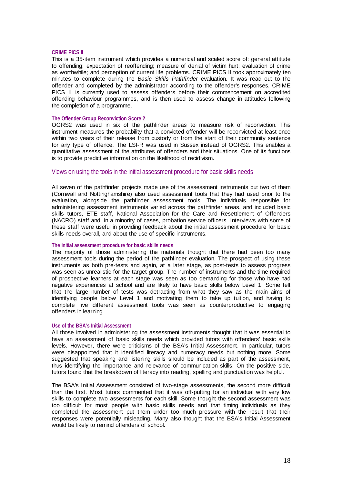#### **CRIME PICS II**

This is a 35-item instrument which provides a numerical and scaled score of: general attitude to offending; expectation of reoffending; measure of denial of victim hurt; evaluation of crime as worthwhile; and perception of current life problems. CRIME PICS II took approximately ten minutes to complete during the *Basic Skills Pathfinder* evaluation. It was read out to the offender and completed by the administrator according to the offender's responses. CRIME PICS II is currently used to assess offenders before their commencement on accredited offending behaviour programmes, and is then used to assess change in attitudes following the completion of a programme.

#### **The Offender Group Reconviction Score 2**

OGRS2 was used in six of the pathfinder areas to measure risk of reconviction. This instrument measures the probability that a convicted offender will be reconvicted at least once within two years of their release from custody or from the start of their community sentence for any type of offence. The LSI-R was used in Sussex instead of OGRS2. This enables a quantitative assessment of the attributes of offenders and their situations. One of its functions is to provide predictive information on the likelihood of recidivism.

#### Views on using the tools in the initial assessment procedure for basic skills needs

All seven of the pathfinder projects made use of the assessment instruments but two of them (Cornwall and Nottinghamshire) also used assessment tools that they had used prior to the evaluation, alongside the pathfinder assessment tools. The individuals responsible for administering assessment instruments varied across the pathfinder areas, and included basic skills tutors, ETE staff, National Association for the Care and Resettlement of Offenders (NACRO) staff and, in a minority of cases, probation service officers. Interviews with some of these staff were useful in providing feedback about the initial assessment procedure for basic skills needs overall, and about the use of specific instruments.

#### **The initial assessment procedure for basic skills needs**

The majority of those administering the materials thought that there had been too many assessment tools during the period of the pathfinder evaluation. The prospect of using these instruments as both pre-tests and again, at a later stage, as post-tests to assess progress was seen as unrealistic for the target group. The number of instruments and the time required of prospective learners at each stage was seen as too demanding for those who have had negative experiences at school and are likely to have basic skills below Level 1. Some felt that the large number of tests was detracting from what they saw as the main aims of identifying people below Level 1 and motivating them to take up tuition, and having to complete five different assessment tools was seen as counterproductive to engaging offenders in learning.

#### **Use of the BSA's Initial Assessment**

All those involved in administering the assessment instruments thought that it was essential to have an assessment of basic skills needs which provided tutors with offenders' basic skills levels. However, there were criticisms of the BSA's Initial Assessment. In particular, tutors were disappointed that it identified literacy and numeracy needs but nothing more. Some suggested that speaking and listening skills should be included as part of the assessment, thus identifying the importance and relevance of communication skills. On the positive side, tutors found that the breakdown of literacy into reading, spelling and punctuation was helpful.

The BSA's Initial Assessment consisted of two-stage assessments, the second more difficult than the first. Most tutors commented that it was off-putting for an individual with very low skills to complete two assessments for each skill. Some thought the second assessment was too difficult for most people with basic skills needs and that timing individuals as they completed the assessment put them under too much pressure with the result that their responses were potentially misleading. Many also thought that the BSA's Initial Assessment would be likely to remind offenders of school.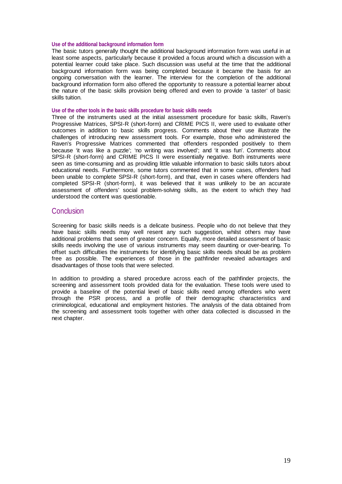#### **Use of the additional background information form**

The basic tutors generally thought the additional background information form was useful in at least some aspects, particularly because it provided a focus around which a discussion with a potential learner could take place. Such discussion was useful at the time that the additional background information form was being completed because it became the basis for an ongoing conversation with the learner. The interview for the completion of the additional background information form also offered the opportunity to reassure a potential learner about the nature of the basic skills provision being offered and even to provide 'a taster' of basic skills tuition.

#### **Use of the other tools in the basic skills procedure for basic skills needs**

Three of the instruments used at the initial assessment procedure for basic skills, Raven's Progressive Matrices, SPSI-R (short-form) and CRIME PICS II, were used to evaluate other outcomes in addition to basic skills progress. Comments about their use illustrate the challenges of introducing new assessment tools. For example, those who administered the Raven's Progressive Matrices commented that offenders responded positively to them because 'it was like a puzzle'; 'no writing was involved'; and 'it was fun'. Comments about SPSI-R (short-form) and CRIME PICS II were essentially negative. Both instruments were seen as time-consuming and as providing little valuable information to basic skills tutors about educational needs. Furthermore, some tutors commented that in some cases, offenders had been unable to complete SPSI-R (short-form), and that, even in cases where offenders had completed SPSI-R (short-form), it was believed that it was unlikely to be an accurate assessment of offenders' social problem-solving skills, as the extent to which they had understood the content was questionable.

#### **Conclusion**

Screening for basic skills needs is a delicate business. People who do not believe that they have basic skills needs may well resent any such suggestion, whilst others may have additional problems that seem of greater concern. Equally, more detailed assessment of basic skills needs involving the use of various instruments may seem daunting or over-bearing. To offset such difficulties the instruments for identifying basic skills needs should be as problem free as possible. The experiences of those in the pathfinder revealed advantages and disadvantages of those tools that were selected.

In addition to providing a shared procedure across each of the pathfinder projects, the screening and assessment tools provided data for the evaluation. These tools were used to provide a baseline of the potential level of basic skills need among offenders who went through the PSR process, and a profile of their demographic characteristics and criminological, educational and employment histories. The analysis of the data obtained from the screening and assessment tools together with other data collected is discussed in the next chapter.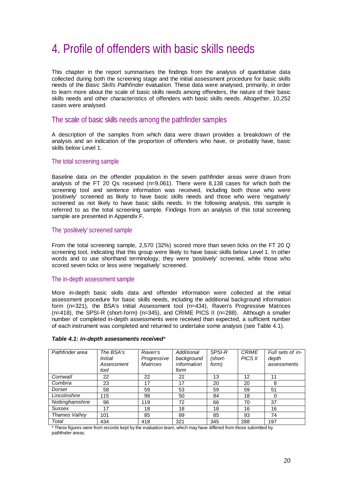# 4. Profile of offenders with basic skills needs

This chapter in the report summarises the findings from the analysis of quantitative data collected during both the screening stage and the initial assessment procedure for basic skills needs of the *Basic Skills Pathfinder* evaluation. These data were analysed, primarily, in order to learn more about the scale of basic skills needs among offenders, the nature of their basic skills needs and other characteristics of offenders with basic skills needs. Altogether, 10,252 cases were analysed.

#### The scale of basic skills needs among the pathfinder samples

A description of the samples from which data were drawn provides a breakdown of the analysis and an indication of the proportion of offenders who have, or probably have, basic skills below Level 1.

#### The total screening sample

Baseline data on the offender population in the seven pathfinder areas were drawn from analysis of the FT 20 Qs received  $(n=9,061)$ . There were 8,138 cases for which both the screening tool and sentence information was received, including both those who were 'positively' screened as likely to have basic skills needs and those who were 'negatively' screened as not likely to have basic skills needs. In the following analysis, this sample is referred to as the total screening sample. Findings from an analysis of this total screening sample are presented in Appendix F.

#### The 'positively' screened sample

From the total screening sample, 2,570 (32%) scored more than seven ticks on the FT 20 Q screening tool, indicating that this group were likely to have basic skills below Level 1. In other words and to use shorthand terminology, they were 'positively' screened, while those who scored seven ticks or less were 'negatively' screened.

#### The in-depth assessment sample

More in-depth basic skills data and offender information were collected at the initial assessment procedure for basic skills needs, including the additional background information form (n=321), the BSA's Initial Assessment tool (n=434), Raven's Progressive Matrices (n=418), the SPSI-R (short-form) (n=345), and CRIME PICS II (n=288). Although a smaller number of completed in-depth assessments were received than expected, a sufficient number of each instrument was completed and returned to undertake some analysis (see Table 4.1).

| Pathfinder area      | The BSA's<br>Initial<br>Assessment<br>tool | Raven's<br>Progressive<br><b>Matrices</b> | Additional<br>background<br>information<br>form | <b>SPSI-R</b><br>(short-<br>form) | <b>CRIME</b><br>PICS II | Full sets of in-<br>depth<br>assessments |
|----------------------|--------------------------------------------|-------------------------------------------|-------------------------------------------------|-----------------------------------|-------------------------|------------------------------------------|
| Cornwall             | 22                                         | 22                                        | 22                                              | 13                                | 12                      | 11                                       |
| Cumbria              | 23                                         | 17                                        | 17                                              | 20                                | 20                      | 8                                        |
| Dorset               | 58                                         | 59                                        | 53                                              | 59                                | 59                      | 51                                       |
| Lincolnshire         | 115                                        | 98                                        | 50                                              | 84                                | 18                      | 0                                        |
| Nottinghamshire      | 98                                         | 119                                       | 72                                              | 66                                | 70                      | 37                                       |
| <b>Sussex</b>        | 17                                         | 18                                        | 18                                              | 18                                | 16                      | 16                                       |
| <b>Thames Valley</b> | 101                                        | 85                                        | 89                                              | 85                                | 93                      | 74                                       |
| Total                | 434                                        | 418                                       | 321                                             | 345                               | 288                     | 197                                      |

#### *Table 4.1: In-depth assessments received\**

\* These figures were from records kept by the evaluation team, which may have differed from those submitted by pathfinder areas.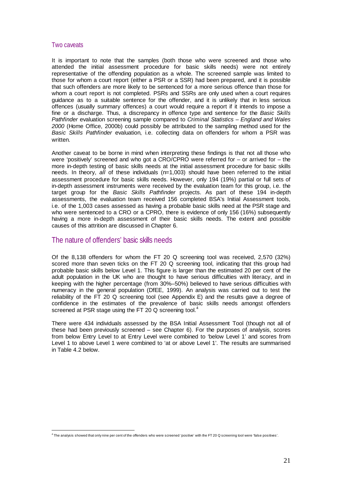#### Two caveats

It is important to note that the samples (both those who were screened and those who attended the initial assessment procedure for basic skills needs) were not entirely representative of the offending population as a whole. The screened sample was limited to those for whom a court report (either a PSR or a SSR) had been prepared, and it is possible that such offenders are more likely to be sentenced for a more serious offence than those for whom a court report is not completed. PSRs and SSRs are only used when a court requires guidance as to a suitable sentence for the offender, and it is unlikely that in less serious offences (usually summary offences) a court would require a report if it intends to impose a fine or a discharge. Thus, a discrepancy in offence type and sentence for the *Basic Skills Pathfinder* evaluation screening sample compared to *Criminal Statistics – England and Wales 2000* (Home Office, 2000b) could possibly be attributed to the sampling method used for the *Basic Skills Pathfinder* evaluation, i.e. collecting data on offenders for whom a PSR was written

Another caveat to be borne in mind when interpreting these findings is that not all those who were 'positively' screened and who got a CRO/CPRO were referred for – or arrived for – the more in-depth testing of basic skills needs at the initial assessment procedure for basic skills needs. In theory, *all* of these individuals (n=1,003) should have been referred to the initial assessment procedure for basic skills needs. However, only 194 (19%) partial or full sets of in-depth assessment instruments were received by the evaluation team for this group, i.e. the target group for the *Basic Skills Pathfinder* projects. As part of these 194 in-depth assessments, the evaluation team received 156 completed BSA's Initial Assessment tools, i.e. of the 1,003 cases assessed as having a probable basic skills need at the PSR stage and who were sentenced to a CRO or a CPRO, there is evidence of only 156 (16%) subsequently having a more in-depth assessment of their basic skills needs. The extent and possible causes of this attrition are discussed in Chapter 6.

#### The nature of offenders' basic skills needs

Of the 8,138 offenders for whom the FT 20 Q screening tool was received, 2,570 (32%) scored more than seven ticks on the FT 20 Q screening tool, indicating that this group had probable basic skills below Level 1. This figure is larger than the estimated 20 per cent of the adult population in the UK who are thought to have serious difficulties with literacy, and in keeping with the higher percentage (from 30%–50%) believed to have serious difficulties with numeracy in the general population (DfEE, 1999). An analysis was carried out to test the reliability of the FT 20 Q screening tool (see Appendix E) and the results gave a degree of confidence in the estimates of the prevalence of basic skills needs amongst offenders screened at PSR stage using the FT 20 Q screening tool.<sup>4</sup>

There were 434 individuals assessed by the BSA Initial Assessment Tool (though not all of these had been previously screened – see Chapter 6). For the purposes of analysis, scores from below Entry Level to at Entry Level were combined to 'below Level 1' and scores from Level 1 to above Level 1 were combined to 'at or above Level 1'. The results are summarised in Table 4.2 below.

 $\overline{a}$ 4 The analysis showed that only nine per cent of the offenders who were screened 'positive' with the FT 20 Q screening tool were 'false positives'.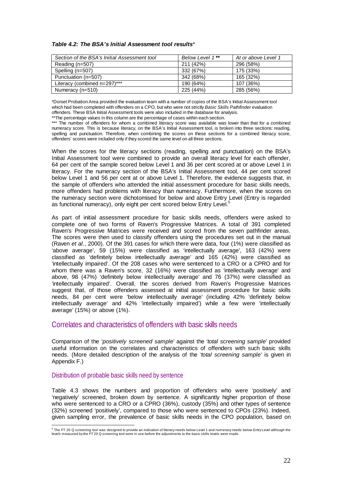#### *Table 4.2: The BSA's Initial Assessment tool results\**

| Section of the BSA's Initial Assessment tool | Below Level 1** | At or above Level 1 |
|----------------------------------------------|-----------------|---------------------|
| Reading $(n=507)$                            | 211 (42%)       | 296 (58%)           |
| Spelling (n=507)                             | 332 (67%)       | 175 (33%)           |
| Punctuation (n=507)                          | 342 (68%)       | 165 (32%)           |
| Literacy (combined n=297)***                 | 190 (64%)       | 107 (36%)           |
| Numeracy (n=510)                             | 225 (44%)       | 285 (56%)           |

\*Dorset Probation Area provided the evaluation team with a number of copies of the BSA's Initial Assessment tool which had been completed with offenders on a CPO, but who were not strictly *Basic Skills Pathfinder* evaluation offenders. These BSA Initial Assessment tools were also included in the database for analysis. \*\*The percentage values in this column are the percentage of cases within each section.

\*\*\* The number of offenders for whom a combined literacy score was available was lower than that for a combined numeracy score. This is because literacy, on the BSA's Initial Assessment tool, is broken into three sections: reading, spelling and punctuation. Therefore, when combining the scores on these sections for a combined literacy score, offenders' scores were included only if they scored the same level on all three sections.

When the scores for the literacy sections (reading, spelling and punctuation) on the BSA's Initial Assessment tool were combined to provide an overall literacy level for each offender, 64 per cent of the sample scored below Level 1 and 36 per cent scored at or above Level 1 in literacy. For the numeracy section of the BSA's Initial Assessment tool, 44 per cent scored below Level 1 and 56 per cent at or above Level 1. Therefore, the evidence suggests that, in the sample of offenders who attended the initial assessment procedure for basic skills needs, more offenders had problems with literacy than numeracy. Furthermore, when the scores on the numeracy section were dichotomised for below and above Entry Level (Entry is regarded as functional numeracy), only eight per cent scored below Entry Level.<sup>5</sup>

As part of initial assessment procedure for basic skills needs, offenders were asked to complete one of two forms of Raven's Progressive Matrices. A total of 391 completed Raven's Progressive Matrices were received and scored from the seven pathfinder areas. The scores were then used to classify offenders using the procedures set out in the manual (Raven *et al.*, 2000). Of the 391 cases for which there were data, four (1%) were classified as 'above average', 59 (15%) were classified as 'intellectually average', 163 (42%) were classified as 'definitely below intellectually average' and 165 (42%) were classified as 'intellectually impaired'. Of the 208 cases who were sentenced to a CRO or a CPRO and for whom there was a Raven's score, 32 (16%) were classified as 'intellectually average' and above, 98 (47%) 'definitely below intellectually average' and 76 (37%) were classified as 'intellectually impaired'. Overall, the scores derived from Raven's Progressive Matrices suggest that, of those offenders assessed at initial assessment procedure for basic skills needs, 84 per cent were 'below intellectually average' (including 42% 'definitely below intellectually average' and 42% 'intellectually impaired') while a few were 'intellectually average' (15%) or above (1%).

#### Correlates and characteristics of offenders with basic skills needs

Comparison of the '*positively screened sample*' against the '*total screening sample*' provided useful information on the correlates and characteristics of offenders with such basic skills needs. (More detailed description of the analysis of the *'total screening sample'* is given in Appendix F.)

#### Distribution of probable basic skills need by sentence

Table 4.3 shows the numbers and proportion of offenders who were 'positively' and 'negatively' screened, broken down by sentence. A significantly higher proportion of those who were sentenced to a CRO or a CPRO (36%), custody (35%) and other types of sentence (32%) screened 'positively', compared to those who were sentenced to CPOs (23%). Indeed, given sampling error, the prevalence of basic skills needs in the CPO population, based on

<sup>&</sup>lt;sup>5</sup> The FT 20 Q screening tool was designed to provide an indication of literacy needs below Level 1 and numeracy needs below Entry Level although the<br>levels measured by the FT 20 Q screening tool were in use before the a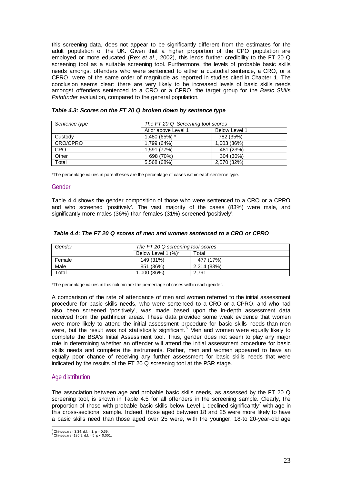this screening data, does not appear to be significantly different from the estimates for the adult population of the UK. Given that a higher proportion of the CPO population are employed or more educated (Rex *et al.,* 2002), this lends further credibility to the FT 20 Q screening tool as a suitable screening tool. Furthermore, the levels of probable basic skills needs amongst offenders who were sentenced to either a custodial sentence, a CRO, or a CPRO, were of the same order of magnitude as reported in studies cited in Chapter 1. The conclusion seems clear: there are very likely to be increased levels of basic skills needs amongst offenders sentenced to a CRO or a CPRO, the target group for the *Basic Skills Pathfinder* evaluation, compared to the general population.

| Sentence type | The FT 20 Q Screening tool scores           |             |  |  |  |
|---------------|---------------------------------------------|-------------|--|--|--|
|               | At or above Level 1<br><b>Below Level 1</b> |             |  |  |  |
| Custody       | 1,480 (65%) *                               | 782 (35%)   |  |  |  |
| CRO/CPRO      | 1.799 (64%)                                 | 1,003 (36%) |  |  |  |
| <b>CPO</b>    | 1,591 (77%)                                 | 481 (23%)   |  |  |  |
| Other         | 698 (70%)                                   | 304 (30%)   |  |  |  |
| Total         | 5,568 (68%)                                 | 2,570 (32%) |  |  |  |

#### *Table 4.3: Scores on the FT 20 Q broken down by sentence type*

\*The percentage values in parentheses are the percentage of cases within each sentence type.

#### Gender

Table 4.4 shows the gender composition of those who were sentenced to a CRO or a CPRO and who screened 'positively'. The vast majority of the cases (83%) were male, and significantly more males (36%) than females (31%) screened 'positively'.

| Gender | The FT 20 Q screening tool scores |             |  |  |  |  |
|--------|-----------------------------------|-------------|--|--|--|--|
|        | Below Level 1 (%)*                | Total       |  |  |  |  |
| Female | 149 (31%)                         | 477 (17%)   |  |  |  |  |
| Male   | 851 (36%)                         | 2,314 (83%) |  |  |  |  |
| Total  | 1.000 (36%)                       | 2.791       |  |  |  |  |

\*The percentage values in this column are the percentage of cases within each gender.

A comparison of the rate of attendance of men and women referred to the initial assessment procedure for basic skills needs, who were sentenced to a CRO or a CPRO, and who had also been screened 'positively', was made based upon the in-depth assessment data received from the pathfinder areas. These data provided some weak evidence that women were more likely to attend the initial assessment procedure for basic skills needs than men were, but the result was not statistically significant.<sup>6</sup> Men and women were equally likely to complete the BSA's Initial Assessment tool. Thus, gender does not seem to play any major role in determining whether an offender will attend the initial assessment procedure for basic skills needs and complete the instruments. Rather, men and women appeared to have an equally poor chance of receiving any further assessment for basic skills needs that were indicated by the results of the FT 20 Q screening tool at the PSR stage.

#### Age distribution

The association between age and probable basic skills needs, as assessed by the FT 20 Q screening tool, is shown in Table 4.5 for all offenders in the screening sample. Clearly, the proportion of those with probable basic skills below Level 1 declined significantly<sup>7</sup> with age in this cross-sectional sample. Indeed, those aged between 18 and 25 were more likely to have a basic skills need than those aged over 25 were, with the younger, 18-to 20-year-old age

 $^6$  Chi-square= 3.34, d.f. = 1, p = 0.69.<br><sup>7</sup> Chi square= 186.0, d.f. = 5, p = 0.00

 $^{7}$  Chi-square=186.9, d.f. = 5, p < 0.001.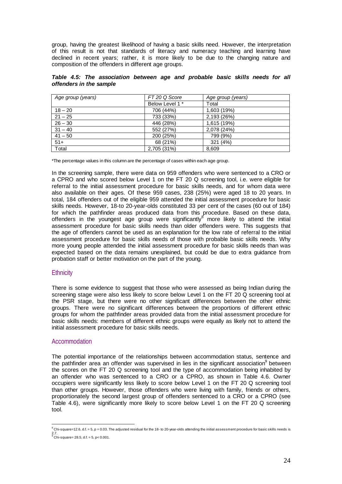group, having the greatest likelihood of having a basic skills need. However, the interpretation of this result is not that standards of literacy and numeracy teaching and learning have declined in recent years; rather, it is more likely to be due to the changing nature and composition of the offenders in different age groups.

|  | Table 4.5: The association between age and probable basic skills needs for all |  |  |  |  |  |
|--|--------------------------------------------------------------------------------|--|--|--|--|--|
|  | offenders in the sample                                                        |  |  |  |  |  |

| Age group (years) | FT 20 Q Score   | Age group (years) |
|-------------------|-----------------|-------------------|
|                   | Below Level 1 * | Total             |
| $18 - 20$         | 706 (44%)       | 1,603 (19%)       |
| $21 - 25$         | 733 (33%)       | 2,193 (26%)       |
| $26 - 30$         | 446 (28%)       | 1,615 (19%)       |
| $31 - 40$         | 552 (27%)       | 2,078 (24%)       |
| $41 - 50$         | 200 (25%)       | 799 (9%)          |
| $51+$             | 68 (21%)        | 321 (4%)          |
| Total             | 2,705 (31%)     | 8,609             |

\*The percentage values in this column are the percentage of cases within each age group.

In the screening sample, there were data on 959 offenders who were sentenced to a CRO or a CPRO and who scored below Level 1 on the FT 20 Q screening tool, i.e. were eligible for referral to the initial assessment procedure for basic skills needs, and for whom data were also available on their ages. Of these 959 cases, 238 (25%) were aged 18 to 20 years. In total, 184 offenders out of the eligible 959 attended the initial assessment procedure for basic skills needs. However, 18-to 20-year-olds constituted 33 per cent of the cases (60 out of 184) for which the pathfinder areas produced data from this procedure. Based on these data, offenders in the youngest age group were significantly<sup>8</sup> more likely to attend the initial assessment procedure for basic skills needs than older offenders were. This suggests that the age of offenders cannot be used as an explanation for the low rate of referral to the initial assessment procedure for basic skills needs of those with probable basic skills needs. Why more young people attended the initial assessment procedure for basic skills needs than was expected based on the data remains unexplained, but could be due to extra guidance from probation staff or better motivation on the part of the young.

#### **Ethnicity**

There is some evidence to suggest that those who were assessed as being Indian during the screening stage were also less likely to score below Level 1 on the FT 20 Q screening tool at the PSR stage, but there were no other significant differences between the other ethnic groups. There were no significant differences between the proportions of different ethnic groups for whom the pathfinder areas provided data from the initial assessment procedure for basic skills needs: members of different ethnic groups were equally as likely not to attend the initial assessment procedure for basic skills needs.

#### Accommodation

The potential importance of the relationships between accommodation status, sentence and the pathfinder area an offender was supervised in lies in the significant association<sup>9</sup> between the scores on the FT 20 Q screening tool and the type of accommodation being inhabited by an offender who was sentenced to a CRO or a CPRO, as shown in Table 4.6. Owner occupiers were significantly less likely to score below Level 1 on the FT 20 Q screening tool than other groups. However, those offenders who were living with family, friends or others, proportionately the second largest group of offenders sentenced to a CRO or a CPRO (see Table 4.6), were significantly more likely to score below Level 1 on the FT 20 Q screening tool.

 $\overline{a}$  $^8$  Chi-square=12.6, d.f. = 5, p = 0.03. The adjusted residual for the 18- to 20-year-olds attending the initial assessment procedure for basic skills needs is 2.7.<br><sup>9</sup> Chi-square= 28.5, d.f. = 5, p< 0.001.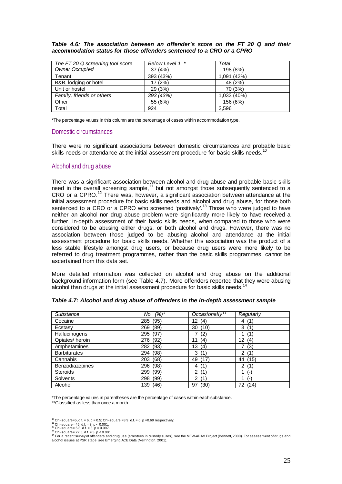*Table 4.6: The association between an offender's score on the FT 20 Q and their accommodation status for those offenders sentenced to a CRO or a CPRO*

| The FT 20 Q screening tool score | Below Level 1 * | Total       |
|----------------------------------|-----------------|-------------|
| <b>Owner Occupied</b>            | 37(4%)          | 198 (8%)    |
| Tenant                           | 393 (43%)       | 1,091 (42%) |
| B&B, lodging or hotel            | 17 (2%)         | 48 (2%)     |
| Unit or hostel                   | 29 (3%)         | 70 (3%)     |
| Family, friends or others        | 393 (43%)       | 1,033 (40%) |
| Other                            | 55 (6%)         | 156 (6%)    |
| Total                            | 924             | 2.596       |

\*The percentage values in this column are the percentage of cases within accommodation type.

### Domestic circumstances

There were no significant associations between domestic circumstances and probable basic skills needs or attendance at the initial assessment procedure for basic skills needs.<sup>10</sup>

### Alcohol and drug abuse

There was a significant association between alcohol and drug abuse and probable basic skills need in the overall screening sample,<sup>11</sup> but not amongst those subsequently sentenced to a CRO or a CPRO.12 There was, however, a significant association between attendance at the initial assessment procedure for basic skills needs and alcohol and drug abuse, for those both sentenced to a CRO or a CPRO who screened 'positively'.13 Those who were judged to have neither an alcohol nor drug abuse problem were significantly more likely to have received a further, in-depth assessment of their basic skills needs, when compared to those who were considered to be abusing either drugs, or both alcohol and drugs. However, there was no association between those judged to be abusing alcohol and attendance at the initial assessment procedure for basic skills needs. Whether this association was the product of a less stable lifestyle amongst drug users, or because drug users were more likely to be referred to drug treatment programmes, rather than the basic skills programmes, cannot be ascertained from this data set.

More detailed information was collected on alcohol and drug abuse on the additional background information form (see Table 4.7). More offenders reported that they were abusing alcohol than drugs at the initial assessment procedure for basic skills needs.<sup>14</sup>

| Substance              | $(%)^*$<br>No | Occasionally**         | Regularly              |
|------------------------|---------------|------------------------|------------------------|
| Cocaine                | (95)<br>285   | (4)<br>12 <sup>°</sup> | 4(1)                   |
| Ecstasy                | (89)<br>269   | 30<br>(10)             | 3<br>(1)               |
| <b>Hallucinogens</b>   | (97)<br>295   | (2)                    | (1`                    |
| Opiates/heroin         | (92)<br>276   | 11<br>(4)              | 12 <sup>2</sup><br>(4) |
| Amphetamines           | 282<br>(93)   | 13<br>(4)              | (3)                    |
| <b>Barbiturates</b>    | (98)<br>294   | 3<br>(1)               | $\overline{2}$<br>(1)  |
| Cannabis               | (68)<br>203   | (17)<br>49             | 44 (15)                |
| <b>Benzodiazepines</b> | 296<br>(98)   | (1)<br>4               | $\overline{2}$<br>(1)  |
| <b>Steroids</b>        | 299<br>(99)   | $\overline{2}$<br>(1)  | $(-)$                  |
| <b>Solvents</b>        | (99)<br>298   | 2<br>(1)               | (-)                    |
| Alcohol                | 139<br>(46)   | (30)<br>97             | (24)<br>72             |

### *Table 4.7: Alcohol and drug abuse of offenders in the in-depth assessment sample*

\*The percentage values in parentheses are the percentage of cases within each substance. \*\*Classified as less than once a month.

<sup>&</sup>lt;sup>10</sup> Chi-square=5, d.f. = 6, p = 0.5; Chi-square = 3.9, d.f. = 6, p = 0.69 respectively.

<sup>&</sup>lt;sup>10</sup> Chi-square=5, d.f. = 6, p = 0.5; Chi-square =3.9, d.f. = 6, p =0.69 respectively.<br>11 Chi-square= 45, d.f. = 3, p < 0.001.<br>12 Chi-square= 22.5, d.f. = 3, p < 0.001.<br>13 Chi-square= 22.5, d.f. = 3, p < 0.001.<br><sup>13</sup> Chi-sq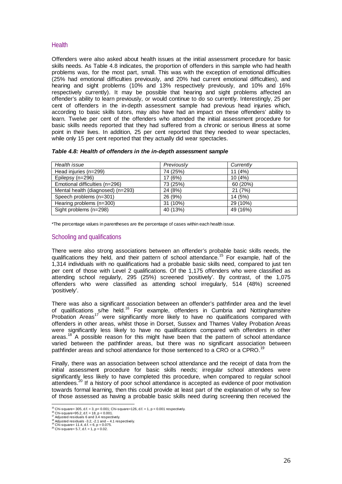## **Health**

Offenders were also asked about health issues at the initial assessment procedure for basic skills needs. As Table 4.8 indicates, the proportion of offenders in this sample who had health problems was, for the most part, small. This was with the exception of emotional difficulties (25% had emotional difficulties previously, and 20% had current emotional difficulties), and hearing and sight problems (10% and 13% respectively previously, and 10% and 16% respectively currently). It may be possible that hearing and sight problems affected an offender's ability to learn previously, or would continue to do so currently. Interestingly, 25 per cent of offenders in the in-depth assessment sample had previous head injuries which, according to basic skills tutors, may also have had an impact on these offenders' ability to learn. Twelve per cent of the offenders who attended the initial assessment procedure for basic skills needs reported that they had suffered from a chronic or serious illness at some point in their lives. In addition, 25 per cent reported that they needed to wear spectacles, while only 15 per cent reported that they actually did wear spectacles.

### *Table 4.8: Health of offenders in the in-depth assessment sample*

| Health issue                      | Previously | Currently |
|-----------------------------------|------------|-----------|
| Head injuries (n=299)             | 74 (25%)   | 11(4%)    |
| Epilepsy (n=296)                  | 17(6%)     | 10(4%)    |
| Emotional difficulties (n=296)    | 73 (25%)   | 60 (20%)  |
| Mental health (diagnosed) (n=293) | 24 (8%)    | 21(7%)    |
| Speech problems (n=301)           | 26 (9%)    | 14 (5%)   |
| Hearing problems (n=300)          | 31 (10%)   | 29 (10%)  |
| Sight problems (n=298)            | 40 (13%)   | 49 (16%)  |

\*The percentage values in parentheses are the percentage of cases within each health issue.

## Schooling and qualifications

There were also strong associations between an offender's probable basic skills needs, the qualifications they held, and their pattern of school attendance.<sup>15</sup> For example, half of the 1,314 individuals with no qualifications had a probable basic skills need, compared to just ten per cent of those with Level 2 qualifications. Of the 1,175 offenders who were classified as attending school regularly, 295 (25%) screened 'positively'. By contrast, of the 1,075 offenders who were classified as attending school irregularly, 514 (48%) screened 'positively'.

There was also a significant association between an offender's pathfinder area and the level of qualifications s/he held.<sup>16</sup> For example, offenders in Cumbria and Nottinghamshire Probation Areas<sup>17</sup> were significantly more likely to have no qualifications compared with offenders in other areas, whilst those in Dorset, Sussex and Thames Valley Probation Areas were significantly less likely to have no qualifications compared with offenders in other areas.<sup>18</sup> A possible reason for this might have been that the pattern of school attendance varied between the pathfinder areas, but there was no significant association between pathfinder areas and school attendance for those sentenced to a CRO or a CPRO.<sup>1</sup>

Finally, there was an association between school attendance and the receipt of data from the initial assessment procedure for basic skills needs; irregular school attendees were significantly less likely to have completed this procedure, when compared to regular school attendees.20 If a history of poor school attendance is accepted as evidence of poor motivation towards formal learning, then this could provide at least part of the explanation of why so few of those assessed as having a probable basic skills need during screening then received the

<sup>&</sup>lt;sup>15</sup> Chi-square= 305, d.f. = 3, p< 0.001; Chi-square=126, d.f. = 1, p < 0.001 respectively.

<sup>&</sup>lt;sup>16</sup> Chi-square= 305, d.f. = 3, p< 0.001; Chi-square=12<br>
<sup>16</sup> Chi-square=95.2, d.f. = 18, p < 0.001.<br>
<sup>16</sup> Chi-square=95.2, d.f. = 18, p < 0.001.<br>
<sup>18</sup> Adjusted residuals 6 and 3.4 respectively.<br>
<sup>18</sup> Chi-square= 11.4, d.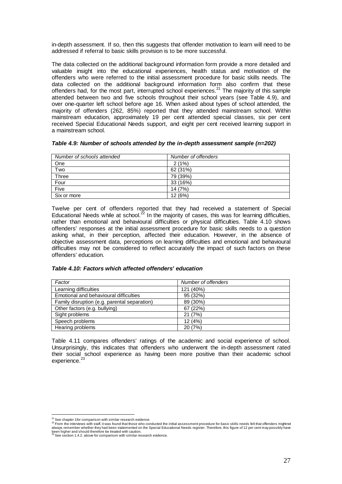in-depth assessment. If so, then this suggests that offender motivation to learn will need to be addressed if referral to basic skills provision is to be more successful.

The data collected on the additional background information form provide a more detailed and valuable insight into the educational experiences, health status and motivation of the offenders who were referred to the initial assessment procedure for basic skills needs. The data collected on the additional background information form also confirm that these offenders had, for the most part, interrupted school experiences.<sup>21</sup> The majority of this sample attended between two and five schools throughout their school years (see Table 4.9), and over one-quarter left school before age 16. When asked about types of school attended, the majority of offenders (262, 85%) reported that they attended mainstream school. Within mainstream education, approximately 19 per cent attended special classes, six per cent received Special Educational Needs support, and eight per cent received learning support in a mainstream school.

| Number of schools attended | Number of offenders |
|----------------------------|---------------------|
| One                        | 2(1%)               |
| Two                        | 62 (31%)            |
| Three                      | 79 (39%)            |
| Four                       | 33 (16%)            |
| Five                       | 14 (7%)             |
| Six or more                | 12 (6%)             |

| Table 4.9: Number of schools attended by the in-depth assessment sample (n=202) |
|---------------------------------------------------------------------------------|
|---------------------------------------------------------------------------------|

Twelve per cent of offenders reported that they had received a statement of Special Educational Needs while at school.<sup>22</sup> In the majority of cases, this was for learning difficulties, rather than emotional and behavioural difficulties or physical difficulties. Table 4.10 shows offenders' responses at the initial assessment procedure for basic skills needs to a question asking what, in their perception, affected their education. However, in the absence of objective assessment data, perceptions on learning difficulties and emotional and behavioural difficulties may not be considered to reflect accurately the impact of such factors on these offenders' education.

### *Table 4.10: Factors which affected offenders' education*

| Factor                                       | Number of offenders |
|----------------------------------------------|---------------------|
| Learning difficulties                        | 121 (40%)           |
| Emotional and behavioural difficulties       | 95 (32%)            |
| Family disruption (e.g. parental separation) | 89 (30%)            |
| Other factors (e.g. bullying)                | 67 (22%)            |
| Sight problems                               | 21(7%)              |
| Speech problems                              | 12(4%)              |
| Hearing problems                             | 20 (7%)             |

Table 4.11 compares offenders' ratings of the academic and social experience of school. Unsurprisingly, this indicates that offenders who underwent the in-depth assessment rated their social school experience as having been more positive than their academic school experience.<sup>23</sup>

<sup>&</sup>lt;sup>21</sup> See chapter 1 for comparison with similar research evidence.

<sup>21</sup> See chapter 1for comparison with similar research evidence. 22 From the interviews with staff, it was found that those who conducted the initial assessment procedure for basic skills needs felt that offenders might not always remember whether they had been statemented on the Special Educational Needs register. Therefore, this figure of 12 per cent may possibly have<br>been higher and should therefore be treated with caution.<br><sup>23</sup> See secti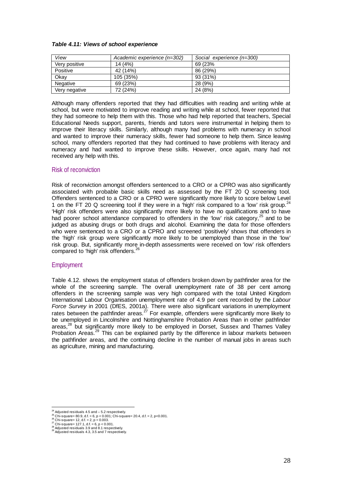### *Table 4.11: Views of school experience*

| View            | Academic experience (n=302) | Social experience (n=300) |
|-----------------|-----------------------------|---------------------------|
| Very positive   | 14(4%)                      | 69 (23%)                  |
| Positive        | 42 (14%)                    | 86 (29%)                  |
| Okay            | 105 (35%)                   | 93 (31%)                  |
| <b>Negative</b> | 69 (23%)                    | 28(9%)                    |
| Very negative   | 72 (24%)                    | 24 (8%)                   |

Although many offenders reported that they had difficulties with reading and writing while at school, but were motivated to improve reading and writing while at school, fewer reported that they had someone to help them with this. Those who had help reported that teachers, Special Educational Needs support, parents, friends and tutors were instrumental in helping them to improve their literacy skills. Similarly, although many had problems with numeracy in school and wanted to improve their numeracy skills, fewer had someone to help them. Since leaving school, many offenders reported that they had continued to have problems with literacy and numeracy and had wanted to improve these skills. However, once again, many had not received any help with this.

## Risk of reconviction

Risk of reconviction amongst offenders sentenced to a CRO or a CPRO was also significantly associated with probable basic skills need as assessed by the FT 20 Q screening tool. Offenders sentenced to a CRO or a CPRO were significantly more likely to score below Level 1 on the FT 20 Q screening tool if they were in a 'high' risk compared to a 'low' risk group.<sup>2</sup> 'High' risk offenders were also significantly more likely to have no qualifications and to have had poorer school attendance compared to offenders in the 'low' risk category,  $25$  and to be judged as abusing drugs or both drugs and alcohol. Examining the data for those offenders who were sentenced to a CRO or a CPRO and screened 'positively' shows that offenders in the 'high' risk group were significantly more likely to be unemployed than those in the 'low' risk group. But, significantly more in-depth assessments were received on 'low' risk offenders compared to 'high' risk offenders.<sup>26</sup>

### **Employment**

Table 4.12. shows the employment status of offenders broken down by pathfinder area for the whole of the screening sample. The overall unemployment rate of 38 per cent among offenders in the screening sample was very high compared with the total United Kingdom International Labour Organisation unemployment rate of 4.9 per cent recorded by the *Labour Force Survey* in 2001 (DfES, 2001a). There were also significant variations in unemployment rates between the pathfinder areas.<sup>27</sup> For example, offenders were significantly more likely to be unemployed in Lincolnshire and Nottinghamshire Probation Areas than in other pathfinder areas,<sup>28</sup> but significantly more likely to be employed in Dorset, Sussex and Thames Valley Probation Areas.<sup>29</sup> This can be explained partly by the difference in labour markets between the pathfinder areas, and the continuing decline in the number of manual jobs in areas such as agriculture, mining and manufacturing.

 $24$  Adjusted residuals 4.5 and  $-5.2$  respectively.

<sup>29</sup> Chi-square= 80.9, d.f. = 6, p < 0.001; Chi-square= 20.4, d.f. = 2, p < 0.001.<br>
26 Chi-square= 12, d.f. = 2, p = 0.003.<br>
26 Chi-square= 127.1, d.f. = 6, p < 0.001; Chi-square= 20.4, d.f. = 2, p < 0.001.<br>
27 Chi-square=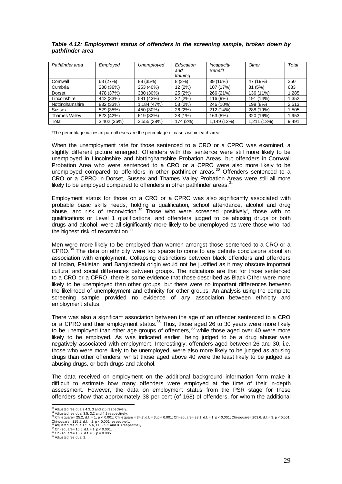| Pathfinder area      | Employed    | Unemployed  | Education<br>and<br>training | Incapacity<br><b>Benefit</b> | Other       | Total |
|----------------------|-------------|-------------|------------------------------|------------------------------|-------------|-------|
| Cornwall             | 68 (27%)    | 88 (35%)    | 8(3%)                        | 39 (16%)                     | 47 (19%)    | 250   |
| Cumbria              | 230 (36%)   | 253 (40%)   | 12(2%)                       | 107 (17%)                    | 31(5%)      | 633   |
| Dorset               | 478 (37%)   | 380 (30%)   | 25 (2%)                      | 266 (21%)                    | 136 (11%)   | 1,285 |
| Lincolnshire         | 442 (33%)   | 581 (43%)   | 22 (2%)                      | 116 (9%)                     | 191 (14%)   | 1,352 |
| Nottinghamshire      | 832 (33%)   | 1.184 (47%) | 53 (2%)                      | 246 (10%)                    | 198 (8%)    | 2,513 |
| Sussex               | 529 (35%)   | 450 (30%)   | 26 (2%)                      | 212 (14%)                    | 288 (19%)   | 1,505 |
| <b>Thames Vallev</b> | 823 (42%)   | 619 (32%)   | 28 (1%)                      | 163 (8%)                     | 320 (16%)   | 1.953 |
| Total                | 3,402 (36%) | 3,555 (38%) | 174 (2%)                     | 1,149 (12%)                  | 1.211 (13%) | 9,491 |

### *Table 4.12: Employment status of offenders in the screening sample, broken down by pathfinder area*

\*The percentage values in parentheses are the percentage of cases within each area.

When the unemployment rate for those sentenced to a CRO or a CPRO was examined, a slightly different picture emerged. Offenders with this sentence were still more likely to be unemployed in Lincolnshire and Nottinghamshire Probation Areas, but offenders in Cornwall Probation Area who were sentenced to a CRO or a CPRO were also more likely to be unemployed compared to offenders in other pathfinder areas.<sup>30</sup> Offenders sentenced to a CRO or a CPRO in Dorset, Sussex and Thames Valley Probation Areas were still all more likely to be employed compared to offenders in other pathfinder areas.<sup>3</sup>

Employment status for those on a CRO or a CPRO was also significantly associated with probable basic skills needs, holding a qualification, school attendance, alcohol and drug abuse, and risk of reconviction.<sup>32</sup> Those who were screened 'positively', those with no qualifications or Level 1 qualifications, and offenders judged to be abusing drugs or both drugs and alcohol, were all significantly more likely to be unemployed as were those who had the highest risk of reconviction.<sup>33</sup>

Men were more likely to be employed than women amongst those sentenced to a CRO or a CPRO.<sup>34</sup> The data on ethnicity were too sparse to come to any definite conclusions about an association with employment. Collapsing distinctions between black offenders and offenders of Indian, Pakistani and Bangladeshi origin would not be justified as it may obscure important cultural and social differences between groups. The indications are that for those sentenced to a CRO or a CPRO, there is some evidence that those described as Black Other were more likely to be unemployed than other groups, but there were no important differences between the likelihood of unemployment and ethnicity for other groups. An analysis using the complete screening sample provided no evidence of any association between ethnicity and employment status.

There was also a significant association between the age of an offender sentenced to a CRO or a CPRO and their employment status.<sup>35</sup> Thus, those aged 26 to 30 years were more likely to be unemployed than other age groups of offenders,  $36$  while those aged over 40 were more likely to be employed. As was indicated earlier, being judged to be a drug abuser was negatively associated with employment. Interestingly, offenders aged between 26 and 30, i.e. those who were more likely to be unemployed, were also more likely to be judged as abusing drugs than other offenders, whilst those aged above 40 were the least likely to be judged as abusing drugs, or both drugs and alcohol.

The data received on employment on the additional background information form make it difficult to estimate how many offenders were employed at the time of their in-depth assessment. However, the data on employment status from the PSR stage for these offenders show that approximately 38 per cent (of 168) of offenders, for whom the additional

 $\frac{30}{1}$  Adjusted residuals 4.3, 3 and 2.5 respectively.<br> $\frac{31}{1}$  Adjusted residual 3.5, 3.2 and 4.1 respectively.

<sup>&</sup>lt;sup>30</sup> Adjusted residuals 4.3, 3 and 2.5 respectively.<br><sup>31</sup> Adjusted residual 3.5, 3.2 and 4.1 respectively.<br><sup>32</sup> Chi-square= 25.2, d.f. = 1, p < 0.001; Chi-square = 34.7, d.f. = 3, p < 0.001; Chi-square= 33.1, d.f. = 1, p < Chi-square= 115.1, d.f. = 2, p < 0.001 respectively.<br><sup>33</sup> Adjusted residuals 5, 5.6, 11.5, 5.1 and 8.8 respectively.<br><sup>34</sup> Chi-square= 16.5, d.f. = 1, p < 0.001.<br><sup>36</sup> Chi-square= 16.7, d.f. = 5, p = 0.005.<br><sup>36</sup> Adjusted re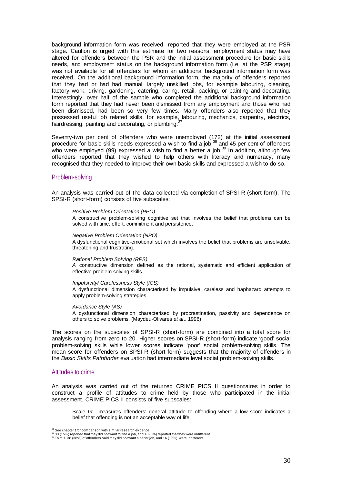background information form was received, reported that they were employed at the PSR stage. Caution is urged with this estimate for two reasons: employment status may have altered for offenders between the PSR and the initial assessment procedure for basic skills needs, and employment status on the background information form (i.e. at the PSR stage) was not available for all offenders for whom an additional background information form was received. On the additional background information form, the majority of offenders reported that they had or had had manual, largely unskilled jobs, for example labouring, cleaning, factory work, driving, gardening, catering, caring, retail, packing, or painting and decorating. Interestingly, over half of the sample who completed the additional background information form reported that they had never been dismissed from any employment and those who had been dismissed, had been so very few times. Many offenders also reported that they possessed useful job related skills, for example, labouring, mechanics, carpentry, electrics, hairdressing, painting and decorating, or plumbing.

Seventy-two per cent of offenders who were unemployed (172) at the initial assessment procedure for basic skills needs expressed a wish to find a job,38 and 45 per cent of offenders who were employed (99) expressed a wish to find a better a job.<sup>39</sup> In addition, although few offenders reported that they wished to help others with literacy and numeracy, many recognised that they needed to improve their own basic skills and expressed a wish to do so.

### Problem-solving

An analysis was carried out of the data collected via completion of SPSI-R (short-form). The SPSI-R (short-form) consists of five subscales:

### *Positive Problem Orientation (PPO)*

A constructive problem-solving cognitive set that involves the belief that problems can be solved with time, effort, commitment and persistence.

### *Negative Problem Orientation (NPO)*

A dysfunctional cognitive-emotional set which involves the belief that problems are unsolvable, threatening and frustrating.

#### *Rational Problem Solving (RPS)*

*A* constructive dimension defined as the rational, systematic and efficient application of effective problem-solving skills.

### *Impulsivity/ Carelessness Style (ICS)*

A dysfunctional dimension characterised by impulsive, careless and haphazard attempts to apply problem-solving strategies.

#### *Avoidance Style (AS)*

A dysfunctional dimension characterised by procrastination, passivity and dependence on others to solve problems. (Maydeu-Olivares *et al*., 1996)

The scores on the subscales of SPSI-R (short-form) are combined into a total score for analysis ranging from zero to 20. Higher scores on SPSI-R (short-form) indicate 'good' social problem-solving skills while lower scores indicate 'poor' social problem-solving skills. The mean score for offenders on SPSI-R (short-form) suggests that the majority of offenders in the *Basic Skills Pathfinder* evaluation had intermediate level social problem-solving skills.

### Attitudes to crime

 $\overline{a}$ 

An analysis was carried out of the returned CRIME PICS II questionnaires in order to construct a profile of attitudes to crime held by those who participated in the initial assessment. CRIME PICS II consists of five subscales:

Scale G: measures offenders' general attitude to offending where a low score indicates a belief that offending is not an acceptable way of life.

<sup>&</sup>lt;sup>37</sup> See chapter 1 for comparison with similar research evidence.<br><sup>38</sup> S3 (15%) reported that they did not want to find a job, and 18 (8%) reported that they were indifferent.<br><sup>39</sup> To this, 38 (38%) of offenders said they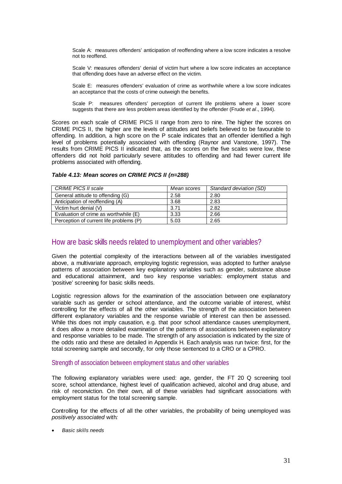Scale A: measures offenders' anticipation of reoffending where a low score indicates a resolve not to reoffend.

Scale V: measures offenders' denial of victim hurt where a low score indicates an acceptance that offending does have an adverse effect on the victim.

Scale E: measures offenders' evaluation of crime as worthwhile where a low score indicates an acceptance that the costs of crime outweigh the benefits.

Scale P: measures offenders' perception of current life problems where a lower score suggests that there are less problem areas identified by the offender (Frude *et al*., 1994).

Scores on each scale of CRIME PICS II range from zero to nine. The higher the scores on CRIME PICS II, the higher are the levels of attitudes and beliefs believed to be favourable to offending. In addition, a high score on the P scale indicates that an offender identified a high level of problems potentially associated with offending (Raynor and Vanstone, 1997). The results from CRIME PICS II indicated that, as the scores on the five scales were low, these offenders did not hold particularly severe attitudes to offending and had fewer current life problems associated with offending.

| CRIME PICS II scale                     | Mean scores | Standard deviation (SD) |
|-----------------------------------------|-------------|-------------------------|
| General attitude to offending (G)       | 2.58        | 2.80                    |
| Anticipation of reoffending (A)         | 3.68        | 2.83                    |
| Victim hurt denial (V)                  | 3.71        | 2.82                    |
| Evaluation of crime as worthwhile (E)   | 3.33        | 2.66                    |
| Perception of current life problems (P) | 5.03        | 2.65                    |

### *Table 4.13: Mean scores on CRIME PICS II (n=288)*

# How are basic skills needs related to unemployment and other variables?

Given the potential complexity of the interactions between all of the variables investigated above, a multivariate approach, employing logistic regression, was adopted to further analyse patterns of association between key explanatory variables such as gender, substance abuse and educational attainment, and two key response variables: employment status and 'positive' screening for basic skills needs.

Logistic regression allows for the examination of the association between one explanatory variable such as gender or school attendance, and the outcome variable of interest, whilst controlling for the effects of all the other variables. The strength of the association between different explanatory variables and the response variable of interest can then be assessed. While this does not imply causation, e.g. that poor school attendance causes unemployment, it does allow a more detailed examination of the patterns of associations between explanatory and response variables to be made. The strength of any association is indicated by the size of the odds ratio and these are detailed in Appendix H. Each analysis was run twice: first, for the total screening sample and secondly, for only those sentenced to a CRO or a CPRO.

### Strength of association between employment status and other variables

The following explanatory variables were used: age, gender, the FT 20 Q screening tool score, school attendance, highest level of qualification achieved, alcohol and drug abuse, and risk of reconviction. On their own, all of these variables had significant associations with employment status for the total screening sample.

Controlling for the effects of all the other variables, the probability of being unemployed was *positively associated* with*:* 

• *Basic skills needs*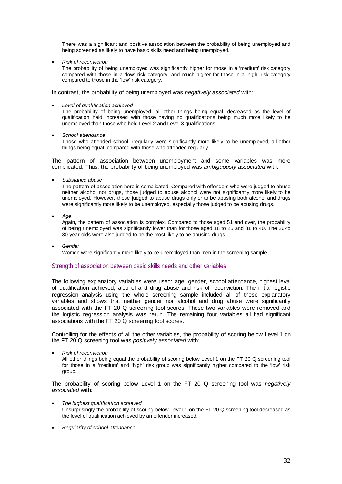There was a significant and positive association between the probability of being unemployed and being screened as likely to have basic skills need and being unemployed.

• *Risk of reconviction*

The probability of being unemployed was significantly higher for those in a 'medium' risk category compared with those in a 'low' risk category, and much higher for those in a 'high' risk category compared to those in the 'low' risk category.

In contrast, the probability of being unemployed was *negatively associated* with:

• *Level of qualification achieved*

The probability of being unemployed, all other things being equal, decreased as the level of qualification held increased with those having no qualifications being much more likely to be unemployed than those who held Level 2 and Level 3 qualifications.

• *School attendance*

Those who attended school irregularly were significantly more likely to be unemployed, all other things being equal, compared with those who attended regularly.

The pattern of association between unemployment and some variables was more complicated. Thus, the probability of being unemployed was *ambiguously associated* with*:* 

• *Substance abuse*

The pattern of association here is complicated. Compared with offenders who were judged to abuse neither alcohol nor drugs, those judged to abuse alcohol were not significantly more likely to be unemployed. However, those judged to abuse drugs only or to be abusing both alcohol and drugs were significantly more likely to be unemployed, especially those judged to be abusing drugs.

• *Age*

Again, the pattern of association is complex. Compared to those aged 51 and over, the probability of being unemployed was significantly lower than for those aged 18 to 25 and 31 to 40. The 26-to 30-year-olds were also judged to be the most likely to be abusing drugs.

• *Gender* Women were significantly more likely to be unemployed than men in the screening sample.

## Strength of association between basic skills needs and other variables

The following explanatory variables were used: age, gender, school attendance, highest level of qualification achieved, alcohol and drug abuse and risk of reconviction. The initial logistic regression analysis using the whole screening sample included all of these explanatory variables and shows that neither gender nor alcohol and drug abuse were significantly associated with the FT 20 Q screening tool scores. These two variables were removed and the logistic regression analysis was rerun. The remaining four variables all had significant associations with the FT 20 Q screening tool scores.

Controlling for the effects of all the other variables, the probability of scoring below Level 1 on the FT 20 Q screening tool was *positively associated* with:

• *Risk of reconviction* 

All other things being equal the probability of scoring below Level 1 on the FT 20 Q screening tool for those in a 'medium' and 'high' risk group was significantly higher compared to the 'low' risk group.

The probability of scoring below Level 1 on the FT 20 Q screening tool was *negatively associated* with*:* 

- *The highest qualification achieved* Unsurprisingly the probability of scoring below Level 1 on the FT 20 Q screening tool decreased as the level of qualification achieved by an offender increased.
- *Regularity of school attendance*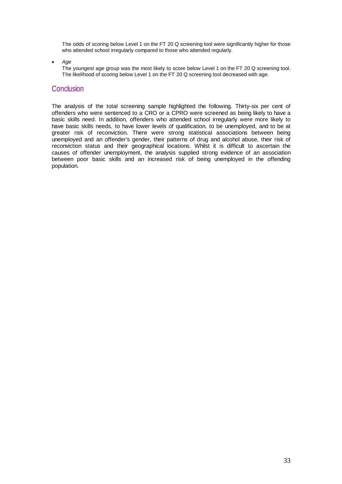The odds of scoring below Level 1 on the FT 20 Q screening tool were significantly higher for those who attended school irregularly compared to those who attended regularly.

• *Age*

The youngest age group was the most likely to score below Level 1 on the FT 20 Q screening tool. The likelihood of scoring below Level 1 on the FT 20 Q screening tool decreased with age.

# **Conclusion**

The analysis of the total screening sample highlighted the following. Thirty-six per cent of offenders who were sentenced to a CRO or a CPRO were screened as being likely to have a basic skills need. In addition, offenders who attended school irregularly were more likely to have basic skills needs, to have lower levels of qualification, to be unemployed, and to be at greater risk of reconviction. There were strong statistical associations between being unemployed and an offender's gender, their patterns of drug and alcohol abuse, their risk of reconviction status and their geographical locations. Whilst it is difficult to ascertain the causes of offender unemployment, the analysis supplied strong evidence of an association between poor basic skills and an increased risk of being unemployed in the offending population.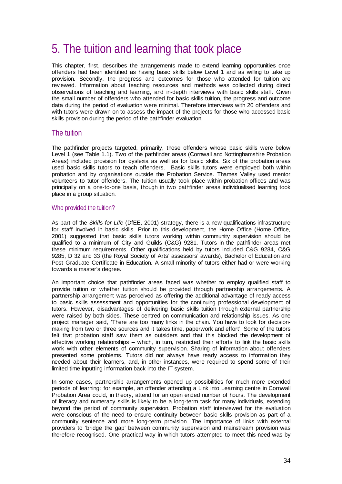# 5. The tuition and learning that took place

This chapter, first, describes the arrangements made to extend learning opportunities once offenders had been identified as having basic skills below Level 1 and as willing to take up provision. Secondly, the progress and outcomes for those who attended for tuition are reviewed. Information about teaching resources and methods was collected during direct observations of teaching and learning, and in-depth interviews with basic skills staff. Given the small number of offenders who attended for basic skills tuition, the progress and outcome data during the period of evaluation were minimal. Therefore interviews with 20 offenders and with tutors were drawn on to assess the impact of the projects for those who accessed basic skills provision during the period of the pathfinder evaluation.

# The tuition

The pathfinder projects targeted, primarily, those offenders whose basic skills were below Level 1 (see Table 1.1). Two of the pathfinder areas (Cornwall and Nottinghamshire Probation Areas) included provision for dyslexia as well as for basic skills. Six of the probation areas used basic skills tutors to teach offenders. Basic skills tutors were employed both within probation and by organisations outside the Probation Service. Thames Valley used mentor volunteers to tutor offenders. The tuition usually took place within probation offices and was principally on a one-to-one basis, though in two pathfinder areas individualised learning took place in a group situation.

## Who provided the tuition?

As part of the *Skills for Life* (DfEE, 2001) strategy, there is a new qualifications infrastructure for staff involved in basic skills. Prior to this development, the Home Office (Home Office, 2001) suggested that basic skills tutors working within community supervision should be qualified to a minimum of City and Guilds (C&G) 9281. Tutors in the pathfinder areas met these minimum requirements. Other qualifications held by tutors included C&G 9284, C&G 9285, D 32 and 33 (the Royal Society of Arts' assessors' awards), Bachelor of Education and Post Graduate Certificate in Education. A small minority of tutors either had or were working towards a master's degree.

An important choice that pathfinder areas faced was whether to employ qualified staff to provide tuition or whether tuition should be provided through partnership arrangements. A partnership arrangement was perceived as offering the additional advantage of ready access to basic skills assessment and opportunities for the continuing professional development of tutors. However, disadvantages of delivering basic skills tuition through external partnership were raised by both sides. These centred on communication and relationship issues. As one project manager said, 'There are too many links in the chain. You have to look for decisionmaking from two or three sources and it takes time, paperwork and effort'. Some of the tutors felt that probation staff saw them as outsiders and that this blocked the development of effective working relationships – which, in turn, restricted their efforts to link the basic skills work with other elements of community supervision. Sharing of information about offenders presented some problems. Tutors did not always have ready access to information they needed about their learners, and, in other instances, were required to spend some of their limited time inputting information back into the IT system.

In some cases, partnership arrangements opened up possibilities for much more extended periods of learning: for example, an offender attending a Link into Learning centre in Cornwall Probation Area could, in theory, attend for an open ended number of hours. The development of literacy and numeracy skills is likely to be a long-term task for many individuals, extending beyond the period of community supervision. Probation staff interviewed for the evaluation were conscious of the need to ensure continuity between basic skills provision as part of a community sentence and more long-term provision. The importance of links with external providers to 'bridge the gap' between community supervision and mainstream provision was therefore recognised. One practical way in which tutors attempted to meet this need was by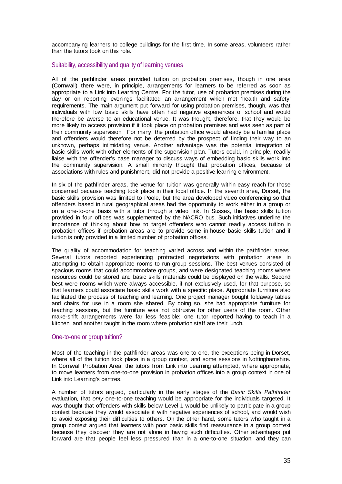accompanying learners to college buildings for the first time. In some areas, volunteers rather than the tutors took on this role.

### Suitability, accessibility and quality of learning venues

All of the pathfinder areas provided tuition on probation premises, though in one area (Cornwall) there were, in principle, arrangements for learners to be referred as soon as appropriate to a Link into Learning Centre. For the tutor, use of probation premises during the day or on reporting evenings facilitated an arrangement which met 'health and safety' requirements. The main argument put forward for using probation premises, though, was that individuals with low basic skills have often had negative experiences of school and would therefore be averse to an educational venue. It was thought, therefore, that they would be more likely to access provision if it took place on probation premises and was seen as part of their community supervision. For many, the probation office would already be a familiar place and offenders would therefore not be deterred by the prospect of finding their way to an unknown, perhaps intimidating venue. Another advantage was the potential integration of basic skills work with other elements of the supervision plan. Tutors could, in principle, readily liaise with the offender's case manager to discuss ways of embedding basic skills work into the community supervision. A small minority thought that probation offices, because of associations with rules and punishment, did not provide a positive learning environment.

In six of the pathfinder areas, the venue for tuition was generally within easy reach for those concerned because teaching took place in their local office. In the seventh area, Dorset, the basic skills provision was limited to Poole, but the area developed video conferencing so that offenders based in rural geographical areas had the opportunity to work either in a group or on a one-to-one basis with a tutor through a video link. In Sussex, the basic skills tuition provided in four offices was supplemented by the NACRO bus. Such initiatives underline the importance of thinking about how to target offenders who cannot readily access tuition in probation offices if probation areas are to provide some in-house basic skills tuition and if tuition is only provided in a limited number of probation offices.

The quality of accommodation for teaching varied across and within the pathfinder areas. Several tutors reported experiencing protracted negotiations with probation areas in attempting to obtain appropriate rooms to run group sessions. The best venues consisted of spacious rooms that could accommodate groups, and were designated teaching rooms where resources could be stored and basic skills materials could be displayed on the walls. Second best were rooms which were always accessible, if not exclusively used, for that purpose, so that learners could associate basic skills work with a specific place. Appropriate furniture also facilitated the process of teaching and learning. One project manager bought foldaway tables and chairs for use in a room she shared. By doing so, she had appropriate furniture for teaching sessions, but the furniture was not obtrusive for other users of the room. Other make-shift arrangements were far less feasible: one tutor reported having to teach in a kitchen, and another taught in the room where probation staff ate their lunch.

## One-to-one or group tuition?

Most of the teaching in the pathfinder areas was one-to-one, the exceptions being in Dorset, where all of the tuition took place in a group context, and some sessions in Nottinghamshire. In Cornwall Probation Area, the tutors from Link into Learning attempted, where appropriate, to move learners from one-to-one provision in probation offices into a group context in one of Link into Learning's centres.

A number of tutors argued, particularly in the early stages of the *Basic Skills Pathfinder*  evaluation, that *only* one-to-one teaching would be appropriate for the individuals targeted. It was thought that offenders with skills below Level 1 would be unlikely to participate in a group context because they would associate it with negative experiences of school, and would wish to avoid exposing their difficulties to others. On the other hand, some tutors who taught in a group context argued that learners with poor basic skills find reassurance in a group context because they discover they are not alone in having such difficulties. Other advantages put forward are that people feel less pressured than in a one-to-one situation, and they can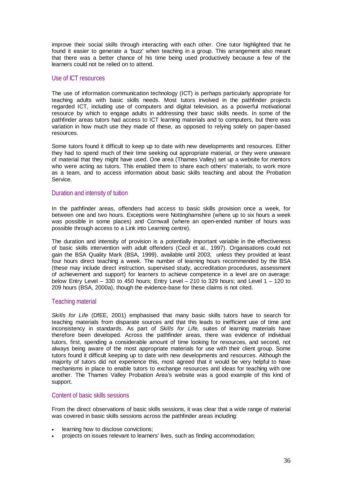improve their social skills through interacting with each other. One tutor highlighted that he found it easier to generate a 'buzz' when teaching in a group. This arrangement also meant that there was a better chance of his time being used productively because a few of the learners could not be relied on to attend.

## Use of ICT resources

The use of information communication technology (ICT) is perhaps particularly appropriate for teaching adults with basic skills needs. Most tutors involved in the pathfinder projects regarded ICT, including use of computers and digital television, as a powerful motivational resource by which to engage adults in addressing their basic skills needs. In some of the pathfinder areas tutors had access to ICT learning materials and to computers, but there was variation in how much use they made of these, as opposed to relying solely on paper-based resources.

Some tutors found it difficult to keep up to date with new developments and resources. Either they had to spend much of their time seeking out appropriate material, or they were unaware of material that they might have used. One area (Thames Valley) set up a website for mentors who were acting as tutors. This enabled them to share each others' materials, to work more as a team, and to access information about basic skills teaching and about the Probation Service.

## Duration and intensity of tuition

In the pathfinder areas, offenders had access to basic skills provision once a week, for between one and two hours. Exceptions were Nottinghamshire (where up to six hours a week was possible in some places) and Cornwall (where an open-ended number of hours was possible through access to a Link into Learning centre).

The duration and intensity of provision is a potentially important variable in the effectiveness of basic skills intervention with adult offenders (Cecil et al., 1997). Organisations could not gain the BSA Quality Mark (BSA, 1999), available until 2003, unless they provided at least four hours direct teaching a week. The number of learning hours recommended by the BSA (these may include direct instruction, supervised study, accreditation procedures, assessment of achievement and support) for learners to achieve competence in a level are on average: below Entry Level – 330 to 450 hours; Entry Level – 210 to 329 hours; and Level 1 – 120 to 209 hours (BSA, 2000a), though the evidence-base for these claims is not cited.

# Teaching material

*Skills for Life* (DfEE, 2001) emphasised that many basic skills tutors have to search for teaching materials from disparate sources and that this leads to inefficient use of time and inconsistency in standards. As part of *Skills for Life,* suites of learning materials have therefore been developed*.* Across the pathfinder areas, there was evidence of individual tutors, first, spending a considerable amount of time looking for resources, and second, not always being aware of the most appropriate materials for use with their client group. Some tutors found it difficult keeping up to date with new developments and resources. Although the majority of tutors did not experience this, most agreed that it would be very helpful to have mechanisms in place to enable tutors to exchange resources and ideas for teaching with one another. The Thames Valley Probation Area's website was a good example of this kind of support.

## Content of basic skills sessions

From the direct observations of basic skills sessions, it was clear that a wide range of material was covered in basic skills sessions across the pathfinder areas including:

- learning how to disclose convictions;
- projects on issues relevant to learners' lives, such as finding accommodation;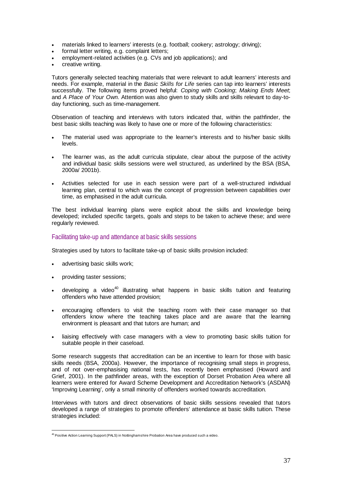- materials linked to learners' interests (e.g. football; cookery; astrology; driving);
- formal letter writing, e.g. complaint letters;
- employment-related activities (e.g. CVs and job applications); and
- creative writing.

Tutors generally selected teaching materials that were relevant to adult learners' interests and needs. For example, material in the *Basic Skills for Life* series can tap into learners' interests successfully. The following items proved helpful: *Coping with Cooking*; *Making Ends Meet*; and *A Place of Your Own.* Attention was also given to study skills and skills relevant to day-today functioning, such as time-management.

Observation of teaching and interviews with tutors indicated that, within the pathfinder, the best basic skills teaching was likely to have one or more of the following characteristics:

- The material used was appropriate to the learner's interests and to his/her basic skills levels.
- The learner was, as the adult curricula stipulate, clear about the purpose of the activity and individual basic skills sessions were well structured, as underlined by the BSA (BSA, 2000a/ 2001b).
- Activities selected for use in each session were part of a well-structured individual learning plan, central to which was the concept of progression between capabilities over time, as emphasised in the adult curricula.

The best individual learning plans were explicit about the skills and knowledge being developed; included specific targets, goals and steps to be taken to achieve these; and were regularly reviewed.

## Facilitating take-up and attendance at basic skills sessions

Strategies used by tutors to facilitate take-up of basic skills provision included:

- advertising basic skills work;
- providing taster sessions;
- developing a video<sup>40</sup> illustrating what happens in basic skills tuition and featuring offenders who have attended provision;
- encouraging offenders to visit the teaching room with their case manager so that offenders know where the teaching takes place and are aware that the learning environment is pleasant and that tutors are human; and
- liaising effectively with case managers with a view to promoting basic skills tuition for suitable people in their caseload.

Some research suggests that accreditation can be an incentive to learn for those with basic skills needs (BSA, 2000a). However, the importance of recognising small steps in progress, and of not over-emphasising national tests, has recently been emphasised (Howard and Grief, 2001). In the pathfinder areas, with the exception of Dorset Probation Area where all learners were entered for Award Scheme Development and Accreditation Network's (ASDAN) 'Improving Learning', only a small minority of offenders worked towards accreditation.

Interviews with tutors and direct observations of basic skills sessions revealed that tutors developed a range of strategies to promote offenders' attendance at basic skills tuition. These strategies included:

 $\overline{a}$ <sup>40</sup> Positive Action Learning Support (PALS) in Nottinghamshire Probation Area have produced such a video.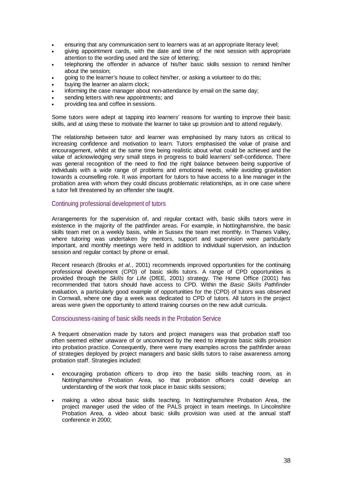- ensuring that any communication sent to learners was at an appropriate literacy level;
- giving appointment cards, with the date and time of the next session with appropriate attention to the wording used and the size of lettering;
- telephoning the offender in advance of his/her basic skills session to remind him/her about the session;
- going to the learner's house to collect him/her, or asking a volunteer to do this;
- buying the learner an alarm clock;
- informing the case manager about non-attendance by email on the same day;
- sending letters with new appointments; and
- providing tea and coffee in sessions.

Some tutors were adept at tapping into learners' reasons for wanting to improve their basic skills, and at using these to motivate the learner to take up provision and to attend regularly.

The relationship between tutor and learner was emphasised by many tutors as critical to increasing confidence and motivation to learn. Tutors emphasised the value of praise and encouragement, whilst at the same time being realistic about what could be achieved and the value of acknowledging very small steps in progress to build learners' self-confidence. There was general recognition of the need to find the right balance between being supportive of individuals with a wide range of problems and emotional needs, while avoiding gravitation towards a counselling role. It was important for tutors to have access to a line manager in the probation area with whom they could discuss problematic relationships, as in one case where a tutor felt threatened by an offender she taught.

### Continuing professional development of tutors

Arrangements for the supervision of, and regular contact with, basic skills tutors were in existence in the majority of the pathfinder areas. For example, in Nottinghamshire, the basic skills team met on a weekly basis, while in Sussex the team met monthly. In Thames Valley, where tutoring was undertaken by mentors, support and supervision were particularly important, and monthly meetings were held in addition to individual supervision, an induction session and regular contact by phone or email.

Recent research (Brooks *et al.*, 2001) recommends improved opportunities for the continuing professional development (CPD) of basic skills tutors. A range of CPD opportunities is provided through the *Skills for Life* (DfEE, 2001) strategy. The Home Office (2001) has recommended that tutors should have access to CPD. Within the *Basic Skills Pathfinder*  evaluation, a particularly good example of opportunities for the (CPD) of tutors was observed in Cornwall, where one day a week was dedicated to CPD of tutors. All tutors in the project areas were given the opportunity to attend training courses on the new adult curricula.

### Consciousness-raising of basic skills needs in the Probation Service

A frequent observation made by tutors and project managers was that probation staff too often seemed either unaware of or unconvinced by the need to integrate basic skills provision into probation practice. Consequently, there were many examples across the pathfinder areas of strategies deployed by project managers and basic skills tutors to raise awareness among probation staff. Strategies included:

- encouraging probation officers to drop into the basic skills teaching room, as in Nottinghamshire Probation Area, so that probation officers could develop an understanding of the work that took place in basic skills sessions;
- making a video about basic skills teaching. In Nottinghamshire Probation Area, the project manager used the video of the PALS project in team meetings. In Lincolnshire Probation Area, a video about basic skills provision was used at the annual staff conference in 2000;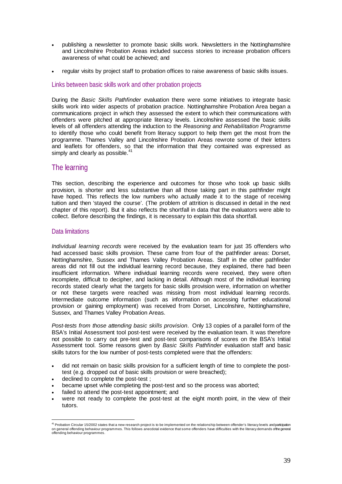- publishing a newsletter to promote basic skills work. Newsletters in the Nottinghamshire and Lincolnshire Probation Areas included success stories to increase probation officers awareness of what could be achieved; and
- regular visits by project staff to probation offices to raise awareness of basic skills issues.

## Links between basic skills work and other probation projects

During the *Basic Skills Pathfinder* evaluation there were some initiatives to integrate basic skills work into wider aspects of probation practice. Nottinghamshire Probation Area began a communications project in which they assessed the extent to which their communications with offenders were pitched at appropriate literacy levels. Lincolnshire assessed the basic skills levels of all offenders attending the induction to the *Reasoning and Rehabilitation Programme*  to identify those who could benefit from literacy support to help them get the most from the programme. Thames Valley and Lincolnshire Probation Areas rewrote some of their letters and leaflets for offenders, so that the information that they contained was expressed as simply and clearly as possible.<sup>41</sup>

# The learning

This section, describing the experience and outcomes for those who took up basic skills provision, is shorter and less substantive than all those taking part in this pathfinder might have hoped. This reflects the low numbers who actually made it to the stage of receiving tuition and then 'stayed the course'. (The problem of attrition is discussed in detail in the next chapter of this report). But it also reflects the shortfall in data that the evaluators were able to collect. Before describing the findings, it is necessary to explain this data shortfall.

## Data limitations

*Individual learning records* were received by the evaluation team for just 35 offenders who had accessed basic skills provision. These came from four of the pathfinder areas: Dorset, Nottinghamshire, Sussex and Thames Valley Probation Areas. Staff in the other pathfinder areas did not fill out the individual learning record because, they explained, there had been insufficient information. Where individual learning records were received, they were often incomplete, difficult to decipher, and lacking in detail. Although most of the individual learning records stated clearly what the targets for basic skills provision were, information on whether or not these targets were reached was missing from most individual learning records. Intermediate outcome information (such as information on accessing further educational provision or gaining employment) was received from Dorset, Lincolnshire, Nottinghamshire, Sussex, and Thames Valley Probation Areas.

*Post-tests from those attending basic skills provision*. Only 13 copies of a parallel form of the BSA's Initial Assessment tool post-test were received by the evaluation team. It was therefore not possible to carry out pre-test and post-test comparisons of scores on the BSA's Initial Assessment tool. Some reasons given by *Basic Skills Pathfinder* evaluation staff and basic skills tutors for the low number of post-tests completed were that the offenders:

- did not remain on basic skills provision for a sufficient length of time to complete the posttest (e.g. dropped out of basic skills provision or were breached);
- declined to complete the post-test;
- became upset while completing the post-test and so the process was aborted;
- failed to attend the post-test appointment; and
- were not ready to complete the post-test at the eight month point, in the view of their tutors.

<sup>&</sup>lt;sub>41</sub><br>An Probation Circular 15/2002 states that a new research project is to be implemented on the relationship between offender's literacy levels and participation on general offending behaviour programmes. This follows anecdotal evidence that some offenders have difficulties with the literacy demands of the general offending behaviour programmes.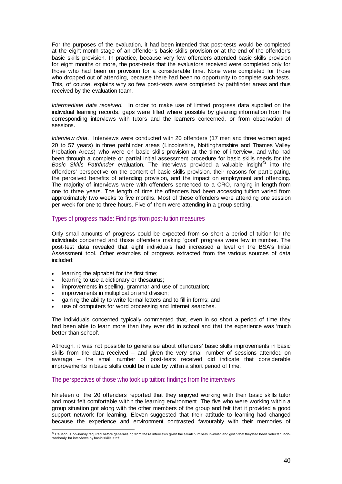For the purposes of the evaluation, it had been intended that post-tests would be completed at the eight-month stage of an offender's basic skills provision *or* at the end of the offender's basic skills provision. In practice, because very few offenders attended basic skills provision for eight months or more, the post-tests that the evaluators received were completed only for those who had been on provision for a considerable time. None were completed for those who dropped out of attending, because there had been no opportunity to complete such tests. This, of course, explains why so few post-tests were completed by pathfinder areas and thus received by the evaluation team.

*Intermediate data received.* In order to make use of limited progress data supplied on the individual learning records, gaps were filled where possible by gleaning information from the corresponding interviews with tutors and the learners concerned, or from observation of sessions.

*Interview data*. Interviews were conducted with 20 offenders (17 men and three women aged 20 to 57 years) in three pathfinder areas (Lincolnshire, Nottinghamshire and Thames Valley Probation Areas) who were on basic skills provision at the time of interview, and who had been through a complete or partial initial assessment procedure for basic skills needs for the Basic Skills Pathfinder evaluation. The interviews provided a valuable insight<sup>42</sup> into the offenders' perspective on the content of basic skills provision, their reasons for participating, the perceived benefits of attending provision, and the impact on employment and offending. The majority of interviews were with offenders sentenced to a CRO, ranging in length from one to three years. The length of time the offenders had been accessing tuition varied from approximately two weeks to five months. Most of these offenders were attending one session per week for one to three hours. Five of them were attending in a group setting.

## Types of progress made: Findings from post-tuition measures

Only small amounts of progress could be expected from so short a period of tuition for the individuals concerned and those offenders making 'good' progress were few in number. The post-test data revealed that eight individuals had increased a level on the BSA's Initial Assessment tool. Other examples of progress extracted from the various sources of data included:

- learning the alphabet for the first time;
- learning to use a dictionary or thesaurus;
- improvements in spelling, grammar and use of punctuation;
- improvements in multiplication and division;
- gaining the ability to write formal letters and to fill in forms; and
- use of computers for word processing and Internet searches.

The individuals concerned typically commented that, even in so short a period of time they had been able to learn more than they ever did in school and that the experience was 'much better than school'.

Although, it was not possible to generalise about offenders' basic skills improvements in basic skills from the data received – and given the very small number of sessions attended on average – the small number of post-tests received did indicate that considerable improvements in basic skills could be made by within a short period of time.

# The perspectives of those who took up tuition: findings from the interviews

Nineteen of the 20 offenders reported that they enjoyed working with their basic skills tutor and most felt comfortable within the learning environment. The five who were working within a group situation got along with the other members of the group and felt that it provided a good support network for learning. Eleven suggested that their attitude to learning had changed because the experience and environment contrasted favourably with their memories of

<sup>&</sup>lt;sup>42</sup> Caution is obviously required before generalising from these interviews given the small numbers involved and given that they had been selected, nonrandomly, for interviews by basic skills staff.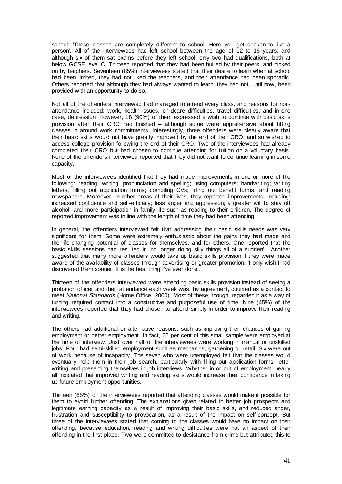school: 'These classes are completely different to school. Here you get spoken to like a person'*.* All of the interviewees had left school between the age of 12 to 16 years, and although six of them sat exams before they left school, only two had qualifications, both at below GCSE level C. Thirteen reported that they had been bullied by their peers, and picked on by teachers. Seventeen (85%) interviewees stated that their desire to learn when at school had been limited, they had not liked the teachers, and their attendance had been sporadic. Others reported that although they had always wanted to learn, they had not, until now, been provided with an opportunity to do so.

Not all of the offenders interviewed had managed to attend every class, and reasons for nonattendance included: work, health issues, childcare difficulties, travel difficulties, and in one case, depression. However, 18 (90%) of them expressed a wish to continue with basic skills provision after their CRO had finished – although some were apprehensive about fitting classes in around work commitments. Interestingly, three offenders were clearly aware that their basic skills would not have greatly improved by the end of their CRO, and so wished to access college provision following the end of their CRO. Two of the interviewees had already completed their CRO but had chosen to continue attending for tuition on a voluntary basis. None of the offenders interviewed reported that they did not want to continue learning in some capacity.

Most of the interviewees identified that they had made improvements in one or more of the following: reading, writing, pronunciation and spelling; using computers; handwriting; writing letters; filling out application forms; compiling CVs; filling out benefit forms; and reading newspapers. Moreover, in other areas of their lives, they reported improvements, including: increased confidence and self-efficacy; less anger and aggression; a greater will to stay off alcohol; and more participation in family life such as reading to their children. The degree of reported improvement was in line with the length of time they had been attending.

In general, the offenders interviewed felt that addressing their basic skills needs was very significant for them. Some were extremely enthusiastic about the gains they had made and the life-changing potential of classes for themselves, and for others. One reported that the basic skills sessions had resulted in 'no longer doing silly things all of a sudden'.Another suggested that many more offenders would take up basic skills provision if they were made aware of the availability of classes through advertising or greater promotion: 'I only wish I had discovered them sooner. It is the best thing I've ever done'.

Thirteen of the offenders interviewed were attending basic skills provision instead of seeing a probation officer and their attendance each week was, by agreement, counted as a contact to meet *National Standards* (Home Office, 2000)*.* Most of these, though, regarded it as a way of turning required contact into a constructive and purposeful use of time. Nine (45%) of the interviewees reported that they had chosen to attend simply in order to improve their reading and writing.

The others had additional or alternative reasons, such as improving their chances of gaining employment or better employment. In fact, 65 per cent of this small sample were employed at the time of interview. Just over half of the interviewees were working in manual or unskilled jobs. Four had semi-skilled employment such as mechanics, gardening or retail. Six were out of work because of incapacity. The seven who were unemployed felt that the classes would eventually help them in their job search, particularly with filling out application forms, letter writing and presenting themselves in job interviews. Whether in or out of employment, nearly all indicated that improved writing and reading skills would increase their confidence in taking up future employment opportunities.

Thirteen (65%) of the interviewees reported that attending classes would make it possible for them to avoid further offending. The explanations given related to better job prospects and legitimate earning capacity as a result of improving their basic skills, and reduced anger, frustration and susceptibility to provocation, as a result of the impact on self-concept. But three of the interviewees stated that coming to the classes would have no impact on their offending, because education, reading and writing difficulties were not an aspect of their offending in the first place. Two were committed to desistance from crime but attributed this to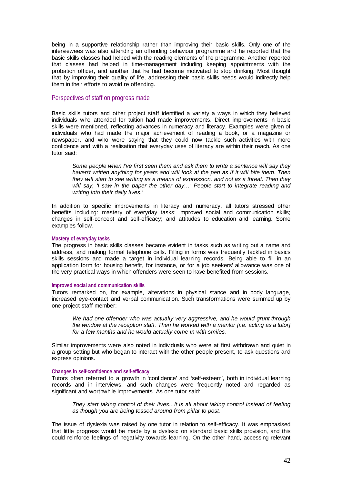being in a supportive relationship rather than improving their basic skills. Only one of the interviewees was also attending an offending behaviour programme and he reported that the basic skills classes had helped with the reading elements of the programme. Another reported that classes had helped in time-management including keeping appointments with the probation officer, and another that he had become motivated to stop drinking. Most thought that by improving their quality of life, addressing their basic skills needs would indirectly help them in their efforts to avoid re offending.

### Perspectives of staff on progress made

Basic skills tutors and other project staff identified a variety a ways in which they believed individuals who attended for tuition had made improvements. Direct improvements in basic skills were mentioned, reflecting advances in numeracy and literacy. Examples were given of individuals who had made the major achievement of reading a book, or a magazine or newspaper, and who were saying that they could now tackle such activities with more confidence and with a realisation that everyday uses of literacy are within their reach. As one tutor said:

*Some people when I've first seen them and ask them to write a sentence will say they haven't written anything for years and will look at the pen as if it will bite them. Then they will start to see writing as a means of expression, and not as a threat. Then they will say, 'I saw in the paper the other day…' People start to integrate reading and writing into their daily lives.'* 

In addition to specific improvements in literacy and numeracy, all tutors stressed other benefits including: mastery of everyday tasks; improved social and communication skills; changes in self-concept and self-efficacy; and attitudes to education and learning. Some examples follow.

### **Mastery of everyday tasks**

The progress in basic skills classes became evident in tasks such as writing out a name and address, and making formal telephone calls. Filling in forms was frequently tackled in basics skills sessions and made a target in individual learning records. Being able to fill in an application form for housing benefit, for instance, or for a job seekers' allowance was one of the very practical ways in which offenders were seen to have benefited from sessions.

### **Improved social and communication skills**

Tutors remarked on, for example, alterations in physical stance and in body language, increased eye-contact and verbal communication. Such transformations were summed up by one project staff member:

*We had one offender who was actually very aggressive, and he would grunt through the window at the reception staff. Then he worked with a mentor [i.e. acting as a tutor] for a few months and he would actually come in with smiles.* 

Similar improvements were also noted in individuals who were at first withdrawn and quiet in a group setting but who began to interact with the other people present, to ask questions and express opinions.

### **Changes in self-confidence and self-efficacy**

Tutors often referred to a growth in 'confidence' and 'self-esteem', both in individual learning records and in interviews, and such changes were frequently noted and regarded as significant and worthwhile improvements. As one tutor said:

*They start taking control of their lives...It is all about taking control instead of feeling as though you are being tossed around from pillar to post.* 

The issue of dyslexia was raised by one tutor in relation to self-efficacy. It was emphasised that little progress would be made by a dyslexic on standard basic skills provision, and this could reinforce feelings of negativity towards learning. On the other hand, accessing relevant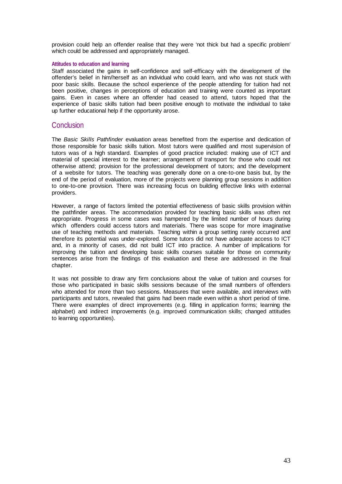provision could help an offender realise that they were 'not thick but had a specific problem' which could be addressed and appropriately managed.

### **Attitudes to education and learning**

Staff associated the gains in self-confidence and self-efficacy with the development of the offender's belief in him/herself as an individual who could learn, and who was not stuck with poor basic skills. Because the school experience of the people attending for tuition had not been positive, changes in perceptions of education and training were counted as important gains. Even in cases where an offender had ceased to attend, tutors hoped that the experience of basic skills tuition had been positive enough to motivate the individual to take up further educational help if the opportunity arose.

# **Conclusion**

The *Basic Skills Pathfinder* evaluation areas benefited from the expertise and dedication of those responsible for basic skills tuition. Most tutors were qualified and most supervision of tutors was of a high standard. Examples of good practice included: making use of ICT and material of special interest to the learner; arrangement of transport for those who could not otherwise attend; provision for the professional development of tutors; and the development of a website for tutors. The teaching was generally done on a one-to-one basis but, by the end of the period of evaluation, more of the projects were planning group sessions in addition to one-to-one provision. There was increasing focus on building effective links with external providers.

However, a range of factors limited the potential effectiveness of basic skills provision within the pathfinder areas. The accommodation provided for teaching basic skills was often not appropriate. Progress in some cases was hampered by the limited number of hours during which offenders could access tutors and materials. There was scope for more imaginative use of teaching methods and materials. Teaching within a group setting rarely occurred and therefore its potential was under-explored. Some tutors did not have adequate access to ICT and, in a minority of cases, did not build ICT into practice. A number of implications for improving the tuition and developing basic skills courses suitable for those on community sentences arise from the findings of this evaluation and these are addressed in the final chapter.

It was not possible to draw any firm conclusions about the value of tuition and courses for those who participated in basic skills sessions because of the small numbers of offenders who attended for more than two sessions. Measures that were available, and interviews with participants and tutors, revealed that gains had been made even within a short period of time. There were examples of direct improvements (e.g. filling in application forms; learning the alphabet) and indirect improvements (e.g. improved communication skills; changed attitudes to learning opportunities).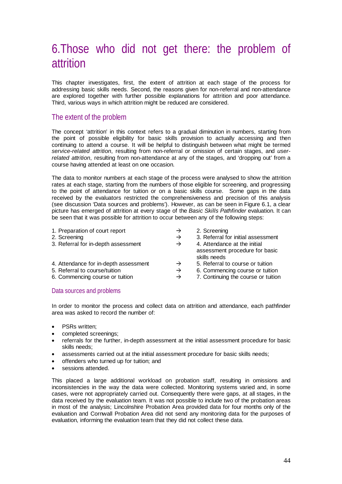# 6.Those who did not get there: the problem of attrition

This chapter investigates, first, the extent of attrition at each stage of the process for addressing basic skills needs. Second, the reasons given for non-referral and non-attendance are explored together with further possible explanations for attrition and poor attendance. Third, various ways in which attrition might be reduced are considered.

# The extent of the problem

The concept 'attrition' in this context refers to a gradual diminution in numbers, starting from the point of possible eligibility for basic skills provision to actually accessing and then continuing to attend a course. It will be helpful to distinguish between what might be termed *service-related attrition*, resulting from non-referral or omission of certain stages, and *userrelated attrition*, resulting from non-attendance at any of the stages, and 'dropping out' from a course having attended at least on one occasion.

The data to monitor numbers at each stage of the process were analysed to show the attrition rates at each stage, starting from the numbers of those eligible for screening, and progressing to the point of attendance for tuition or on a basic skills course. Some gaps in the data received by the evaluators restricted the comprehensiveness and precision of this analysis (see discussion 'Data sources and problems'). However, as can be seen in Figure 6.1, a clear picture has emerged of attrition at every stage of the *Basic Skills Pathfinder* evaluation. It can be seen that it was possible for attrition to occur between any of the following steps:

| 1. Preparation of court report        | $\rightarrow$ | 2. Screening                                                                   |
|---------------------------------------|---------------|--------------------------------------------------------------------------------|
| 2. Screening                          | $\rightarrow$ | 3. Referral for initial assessment                                             |
| 3. Referral for in-depth assessment   | $\rightarrow$ | 4. Attendance at the initial<br>assessment procedure for basic<br>skills needs |
| 4. Attendance for in-depth assessment | $\rightarrow$ | 5. Referral to course or tuition                                               |
| 5. Referral to course/tuition         | $\rightarrow$ | 6. Commencing course or tuition                                                |
| 6. Commencing course or tuition       | $\rightarrow$ | 7. Continuing the course or tuition                                            |

## Data sources and problems

In order to monitor the process and collect data on attrition and attendance, each pathfinder area was asked to record the number of:

- PSRs written;
- completed screenings;
- referrals for the further, in-depth assessment at the initial assessment procedure for basic skills needs;
- assessments carried out at the initial assessment procedure for basic skills needs;
- offenders who turned up for tuition; and
- sessions attended.

This placed a large additional workload on probation staff, resulting in omissions and inconsistencies in the way the data were collected. Monitoring systems varied and, in some cases, were not appropriately carried out. Consequently there were gaps, at all stages, in the data received by the evaluation team. It was not possible to include two of the probation areas in most of the analysis; Lincolnshire Probation Area provided data for four months only of the evaluation and Cornwall Probation Area did not send any monitoring data for the purposes of evaluation, informing the evaluation team that they did not collect these data.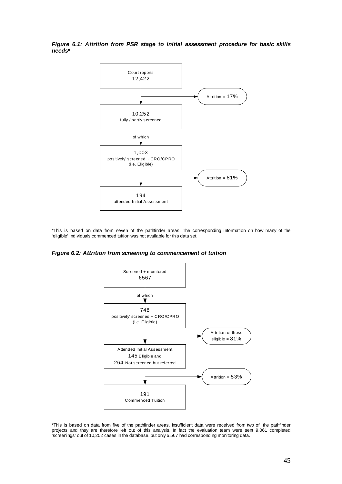*Figure 6.1: Attrition from PSR stage to initial assessment procedure for basic skills needs\** 



\*This is based on data from seven of the pathfinder areas. The corresponding information on how many of the 'eligible' individuals commenced tuition was not available for this data set.

*Figure 6.2: Attrition from screening to commencement of tuition*



\*This is based on data from five of the pathfinder areas. Insufficient data were received from two of the pathfinder projects and they are therefore left out of this analysis. In fact the evaluation team were sent 9,061 completed 'screenings' out of 10,252 cases in the database, but only 6,567 had corresponding monitoring data.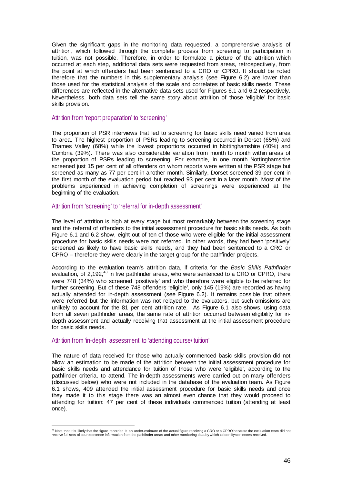Given the significant gaps in the monitoring data requested, a comprehensive analysis of attrition, which followed through the complete process from screening to participation in tuition, was not possible. Therefore, in order to formulate a picture of the attrition which occurred at each step, additional data sets were requested from areas, retrospectively, from the point at which offenders had been sentenced to a CRO or CPRO. It should be noted therefore that the numbers in this supplementary analysis (see Figure 6.2) are lower than those used for the statistical analysis of the scale and correlates of basic skills needs. These differences are reflected in the alternative data sets used for Figures 6.1 and 6.2 respectively. Nevertheless, both data sets tell the same story about attrition of those 'eligible' for basic skills provision.

### Attrition from 'report preparation' to 'screening'

The proportion of PSR interviews that led to screening for basic skills need varied from area to area. The highest proportion of PSRs leading to screening occurred in Dorset (65%) and Thames Valley (68%) while the lowest proportions occurred in Nottinghamshire (40%) and Cumbria (39%). There was also considerable variation from month to month within areas of the proportion of PSRs leading to screening. For example, in one month Nottinghamshire screened just 15 per cent of all offenders on whom reports were written at the PSR stage but screened as many as 77 per cent in another month. Similarly, Dorset screened 39 per cent in the first month of the evaluation period but reached 93 per cent in a later month. Most of the problems experienced in achieving completion of screenings were experienced at the beginning of the evaluation.

## Attrition from 'screening' to 'referral for in-depth assessment'

The level of attrition is high at every stage but most remarkably between the screening stage and the referral of offenders to the initial assessment procedure for basic skills needs. As both Figure 6.1 and 6.2 show, eight out of ten of those who were eligible for the initial assessment procedure for basic skills needs were not referred. In other words, they had been 'positively' screened as likely to have basic skills needs, and they had been sentenced to a CRO or CPRO – therefore they were clearly in the target group for the pathfinder projects.

According to the evaluation team's attrition data, if criteria for the *Basic Skills Pathfinder*  evaluation, of 2,192,<sup>43</sup> in five pathfinder areas, who were sentenced to a CRO or CPRO, there were 748 (34%) who screened 'positively' and who therefore were eligible to be referred for further screening. But of these 748 offenders 'eligible', only 145 (19%) are recorded as having actually attended for in-depth assessment (see Figure 6.2). It remains possible that others were referred but the information was not relayed to the evaluators, but such omissions are unlikely to account for the 81 per cent attrition rate. As Figure 6.1 also shows, using data from all seven pathfinder areas, the same rate of attrition occurred between eligibility for indepth assessment and actually receiving that assessment at the initial assessment procedure for basic skills needs.

## Attrition from 'in-depth assessment' to 'attending course/ tuition'

The nature of data received for those who actually commenced basic skills provision did not allow an estimation to be made of the attrition between the initial assessment procedure for basic skills needs and attendance for tuition of those who were 'eligible', according to the pathfinder criteria, to attend. The in-depth assessments were carried out on many offenders (discussed below) who were not included in the database of the evaluation team. As Figure 6.1 shows, 409 attended the initial assessment procedure for basic skills needs and once they made it to this stage there was an almost even chance that they would proceed to attending for tuition: 47 per cent of these individuals commenced tuition (attending at least once).

 $^{43}$  Note that it is likely that the figure recorded is an under-estimate of the actual figure receiving a CRO or a CPRO because the evaluation team did not receive full sets of court sentence information from the pathfinder areas and other monitoring data by which to identify sentences received.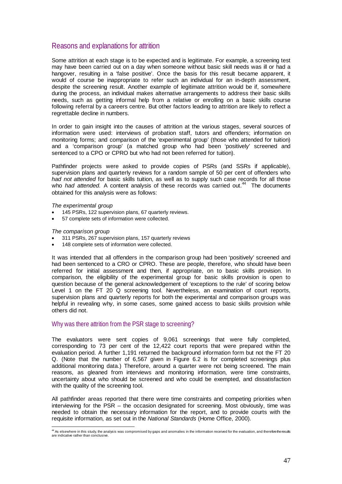# Reasons and explanations for attrition

Some attrition at each stage is to be expected and is legitimate. For example, a screening test may have been carried out on a day when someone without basic skill needs was ill or had a hangover, resulting in a 'false positive'. Once the basis for this result became apparent, it would of course be inappropriate to refer such an individual for an in-depth assessment, despite the screening result. Another example of legitimate attrition would be if, somewhere during the process, an individual makes alternative arrangements to address their basic skills needs, such as getting informal help from a relative or enrolling on a basic skills course following referral by a careers centre. But other factors leading to attrition are likely to reflect a regrettable decline in numbers.

In order to gain insight into the causes of attrition at the various stages, several sources of information were used: interviews of probation staff, tutors and offenders; information on monitoring forms; and comparison of the 'experimental group' (those who attended for tuition) and a 'comparison group' (a matched group who had been 'positively' screened and sentenced to a CPO or CPRO but who had not been referred for tuition).

Pathfinder projects were asked to provide copies of PSRs (and SSRs if applicable), supervision plans and quarterly reviews for a random sample of 50 per cent of offenders who *had not attended* for basic skills tuition, as well as to supply such case records for all those who *had attended*. A content analysis of these records was carried out.<sup>44</sup> The documents obtained for this analysis were as follows:

*The experimental group* 

- 145 PSRs, 122 supervision plans, 67 quarterly reviews.
- 57 complete sets of information were collected.

*The comparison group*

- 311 PSRs, 267 supervision plans, 157 quarterly reviews
- 148 complete sets of information were collected.

It was intended that all offenders in the comparison group had been 'positively' screened and had been sentenced to a CRO or CPRO. These are people, therefore, who should have been referred for initial assessment and then, if appropriate, on to basic skills provision. In comparison, the eligibility of the experimental group for basic skills provision is open to question because of the general acknowledgement of 'exceptions to the rule' of scoring below Level 1 on the FT 20 Q screening tool. Nevertheless, an examination of court reports, supervision plans and quarterly reports for both the experimental and comparison groups was helpful in revealing why, in some cases, some gained access to basic skills provision while others did not.

## Why was there attrition from the PSR stage to screening?

The evaluators were sent copies of 9,061 screenings that were fully completed, corresponding to 73 per cent of the 12,422 court reports that were prepared within the evaluation period. A further 1,191 returned the background information form but not the FT 20 Q. (Note that the number of 6,567 given in Figure 6.2 is for completed screenings plus additional monitoring data.) Therefore, around a quarter were not being screened. The main reasons, as gleaned from interviews and monitoring information, were time constraints, uncertainty about who should be screened and who could be exempted, and dissatisfaction with the quality of the screening tool.

All pathfinder areas reported that there were time constraints and competing priorities when interviewing for the PSR – the occasion designated for screening. Most obviously, time was needed to obtain the necessary information for the report, and to provide courts with the requisite information, as set out in the *National Standards* (Home Office, 2000)*.* 

<sup>44&</sup>lt;br>As elsewhere in this study, the analysis was compromised by gaps and anomalies in the information received for the evaluation, and therefore the results are indicative rather than conclusive.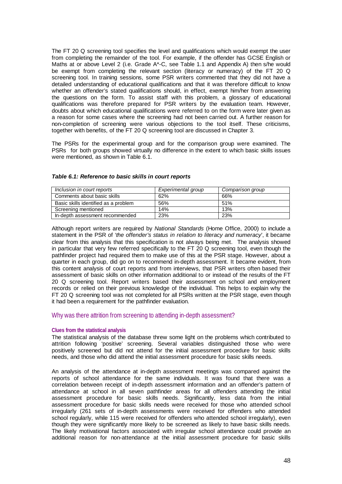The FT 20 Q screening tool specifies the level and qualifications which would exempt the user from completing the remainder of the tool. For example, if the offender has GCSE English or Maths at or above Level 2 (i.e. Grade A\*-C, see Table 1.1 and Appendix A) then s/he would be exempt from completing the relevant section (literacy or numeracy) of the FT 20 Q screening tool. In training sessions, some PSR writers commented that they did not have a detailed understanding of educational qualifications and that it was therefore difficult to know whether an offender's stated qualifications should, in effect, exempt him/her from answering the questions on the form. To assist staff with this problem, a glossary of educational qualifications was therefore prepared for PSR writers by the evaluation team. However, doubts about which educational qualifications were referred to on the form were later given as a reason for some cases where the screening had not been carried out. A further reason for non-completion of screening were various objections to the tool itself. These criticisms, together with benefits, of the FT 20 Q screening tool are discussed in Chapter 3.

The PSRs for the experimental group and for the comparison group were examined. The PSRs for both groups showed virtually no difference in the extent to which basic skills issues were mentioned, as shown in Table 6.1.

| Inclusion in court reports           | Experimental group | Comparison group |
|--------------------------------------|--------------------|------------------|
| Comments about basic skills          | 62%                | 66%              |
| Basic skills identified as a problem | 56%                | 51%              |
| Screening mentioned                  | 14%                | 13%              |
| In-depth assessment recommended      | 23%                | 23%              |

### *Table 6.1: Reference to basic skills in court reports*

Although report writers are required by *National Standards* (Home Office, 2000) to include a statement in the PSR of '*the offender's status in relation to literacy and numeracy*', it became clear from this analysis that this specification is not always being met. The analysis showed in particular that very few referred specifically to the FT 20 Q screening tool, even though the pathfinder project had required them to make use of this at the PSR stage. However, about a quarter in each group, did go on to recommend in-depth assessment. It became evident, from this content analysis of court reports and from interviews, that PSR writers often based their assessment of basic skills on other information additional to or instead of the results of the FT 20 Q screening tool. Report writers based their assessment on school and employment records or relied on their previous knowledge of the individual. This helps to explain why the FT 20 Q screening tool was not completed for all PSRs written at the PSR stage, even though it had been a requirement for the pathfinder evaluation.

## Why was there attrition from screening to attending in-depth assessment?

### **Clues from the statistical analysis**

The statistical analysis of the database threw some light on the problems which contributed to attrition following 'positive' screening. Several variables distinguished those who were positively screened but did not attend for the initial assessment procedure for basic skills needs, and those who did attend the initial assessment procedure for basic skills needs.

An analysis of the attendance at in-depth assessment meetings was compared against the reports of school attendance for the same individuals. It was found that there was a correlation between receipt of in-depth assessment information and an offender's pattern of attendance at school in all seven pathfinder areas for all offenders attending the initial assessment procedure for basic skills needs. Significantly, less data from the initial assessment procedure for basic skills needs were received for those who attended school irregularly (261 sets of in-depth assessments were received for offenders who attended school regularly, while 115 were received for offenders who attended school irregularly), even though they were significantly more likely to be screened as likely to have basic skills needs. The likely motivational factors associated with irregular school attendance could provide an additional reason for non-attendance at the initial assessment procedure for basic skills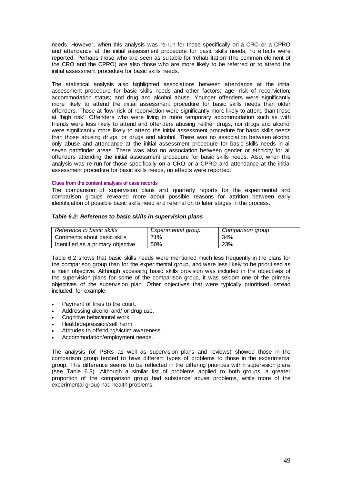needs. However, when this analysis was re-run for those specifically on a CRO or a CPRO and attendance at the initial assessment procedure for basic skills needs, no effects were reported. Perhaps those who are seen as suitable for 'rehabilitation' (the common element of the CRO and the CPRO) are also those who are more likely to be referred or to attend the initial assessment procedure for basic skills needs.

The statistical analysis also highlighted associations between attendance at the initial assessment procedure for basic skills needs and other factors: age; risk of reconviction; accommodation status; and drug and alcohol abuse. Younger offenders were significantly more likely to attend the initial assessment procedure for basic skills needs than older offenders. Those at 'low' risk of reconviction were significantly more likely to attend than those at 'high risk'. Offenders who were living in more temporary accommodation such as with friends were less likely to attend and offenders abusing neither drugs, nor drugs and alcohol were significantly more likely to attend the initial assessment procedure for basic skills needs than those abusing drugs, or drugs and alcohol. There was no association between alcohol only abuse and attendance at the initial assessment procedure for basic skills needs in all seven pathfinder areas. There was also no association between gender or ethnicity for all offenders attending the initial assessment procedure for basic skills needs. Also, when this analysis was re-run for those specifically on a CRO or a CPRO and attendance at the initial assessment procedure for basic skills needs, no effects were reported.

### **Clues from the content analysis of case records**

The comparison of supervision plans and quarterly reports for the experimental and comparison groups revealed more about possible reasons for attrition between early identification of possible basic skills need and referral on to later stages in the process.

### *Table 6.2: Reference to basic skills in supervision plans*

| Reference to basic skills         | Experimental group | Comparison group |
|-----------------------------------|--------------------|------------------|
| Comments about basic skills       | 71%                | 34%              |
| Identified as a primary objective | 50%                | 23%              |

Table 6.2 shows that basic skills needs were mentioned much less frequently in the plans for the comparison group than for the experimental group, and were less likely to be prioritised as a main objective. Although accessing basic skills provision was included in the objectives of the supervision plans for some of the comparison group, it was seldom one of the primary objectives of the supervision plan. Other objectives that were typically prioritised instead included, for example:

- Payment of fines to the court.
- Addressing alcohol and/ or drug use.
- Cognitive behavioural work.
- Health/depression/self harm.
- Attitudes to offending/victim awareness.
- Accommodation/employment needs.

The analysis (of PSRs as well as supervision plans and reviews) showed those in the comparison group tended to have different types of problems to those in the experimental group. This difference seems to be reflected in the differing priorities within supervision plans (see Table 6.3). Although a similar list of problems applied to both groups, a greater proportion of the comparison group had substance abuse problems, while more of the experimental group had health problems.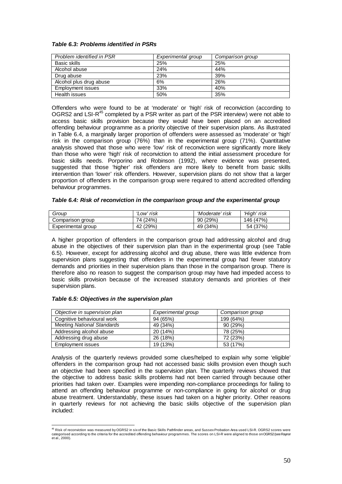### *Table 6.3: Problems identified in PSRs*

| Problem identified in PSR | Experimental group | Comparison group |
|---------------------------|--------------------|------------------|
| Basic skills              | 25%                | 25%              |
| Alcohol abuse             | 24%                | 44%              |
| Drug abuse                | 23%                | 39%              |
| Alcohol plus drug abuse   | 6%                 | 26%              |
| <b>Employment issues</b>  | 33%                | 40%              |
| Health issues             | 50%                | 35%              |

Offenders who were found to be at 'moderate' or 'high' risk of reconviction (according to OGRS2 and LSI-R<sup>45</sup> completed by a PSR writer as part of the PSR interview) were not able to access basic skills provision because they would have been placed on an accredited offending behaviour programme as a priority objective of their supervision plans. As illustrated in Table 6.4, a marginally larger proportion of offenders were assessed as 'moderate' or 'high' risk in the comparison group (76%) than in the experimental group (71%). Quantitative analysis showed that those who were 'low' risk of reconviction were significantly more likely than those who were 'high' risk of reconviction to attend the initial assessment procedure for basic skills needs. Porporino and Robinson (1992), where evidence was presented, suggested that those 'higher' risk offenders are more likely to benefit from basic skills intervention than 'lower' risk offenders. However, supervision plans do not show that a larger proportion of offenders in the comparison group were required to attend accredited offending behaviour programmes.

| Table 6.4: Risk of reconviction in the comparison group and the experimental group |  |  |
|------------------------------------------------------------------------------------|--|--|
|------------------------------------------------------------------------------------|--|--|

| Group              | Low' risk | 'Moderate' risk | ʻHiah' risk |
|--------------------|-----------|-----------------|-------------|
| Comparison group   | 74 (24%)  | 90 (29%)        | 146 (47%)   |
| Experimental group | 42 (29%)  | 49 (34%)        | 54 (37%)    |

A higher proportion of offenders in the comparison group had addressing alcohol and drug abuse in the objectives of their supervision plan than in the experimental group (see Table 6.5). However, except for addressing alcohol and drug abuse, there was little evidence from supervision plans suggesting that offenders in the experimental group had fewer statutory demands and priorities in their supervision plans than those in the comparison group. There is therefore also no reason to suggest the comparison group may have had impeded access to basic skills provision because of the increased statutory demands and priorities of their supervision plans.

### *Table 6.5: Objectives in the supervision plan*

| Objective in supervision plan     | Experimental group | Comparison group |
|-----------------------------------|--------------------|------------------|
| Cognitive behavioural work        | 94 (65%)           | 199 (64%)        |
| <b>Meeting National Standards</b> | 49 (34%)           | 90(29%)          |
| Addressing alcohol abuse          | 20(14%)            | 78 (25%)         |
| Addressing drug abuse             | 26 (18%)           | 72 (23%)         |
| Employment issues                 | 19 (13%)           | 53 (17%)         |

Analysis of the quarterly reviews provided some clues/helped to explain why some 'eligible' offenders in the comparison group had not accessed basic skills provision even though such an objective had been specified in the supervision plan. The quarterly reviews showed that the objective to address basic skills problems had not been carried through because other priorities had taken over. Examples were impending non-compliance proceedings for failing to attend an offending behaviour programme or non-compliance in going for alcohol or drug abuse treatment. Understandably, these issues had taken on a higher priority. Other reasons in quarterly reviews for not achieving the basic skills objective of the supervision plan included:

s<br><sup>45</sup> Risk of reconviction was measured by OGRS2 in six of the Basic Skills Pathfinder areas, and Sussex Probation Area used LSI-R. OGRS2 scores were<br>categorised according to the criteria for the accredited offending beha et al., 2000).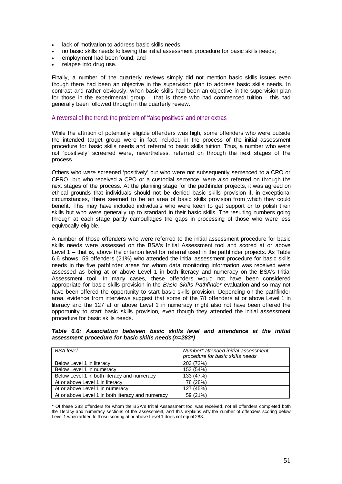- lack of motivation to address basic skills needs;
- no basic skills needs following the initial assessment procedure for basic skills needs;
- employment had been found; and
- relapse into drug use.

Finally, a number of the quarterly reviews simply did not mention basic skills issues even though there had been an objective in the supervision plan to address basic skills needs. In contrast and rather obviously, when basic skills had been an objective in the supervision plan for those in the experimental group – that is those who had commenced tuition – this had generally been followed through in the quarterly review.

## A reversal of the trend: the problem of 'false positives' and other extras

While the attrition of potentially eligible offenders was high, some offenders who were outside the intended target group were in fact included in the process of the initial assessment procedure for basic skills needs and referral to basic skills tuition. Thus, a number who were not 'positively' screened were, nevertheless, referred on through the next stages of the process.

Others who *were* screened 'positively' but who were not subsequently sentenced to a CRO or CPRO, but who received a CPO or a custodial sentence, were also referred on through the next stages of the process. At the planning stage for the pathfinder projects, it was agreed on ethical grounds that individuals should not be denied basic skills provision if, in exceptional circumstances, there seemed to be an area of basic skills provision from which they could benefit. This may have included individuals who were keen to get support or to polish their skills but who were generally up to standard in their basic skills. The resulting numbers going through at each stage partly camouflages the gaps in processing of those who were less equivocally eligible.

A number of those offenders who were referred to the initial assessment procedure for basic skills needs were assessed on the BSA's Initial Assessment tool and scored at or above Level 1 – that is, above the criterion level for referral used in the pathfinder projects. As Table 6.6 shows, 59 offenders (21%) who attended the initial assessment procedure for basic skills needs in the five pathfinder areas for whom data monitoring information was received were assessed as being at or above Level 1 in both literacy and numeracy on the BSA's Initial Assessment tool. In many cases, these offenders would not have been considered appropriate for basic skills provision in the *Basic Skills Pathfinder* evaluation and so may not have been offered the opportunity to start basic skills provision. Depending on the pathfinder area, evidence from interviews suggest that some of the 78 offenders at or above Level 1 in literacy and the 127 at or above Level 1 in numeracy might also not have been offered the opportunity to start basic skills provision, even though they attended the initial assessment procedure for basic skills needs.

*Table 6.6: Association between basic skills level and attendance at the initial assessment procedure for basic skills needs (n=283\*)* 

| <b>BSA</b> level                                  | Number* attended initial assessment |
|---------------------------------------------------|-------------------------------------|
|                                                   | procedure for basic skills needs    |
| Below Level 1 in literacy                         | 203 (72%)                           |
| Below Level 1 in numeracy                         | 153 (54%)                           |
| Below Level 1 in both literacy and numeracy       | 133 (47%)                           |
| At or above Level 1 in literacy                   | 78 (28%)                            |
| At or above Level 1 in numeracy                   | 127 (45%)                           |
| At or above Level 1 in both literacy and numeracy | 59 (21%)                            |

\* Of these 283 offenders for whom the BSA's Initial Assessment tool was received, not all offenders completed both the literacy and numeracy sections of the assessment, and this explains why the number of offenders scoring below Level 1 when added to those scoring at or above Level 1 does not equal 283.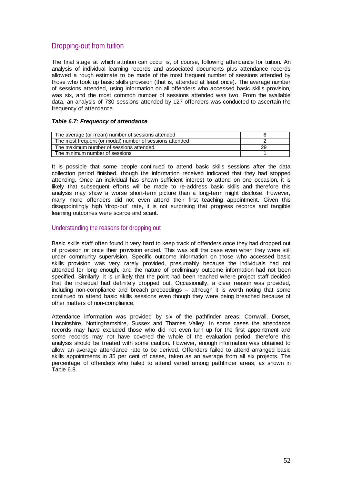# Dropping-out from tuition

The final stage at which attrition can occur is, of course, following attendance for tuition. An analysis of individual learning records and associated documents plus attendance records allowed a rough estimate to be made of the most frequent number of sessions attended by those who took up basic skills provision (that is, attended at least once). The average number of sessions attended, using information on all offenders who accessed basic skills provision, was six, and the most common number of sessions attended was two. From the available data, an analysis of 730 sessions attended by 127 offenders was conducted to ascertain the frequency of attendance.

### *Table 6.7: Frequency of attendance*

| The average (or mean) number of sessions attended        |  |
|----------------------------------------------------------|--|
| The most frequent (or modal) number of sessions attended |  |
| The maximum number of sessions attended                  |  |
| The minimum number of sessions                           |  |

It is possible that some people continued to attend basic skills sessions after the data collection period finished, though the information received indicated that they had stopped attending. Once an individual has shown sufficient interest to attend on one occasion, it is likely that subsequent efforts will be made to re-address basic skills and therefore this analysis may show a worse short-term picture than a long-term might disclose. However, many more offenders did not even attend their first teaching appointment. Given this disappointingly high 'drop-out' rate, it is not surprising that progress records and tangible learning outcomes were scarce and scant.

## Understanding the reasons for dropping out

Basic skills staff often found it very hard to keep track of offenders once they had dropped out of provision or once their provision ended. This was still the case even when they were still under community supervision. Specific outcome information on those who accessed basic skills provision was very rarely provided, presumably because the individuals had not attended for long enough, and the nature of preliminary outcome information had not been specified. Similarly, it is unlikely that the point had been reached where project staff decided that the individual had definitely dropped out. Occasionally, a clear reason was provided, including non-compliance and breach proceedings – although it is worth noting that some continued to attend basic skills sessions even though they were being breached because of other matters of non-compliance.

Attendance information was provided by six of the pathfinder areas: Cornwall, Dorset, Lincolnshire, Nottinghamshire, Sussex and Thames Valley. In some cases the attendance records may have excluded those who did not even turn up for the first appointment and some records may not have covered the whole of the evaluation period, therefore this analysis should be treated with some caution. However, enough information was obtained to allow an average attendance rate to be derived. Offenders failed to attend arranged basic skills appointments in 35 per cent of cases, taken as an average from all six projects. The percentage of offenders who failed to attend varied among pathfinder areas, as shown in Table 6.8.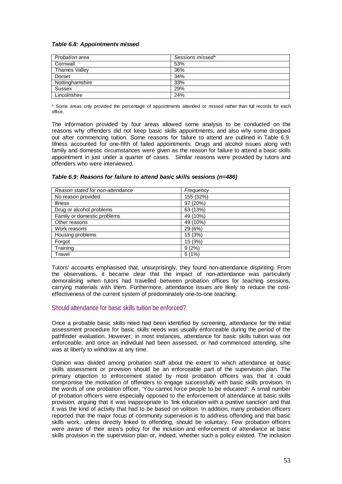### *Table 6.8: Appointments missed*

| Probation area       | Sessions missed* |
|----------------------|------------------|
| Cornwall             | 53%              |
| <b>Thames Valley</b> | 36%              |
| Dorset               | 34%              |
| Nottinghamshire      | 33%              |
| <b>Sussex</b>        | 29%              |
| Lincolnshire         | 24%              |

\* Some areas only provided the percentage of appointments attended or missed rather than full records for each office.

The information provided by four areas allowed some analysis to be conducted on the reasons why offenders did not keep basic skills appointments, and also why some dropped out after commencing tuition. Some reasons for failure to attend are outlined in Table 6.9. Illness accounted for one-fifth of failed appointments. Drugs and alcohol issues along with family and domestic circumstances were given as the reason for failure to attend a basic skills appointment in just under a quarter of cases. Similar reasons were provided by tutors and offenders who were interviewed.

| Reason stated for non-attendance | Frequency |
|----------------------------------|-----------|
| No reason provided               | 155 (32%) |
| <b>Illness</b>                   | 97 (20%)  |
| Drug or alcohol problems         | 63 (13%)  |
| Family or domestic problems      | 49 (10%)  |
| Other reasons                    | 49 (10%)  |
| Work reasons                     | 29 (6%)   |
| Housing problems                 | 15 (3%)   |
| Forgot                           | 15 (3%)   |
| Training                         | 9(2%)     |
| Travel                           | 5(1%)     |

### *Table 6.9: Reasons for failure to attend basic skills sessions (n=486)*

Tutors' accounts emphasised that, unsurprisingly, they found non-attendance dispiriting. From the observations, it became clear that the impact of non-attendance was particularly demoralising when tutors had travelled between probation offices for teaching sessions, carrying materials with them. Furthermore, attendance issues are likely to reduce the costeffectiveness of the current system of predominately one-to-one teaching.

## Should attendance for basic skills tuition be enforced?

Once a probable basic skills need had been identified by screening, attendance for the initial assessment procedure for basic skills needs was usually enforceable during the period of the pathfinder evaluation. However, in most instances, attendance for basic skills tuition was not enforceable, and once an individual had been assessed, or had commenced attending, s/he was at liberty to withdraw at any time.

Opinion was divided among probation staff about the extent to which attendance at basic skills assessment or provision should be an enforceable part of the supervision plan. The primary objection to enforcement stated by most probation officers was that it could compromise the motivation of offenders to engage successfully with basic skills provision. In the words of one probation officer, 'You cannot force people to be educated'*.* A small number of probation officers were especially opposed to the enforcement of attendance at basic skills provision, arguing that it was inappropriate to *'*link education with a punitive sanction' and that it was the kind of activity that had to be based on volition. In addition, many probation officers reported that the major focus of community supervision is to address offending and that basic skills work, unless directly linked to offending, should be voluntary. Few probation officers were aware of their area's policy for the inclusion and enforcement of attendance at basic skills provision in the supervision plan or, indeed, whether such a policy existed. The inclusion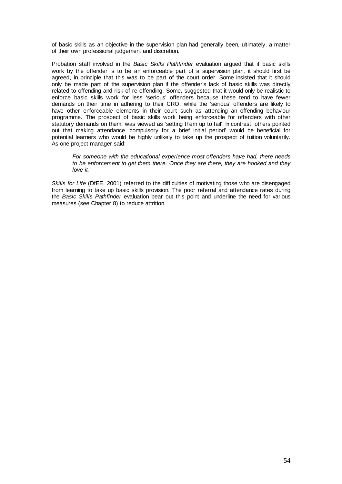of basic skills as an objective in the supervision plan had generally been, ultimately, a matter of their own professional judgement and discretion.

Probation staff involved in the *Basic Skills Pathfinder* evaluation argued that if basic skills work by the offender is to be an enforceable part of a supervision plan, it should first be agreed, in principle that this was to be part of the court order. Some insisted that it should only be made part of the supervision plan if the offender's lack of basic skills was directly related to offending and risk of re offending. Some, suggested that it would only be realistic to enforce basic skills work for less 'serious' offenders because these tend to have fewer demands on their time in adhering to their CRO, while the 'serious' offenders are likely to have other enforceable elements in their court such as attending an offending behaviour programme. The prospect of basic skills work being enforceable for offenders with other statutory demands on them, was viewed as 'setting them up to fail'. In contrast, others pointed out that making attendance 'compulsory for a brief initial period' would be beneficial for potential learners who would be highly unlikely to take up the prospect of tuition voluntarily. As one project manager said:

*For someone with the educational experience most offenders have had, there needs to be enforcement to get them there. Once they are there, they are hooked and they love it.* 

*Skills for Life* (DfEE, 2001) referred to the difficulties of motivating those who are disengaged from learning to take up basic skills provision. The poor referral and attendance rates during the *Basic Skills Pathfinder* evaluation bear out this point and underline the need for various measures (see Chapter 8) to reduce attrition.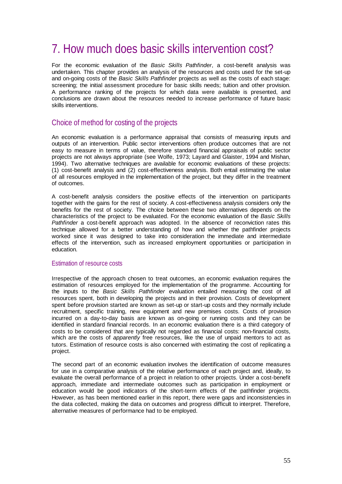# 7. How much does basic skills intervention cost?

For the economic evaluation of the *Basic Skills Pathfinder*, a cost-benefit analysis was undertaken. This chapter provides an analysis of the resources and costs used for the set-up and on-going costs of the *Basic Skills Pathfinder* projects as well as the costs of each stage: screening; the initial assessment procedure for basic skills needs; tuition and other provision. A performance ranking of the projects for which data were available is presented, and conclusions are drawn about the resources needed to increase performance of future basic skills interventions.

# Choice of method for costing of the projects

An economic evaluation is a performance appraisal that consists of measuring inputs and outputs of an intervention. Public sector interventions often produce outcomes that are not easy to measure in terms of value, therefore standard financial appraisals of public sector projects are not always appropriate (see Wolfe, 1973; Layard and Glaister, 1994 and Mishan, 1994). Two alternative techniques are available for economic evaluations of these projects: (1) cost-benefit analysis and (2) cost-effectiveness analysis. Both entail estimating the value of all resources employed in the implementation of the project, but they differ in the treatment of outcomes.

A cost-benefit analysis considers the positive effects of the intervention on participants together with the gains for the rest of society. A cost-effectiveness analysis considers only the benefits for the rest of society. The choice between these two alternatives depends on the characteristics of the project to be evaluated. For the economic evaluation of the *Basic Skills Pathfinder* a cost-benefit approach was adopted. In the absence of reconviction rates this technique allowed for a better understanding of how and whether the pathfinder projects worked since it was designed to take into consideration the immediate and intermediate effects of the intervention, such as increased employment opportunities or participation in education.

## Estimation of resource costs

Irrespective of the approach chosen to treat outcomes, an economic evaluation requires the estimation of resources employed for the implementation of the programme. Accounting for the inputs to the *Basic Skills Pathfinder* evaluation entailed measuring the cost of all resources spent, both in developing the projects and in their provision. Costs of development spent before provision started are known as set-up or start-up costs and they normally include recruitment, specific training, new equipment and new premises costs. Costs of provision incurred on a day-to-day basis are known as on-going or running costs and they can be identified in standard financial records. In an economic evaluation there is a third category of costs to be considered that are typically not regarded as financial costs: non-financial costs, which are the costs of *apparently* free resources, like the use of unpaid mentors to act as tutors. Estimation of resource costs is also concerned with estimating the cost of replicating a project.

The second part of an economic evaluation involves the identification of outcome measures for use in a comparative analysis of the relative performance of each project and, ideally, to evaluate the overall performance of a project in relation to other projects. Under a cost-benefit approach, immediate and intermediate outcomes such as participation in employment or education would be good indicators of the short-term effects of the pathfinder projects. However, as has been mentioned earlier in this report, there were gaps and inconsistencies in the data collected, making the data on outcomes and progress difficult to interpret. Therefore, alternative measures of performance had to be employed.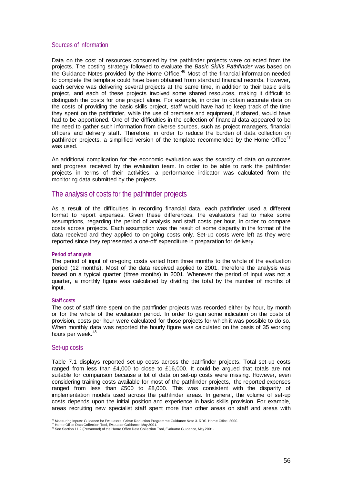### Sources of information

Data on the cost of resources consumed by the pathfinder projects were collected from the projects. The costing strategy followed to evaluate the *Basic Skills Pathfinder* was based on the Guidance Notes provided by the Home Office.<sup>46</sup> Most of the financial information needed to complete the template could have been obtained from standard financial records. However, each service was delivering several projects at the same time, in addition to their basic skills project, and each of these projects involved some shared resources, making it difficult to distinguish the costs for one project alone. For example, in order to obtain accurate data on the costs of providing the basic skills project, staff would have had to keep track of the time they spent on the pathfinder, while the use of premises and equipment, if shared, would have had to be apportioned. One of the difficulties in the collection of financial data appeared to be the need to gather such information from diverse sources, such as project managers, financial officers and delivery staff. Therefore, in order to reduce the burden of data collection on pathfinder projects, a simplified version of the template recommended by the Home Office<sup>47</sup> was used.

An additional complication for the economic evaluation was the scarcity of data on outcomes and progress received by the evaluation team. In order to be able to rank the pathfinder projects in terms of their activities, a performance indicator was calculated from the monitoring data submitted by the projects.

# The analysis of costs for the pathfinder projects

As a result of the difficulties in recording financial data, each pathfinder used a different format to report expenses. Given these differences, the evaluators had to make some assumptions, regarding the period of analysis and staff costs per hour, in order to compare costs across projects. Each assumption was the result of some disparity in the format of the data received and they applied to on-going costs only. Set-up costs were left as they were reported since they represented a one-off expenditure in preparation for delivery.

### **Period of analysis**

The period of input of on-going costs varied from three months to the whole of the evaluation period (12 months). Most of the data received applied to 2001, therefore the analysis was based on a typical quarter (three months) in 2001. Whenever the period of input was not a quarter, a monthly figure was calculated by dividing the total by the number of months of input.

### **Staff costs**

The cost of staff time spent on the pathfinder projects was recorded either by hour, by month or for the whole of the evaluation period. In order to gain some indication on the costs of provision, costs per hour were calculated for those projects for which it was possible to do so. When monthly data was reported the hourly figure was calculated on the basis of 35 working hours per week.<sup>48</sup>

### Set-up costs

Table 7.1 displays reported set-up costs across the pathfinder projects. Total set-up costs ranged from less than £4,000 to close to £16,000. It could be argued that totals are not suitable for comparison because a lot of data on set-up costs were missing. However, even considering training costs available for most of the pathfinder projects, the reported expenses ranged from less than £500 to £8,000. This was consistent with the disparity of implementation models used across the pathfinder areas. In general, the volume of set-up costs depends upon the initial position and experience in basic skills provision. For example, areas recruiting new specialist staff spent more than other areas on staff and areas with

<sup>&</sup>lt;sup>46</sup> Measuring Inputs: Guidance for Evaluators, Crime Reduction Programme Guidance Note 3. RDS. Home Office, 2000.

We assume the Data Collection Tool, Evaluator Guidance, May 2001.<br>
47 Home Office Data Collection Tool, Evaluator Guidance, May 2001.<br>
48 See Section 11.2 (Personnel) of the Home Office Data Collection Tool, Evaluator Guid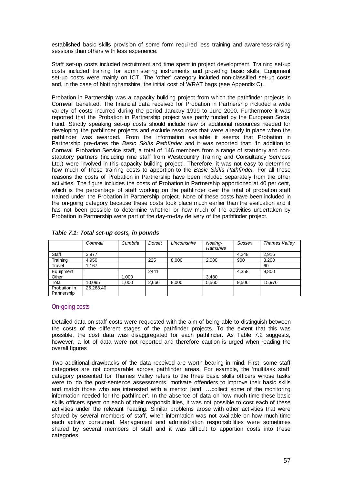established basic skills provision of some form required less training and awareness-raising sessions than others with less experience.

Staff set-up costs included recruitment and time spent in project development. Training set-up costs included training for administering instruments and providing basic skills. Equipment set-up costs were mainly on ICT. The 'other' category included non-classified set-up costs and, in the case of Nottinghamshire, the initial cost of WRAT bags (see Appendix C).

Probation in Partnership was a capacity building project from which the pathfinder projects in Cornwall benefited. The financial data received for Probation in Partnership included a wide variety of costs incurred during the period January 1999 to June 2000. Furthermore it was reported that the Probation in Partnership project was partly funded by the European Social Fund. Strictly speaking set-up costs should include new or additional resources needed for developing the pathfinder projects and exclude resources that were already in place when the pathfinder was awarded. From the information available it seems that Probation in Partnership pre-dates the *Basic Skills Pathfinder* and it was reported that: 'In addition to Cornwall Probation Service staff, a total of 146 members from a range of statutory and nonstatutory partners (including nine staff from Westcountry Training and Consultancy Services Ltd.) were involved in this capacity building project'. Therefore, it was not easy to determine how much of these training costs to apportion to the *Basic Skills Pathfinder*. For all these reasons the costs of Probation in Partnership have been included separately from the other activities. The figure includes the costs of Probation in Partnership apportioned at 40 per cent, which is the percentage of staff working on the pathfinder over the total of probation staff trained under the Probation in Partnership project. None of these costs have been included in the on-going category because these costs took place much earlier than the evaluation and it has not been possible to determine whether or how much of the activities undertaken by Probation in Partnership were part of the day-to-day delivery of the pathfinder project.

|                             | Cornwall  | Cumbria | Dorset | Lincolnshire | Notting-<br>Hamshire | Sussex | Thames Valley |
|-----------------------------|-----------|---------|--------|--------------|----------------------|--------|---------------|
| Staff                       | 3.977     |         |        |              |                      | 4.248  | 2,916         |
| Training                    | 4.950     |         | 225    | 8.000        | 2.080                | 900    | 3.200         |
| Travel                      | 1.167     |         |        |              |                      |        | 60            |
| Equipment                   |           |         | 2441   |              |                      | 4,358  | 9,800         |
| Other                       |           | 1,000   |        |              | 3.480                |        |               |
| Total                       | 10.095    | 1,000   | 2,666  | 8,000        | 5.560                | 9,506  | 15.976        |
| Probation in<br>Partnership | 26.268.40 |         |        |              |                      |        |               |

| Table 7.1: Total set-up costs, in pounds |  |  |  |  |  |
|------------------------------------------|--|--|--|--|--|
|------------------------------------------|--|--|--|--|--|

## On-going costs

Detailed data on staff costs were requested with the aim of being able to distinguish between the costs of the different stages of the pathfinder projects. To the extent that this was possible, the cost data was disaggregated for each pathfinder. As Table 7.2 suggests, however, a lot of data were not reported and therefore caution is urged when reading the overall figures

Two additional drawbacks of the data received are worth bearing in mind. First, some staff categories are not comparable across pathfinder areas. For example, the 'multitask staff' category presented for Thames Valley refers to the three basic skills officers whose tasks were to 'do the post-sentence assessments, motivate offenders to improve their basic skills and match those who are interested with a mentor [and] …collect some of the monitoring information needed for the pathfinder'. In the absence of data on how much time these basic skills officers spent on each of their responsibilities, it was not possible to cost each of these activities under the relevant heading. Similar problems arose with other activities that were shared by several members of staff, when information was not available on how much time each activity consumed. Management and administration responsibilities were sometimes shared by several members of staff and it was difficult to apportion costs into these categories.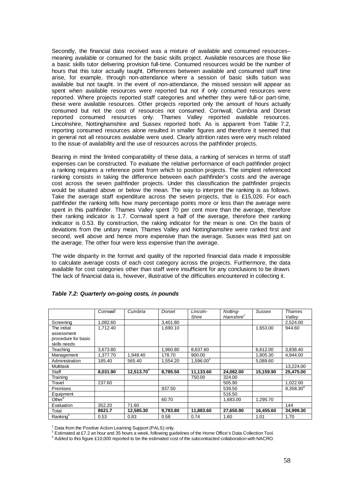Secondly, the financial data received was a mixture of available and consumed resources– meaning available or consumed for the basic skills project. Available resources are those like a basic skills tutor delivering provision full-time. Consumed resources would be the number of hours that this tutor actually taught. Differences between available and consumed staff time arise, for example, through non-attendance where a session of basic skills tuition was available but not taught. In the event of non-attendance, the missed session will appear as spent when available resources were reported but not if only consumed resources were reported. Where projects reported staff categories and whether they were full-or part-time, these were available resources. Other projects reported only the amount of hours actually consumed but not the cost of resources not consumed. Cornwall, Cumbria and Dorset reported consumed resources only. Thames Valley reported available resources. Lincolnshire, Nottinghamshire and Sussex reported both. As is apparent from Table 7.2, reporting consumed resources alone resulted in smaller figures and therefore it seemed that in general not all resources available were used. Clearly attrition rates were very much related to the issue of availability and the use of resources across the pathfinder projects.

Bearing in mind the limited comparability of these data, a ranking of services in terms of staff expenses can be constructed. To evaluate the relative performance of each pathfinder project a ranking requires a reference point from which to position projects. The simplest referenced ranking consists in taking the difference between each pathfinder's costs and the average cost across the seven pathfinder projects. Under this classification the pathfinder projects would be situated above or below the mean. The way to interpret the ranking is as follows. Take the average staff expenditure across the seven projects, that is £15,026. For each pathfinder the ranking tells how many percentage points more or less than the average were spent in this pathfinder. Thames Valley spent 70 per cent more than the average, therefore their ranking indicator is 1.7. Cornwall spent a half of the average, therefore their ranking indicator is 0.53. By construction, the raking indicator for the mean is one. On the basis of deviations from the unitary mean, Thames Valley and Nottinghamshire were ranked first and second, well above and hence more expensive than the average. Sussex was third just on the average. The other four were less expensive than the average.

The wide disparity in the format and quality of the reported financial data made it impossible to calculate average costs of each cost category across the projects. Furthermore, the data available for cost categories other than staff were insufficient for any conclusions to be drawn. The lack of financial data is, however, illustrative of the difficulties encountered in collecting it.

|                      | Cornwall | Cumbria       | Dorset   | Lincoln-<br>Shire | Notting-<br>Hamshire <sup>1</sup> | Sussex    | Thames<br>Valley |
|----------------------|----------|---------------|----------|-------------------|-----------------------------------|-----------|------------------|
| Screening            | 1.082.60 |               | 3.401.80 |                   |                                   |           | 2,524.00         |
| The initial          | 1.712.40 |               | 1,690.10 |                   |                                   | 1,653.00  | 944.60           |
| assessment           |          |               |          |                   |                                   |           |                  |
| procedure for basic  |          |               |          |                   |                                   |           |                  |
| skills needs         |          |               |          |                   |                                   |           |                  |
| Teaching             | 3,673.80 |               | 1.960.80 | 8.637.60          |                                   | 6,612.00  | 3,838.40         |
| Management           | 1.377.70 | 1.948.40      | 178.70   | 900.00            |                                   | 1,805.30  | 4.944.00         |
| Administration       | 185.40   | 565.40        | 1.554.20 | $1,596.00^{2}$    |                                   | 5,089.60  |                  |
| <b>Multitask</b>     |          |               |          |                   |                                   |           | 13,224.00        |
| Staff                | 8,031.90 | $12,513.70^3$ | 8,785.50 | 11,133.60         | 24,082.00                         | 15,159.90 | 25,475.00        |
| Training             |          |               |          | 750.00            | 324.00                            |           |                  |
| Travel               | 237.60   |               |          |                   | 505.90                            |           | 1,022.00         |
| Premises             |          |               | 937.50   |                   | 539.50                            |           | 8,358.304        |
| Equipment            |          |               |          |                   | 516.50                            |           |                  |
| Other <sup>5</sup>   |          |               | 60.70    |                   | 1,683.00                          | 1,295.70  |                  |
| Evaluation           | 352.20   | 71.60         |          |                   |                                   |           | 144              |
| Total                | 8621.7   | 12,585.30     | 9,783.80 | 11,883.60         | 27,650.90                         | 16,455.60 | 34,999.30        |
| Ranking <sup>6</sup> | 0.53     | 0.83          | 0.58     | 0.74              | 1.60                              | 1.01      | 1.70             |

### *Table 7.2: Quarterly on-going costs, in pounds*

<sup>1</sup> Data from the Positive Action Learning Support (PALS) only.

 $^2$  Estimated at £7.2 an hour and 35 hours a week, following guidelines of the Home Office's Data Collection Tool.

<sup>3</sup> Added to this figure £10,000 reported to be the estimated cost of the subcontracted collaboration with NACRO.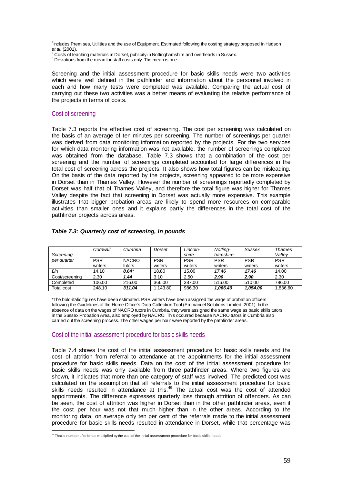<sup>4</sup>Includes Premises, Utilities and the use of Equipment. Estimated following the costing strategy proposed in Hudson

*et al.* (2001).<br><sup>5</sup> Costs of teaching materials in Dorset, publicity in Nottinghamshire and overheads in Sussex.

<sup>6</sup> Deviations from the mean for staff costs only. The mean is one.

Screening and the initial assessment procedure for basic skills needs were two activities which were well defined in the pathfinder and information about the personnel involved in each and how many tests were completed was available. Comparing the actual cost of carrying out these two activities was a better means of evaluating the relative performance of the projects in terms of costs.

### Cost of screening

Table 7.3 reports the effective cost of screening. The cost per screening was calculated on the basis of an average of ten minutes per screening. The number of screenings per quarter was derived from data monitoring information reported by the projects. For the two services for which data monitoring information was not available, the number of screenings completed was obtained from the database. Table 7.3 shows that a combination of the cost per screening and the number of screenings completed accounted for large differences in the total cost of screening across the projects. It also shows how total figures can be misleading. On the basis of the data reported by the projects, screening appeared to be more expensive in Dorset than in Thames Valley. However the number of screenings reportedly completed by Dorset was half that of Thames Valley, and therefore the total figure was higher for Thames Valley despite the fact that screening in Dorset was actually more expensive. This example illustrates that bigger probation areas are likely to spend more resources on comparable activities than smaller ones and it explains partly the differences in the total cost of the pathfinder projects across areas.

| Screening         | Cornwall              | Cumbria      | Dorset                | Lincoln-<br>shire | Notting-<br>hamshire  | Sussex     | <b>Thames</b><br>Vallev |
|-------------------|-----------------------|--------------|-----------------------|-------------------|-----------------------|------------|-------------------------|
| per quarter       | <b>PSR</b><br>writers | <b>NACRO</b> | <b>PSR</b><br>writers | <b>PSR</b>        | <b>PSR</b><br>writers | <b>PSR</b> | <b>PSR</b><br>writers   |
|                   |                       | tutors       |                       | writers           |                       | writers    |                         |
| £/h               | 14.10                 | $8.64*$      | 18.80                 | 15.00             | 17.46                 | 17.46      | 14.00                   |
| Cost/screening    | 2.30                  | 1.44         | 3.10                  | 2.50              | 2.90                  | 2.90       | 2.30                    |
| Completed         | 106.00                | 216.00       | 366.00                | 387.00            | 516.00                | 510.00     | 786.00                  |
| <b>Total cost</b> | 248.10                | 311.04       | 1,143.80              | 986.30            | 1,066.40              | 1.054.00   | 1,836.60                |

### *Table 7.3: Quarterly cost of screening, in pounds*

\*The bold-italic figures have been estimated. PSR writers have been assigned the wage of probation officers following the Guidelines of the Home Office's Data Collection Tool (Emmanuel Solutions Limited, 2001). In the absence of data on the wages of NACRO tutors in Cumbria, they were assigned the same wage as basic skills tutors in the Sussex Probation Area, also employed by NACRO. This occurred because NACRO tutors in Cumbria also carried out the screening process. The other wages per hour were reported by the pathfinder areas.

# Cost of the initial assessment procedure for basic skills needs

Table 7.4 shows the cost of the initial assessment procedure for basic skills needs and the cost of attrition from referral to attendance at the appointments for the initial assessment procedure for basic skills needs. Data on the cost of the initial assessment procedure for basic skills needs was only available from three pathfinder areas. Where two figures are shown, it indicates that more than one category of staff was involved. The predicted cost was calculated on the assumption that all referrals to the initial assessment procedure for basic skills needs resulted in attendance at this.<sup>49</sup> The actual cost was the cost of attended appointments. The difference expresses quarterly loss through attrition of offenders. As can be seen, the cost of attrition was higher in Dorset than in the other pathfinder areas, even if the cost per hour was not that much higher than in the other areas. According to the monitoring data, on average only ten per cent of the referrals made to the initial assessment procedure for basic skills needs resulted in attendance in Dorset, while that percentage was

 $\overline{a}$ <sup>49</sup> That is number of referrals multiplied by the cost of the initial assessment procedure for basic skills needs.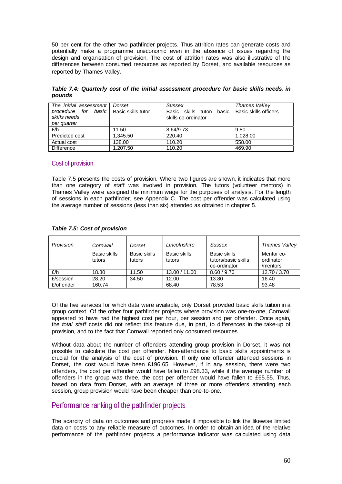50 per cent for the other two pathfinder projects. Thus attrition rates can generate costs and potentially make a programme uneconomic even in the absence of issues regarding the design and organisation of provision. The cost of attrition rates was also illustrative of the differences between consumed resources as reported by Dorset, and available resources as reported by Thames Valley.

*Table 7.4: Quarterly cost of the initial assessment procedure for basic skills needs, in pounds*

| The initial assessment | Dorset             | <b>Sussex</b>                   | Thames Valley         |  |
|------------------------|--------------------|---------------------------------|-----------------------|--|
| basic<br>procedure for | Basic skills tutor | basic<br>Basic skills<br>tutor/ | Basic skills officers |  |
| skills needs           |                    | skills co-ordinator             |                       |  |
| per quarter            |                    |                                 |                       |  |
| £/h                    | 11.50              | 8.64/9.73                       | 9.80                  |  |
| Predicted cost         | 1.345.50           | 220.40                          | 1.028.00              |  |
| Actual cost            | 138.00             | 110.20                          | 558.00                |  |
| <b>Difference</b>      | 1,207.50           | 110.20                          | 469.90                |  |

## Cost of provision

Table 7.5 presents the costs of provision. Where two figures are shown, it indicates that more than one category of staff was involved in provision. The tutors (volunteer mentors) in Thames Valley were assigned the minimum wage for the purposes of analysis. For the length of sessions in each pathfinder, see Appendix C. The cost per offender was calculated using the average number of sessions (less than six) attended as obtained in chapter 5.

| Provision  | Cornwall               | Dorset                 | Lincolnshire           | Sussex                                              | Thames Valley                       |
|------------|------------------------|------------------------|------------------------|-----------------------------------------------------|-------------------------------------|
|            | Basic skills<br>tutors | Basic skills<br>tutors | Basic skills<br>tutors | Basic skills<br>tutors/basic skills<br>co-ordinator | Mentor co-<br>ordinator<br>/mentors |
| £/h        | 18.80                  | 11.50                  | 13.00 / 11.00          | 8.60 / 9.70                                         | 12.70 / 3.70                        |
| £/session  | 28.20                  | 34.50                  | 12.00                  | 13.80                                               | 16.40                               |
| £/offender | 160.74                 |                        | 68.40                  | 78.53                                               | 93.48                               |

### *Table 7.5: Cost of provision*

Of the five services for which data were available, only Dorset provided basic skills tuition in a group context. Of the other four pathfinder projects where provision was one-to-one, Cornwall appeared to have had the highest cost per hour, per session and per offender. Once again, the *total staff* costs did not reflect this feature due, in part, to differences in the take-up of provision, and to the fact that Cornwall reported only consumed resources.

Without data about the number of offenders attending group provision in Dorset, it was not possible to calculate the cost per offender. Non-attendance to basic skills appointments is crucial for the analysis of the cost of provision. If only one offender attended sessions in Dorset, the cost would have been £196.65. However, if in any session, there were two offenders, the cost per offender would have fallen to £98.33, while if the average number of offenders in the group was three, the cost per offender would have fallen to £65.55. Thus, based on data from Dorset, with an average of three or more offenders attending each session, group provision would have been cheaper than one-to-one.

# Performance ranking of the pathfinder projects

The scarcity of data on outcomes and progress made it impossible to link the likewise limited data on costs to any reliable measure of outcomes. In order to obtain an idea of the relative performance of the pathfinder projects a performance indicator was calculated using data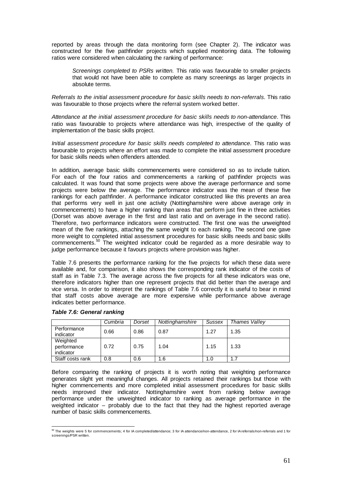reported by areas through the data monitoring form (see Chapter 2). The indicator was constructed for the five pathfinder projects which supplied monitoring data. The following ratios were considered when calculating the ranking of performance:

*Screenings completed to PSRs written.* This ratio was favourable to smaller projects that would not have been able to complete as many screenings as larger projects in absolute terms.

*Referrals to the initial assessment procedure for basic skills needs to non-referrals*. This ratio was favourable to those projects where the referral system worked better.

*Attendance at the initial assessment procedure for basic skills needs to non-attendance*. This ratio was favourable to projects where attendance was high, irrespective of the quality of implementation of the basic skills project.

*Initial assessment procedure for basic skills needs completed to attendance*. This ratio was favourable to projects where an effort was made to complete the initial assessment procedure for basic skills needs when offenders attended.

In addition, average basic skills commencements were considered so as to include tuition. For each of the four ratios and commencements a ranking of pathfinder projects was calculated. It was found that some projects were above the average performance and some projects were below the average. The performance indicator was the mean of these five rankings for each pathfinder. A performance indicator constructed like this prevents an area that performs very well in just one activity (Nottinghamshire were above average only in commencements) to have a higher ranking than areas that perform just fine in three activities (Dorset was above average in the first and last ratio and on average in the second ratio). Therefore, two performance indicators were constructed. The first one was the unweighted mean of the five rankings, attaching the same weight to each ranking. The second one gave more weight to completed initial assessment procedures for basic skills needs and basic skills commencements.50 The weighted indicator could be regarded as a more desirable way to judge performance because it favours projects where provision was higher.

Table 7.6 presents the performance ranking for the five projects for which these data were available and, for comparison, it also shows the corresponding rank indicator of the costs of staff as in Table 7.3. The average across the five projects for all these indicators was one, therefore indicators higher than one represent projects that did better than the average and vice versa. In order to interpret the rankings of Table 7.6 correctly it is useful to bear in mind that staff costs above average are more expensive while performance above average indicates better performance.

|                                      | Cumbria | Dorset | Nottinghamshire | <b>Sussex</b> | Thames Vallev |
|--------------------------------------|---------|--------|-----------------|---------------|---------------|
| Performance<br>indicator             | 0.66    | 0.86   | 0.87            | 1.27          | 1.35          |
| Weighted<br>performance<br>indicator | 0.72    | 0.75   | 1.04            | 1.15          | 1.33          |
| Staff costs rank                     | 0.8     | 0.6    | 1.6             | 1.0           | 1.7           |

#### *Table 7.6: General ranking*

Before comparing the ranking of projects it is worth noting that weighting performance generates slight yet meaningful changes. All projects retained their rankings but those with higher commencements and more completed initial assessment procedures for basic skills needs improved their indicator. Nottinghamshire went from ranking below average performance under the unweighted indicator to ranking as average performance in the weighted indicator – probably due to the fact that they had the highest reported average number of basic skills commencements.

 50 The weights were 5 for commencements; 4 for IA completed/attendance; 3 for IA attendance/non-attendance, 2 for IA referrals/non-referrals and 1 for screenings/PSR written.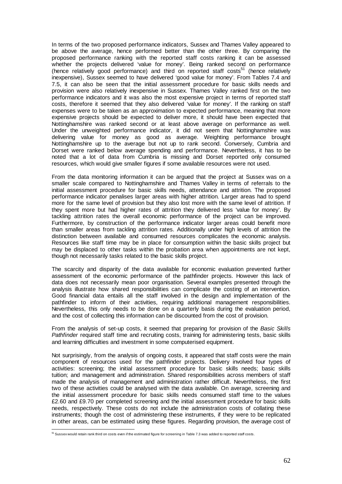In terms of the two proposed performance indicators, Sussex and Thames Valley appeared to be above the average, hence performed better than the other three. By comparing the proposed performance ranking with the reported staff costs ranking it can be assessed whether the projects delivered 'value for money'. Being ranked second on performance (hence relatively good performance) and third on reported staff costs<sup>51</sup> (hence relatively inexpensive), Sussex seemed to have delivered 'good value for money'. From Tables 7.4 and 7.5, it can also be seen that the initial assessment procedure for basic skills needs and provision were also relatively inexpensive in Sussex. Thames Valley ranked first on the two performance indicators and it was also the most expensive project in terms of reported staff costs, therefore it seemed that they also delivered 'value for money'. If the ranking on staff expenses were to be taken as an approximation to expected performance, meaning that more expensive projects should be expected to deliver more, it should have been expected that Nottinghamshire was ranked second or at least above average on performance as well. Under the unweighted performance indicator, it did not seem that Nottinghamshire was delivering value for money as good as average. Weighting performance brought Nottinghamshire up to the average but not up to rank second. Conversely, Cumbria and Dorset were ranked below average spending and performance. Nevertheless, it has to be noted that a lot of data from Cumbria is missing and Dorset reported only consumed resources, which would give smaller figures if some available resources were not used.

From the data monitoring information it can be argued that the project at Sussex was on a smaller scale compared to Nottinghamshire and Thames Valley in terms of referrals to the initial assessment procedure for basic skills needs, attendance and attrition. The proposed performance indicator penalises larger areas with higher attrition. Larger areas had to spend more for the same level of provision but they also lost more with the same level of attrition. If they spent more but had higher rates of attrition they delivered less 'value for money'. By tackling attrition rates the overall economic performance of the project can be improved. Furthermore, by construction of the performance indicator larger areas could benefit more than smaller areas from tackling attrition rates. Additionally under high levels of attrition the distinction between available and consumed resources complicates the economic analysis. Resources like staff time may be in place for consumption within the basic skills project but may be displaced to other tasks within the probation area when appointments are not kept, though not necessarily tasks related to the basic skills project.

The scarcity and disparity of the data available for economic evaluation prevented further assessment of the economic performance of the pathfinder projects. However this lack of data does not necessarily mean poor organisation. Several examples presented through the analysis illustrate how shared responsibilities can complicate the costing of an intervention. Good financial data entails all the staff involved in the design and implementation of the pathfinder to inform of their activities, requiring additional management responsibilities. Nevertheless, this only needs to be done on a quarterly basis during the evaluation period, and the cost of collecting this information can be discounted from the cost of provision.

From the analysis of set-up costs, it seemed that preparing for provision of the *Basic Skills Pathfinder* required staff time and recruiting costs, training for administering tests, basic skills and learning difficulties and investment in some computerised equipment.

Not surprisingly, from the analysis of ongoing costs, it appeared that staff costs were the main component of resources used for the pathfinder projects. Delivery involved four types of activities: screening; the initial assessment procedure for basic skills needs; basic skills tuition; and management and administration. Shared responsibilities across members of staff made the analysis of management and administration rather difficult. Nevertheless, the first two of these activities could be analysed with the data available. On average, screening and the initial assessment procedure for basic skills needs consumed staff time to the values £2.60 and £9.70 per completed screening and the initial assessment procedure for basic skills needs, respectively. These costs do not include the administration costs of collating these instruments; though the cost of administering these instruments, if they were to be replicated in other areas, can be estimated using these figures. Regarding provision, the average cost of

 $^{51}$  Sussex would retain rank third on costs even if the estimated figure for screening in Table 7.3 was added to reported staff costs.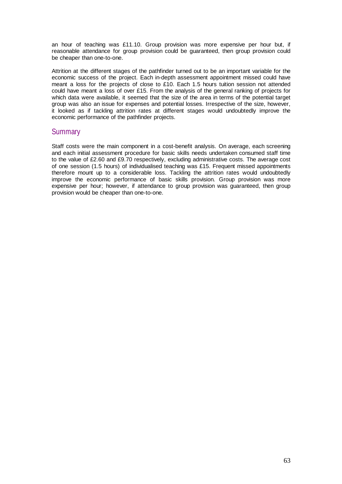an hour of teaching was £11.10. Group provision was more expensive per hour but, if reasonable attendance for group provision could be guaranteed, then group provision could be cheaper than one-to-one.

Attrition at the different stages of the pathfinder turned out to be an important variable for the economic success of the project. Each in-depth assessment appointment missed could have meant a loss for the projects of close to £10. Each 1.5 hours tuition session not attended could have meant a loss of over £15. From the analysis of the general ranking of projects for which data were available, it seemed that the size of the area in terms of the potential target group was also an issue for expenses and potential losses. Irrespective of the size, however, it looked as if tackling attrition rates at different stages would undoubtedly improve the economic performance of the pathfinder projects.

## **Summary**

Staff costs were the main component in a cost-benefit analysis. On average, each screening and each initial assessment procedure for basic skills needs undertaken consumed staff time to the value of £2.60 and £9.70 respectively, excluding administrative costs. The average cost of one session (1.5 hours) of individualised teaching was £15. Frequent missed appointments therefore mount up to a considerable loss. Tackling the attrition rates would undoubtedly improve the economic performance of basic skills provision. Group provision was more expensive per hour; however, if attendance to group provision was guaranteed, then group provision would be cheaper than one-to-one.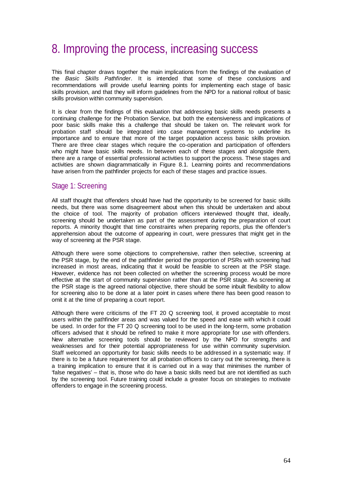## 8. Improving the process, increasing success

This final chapter draws together the main implications from the findings of the evaluation of the *Basic Skills Pathfinder*. It is intended that some of these conclusions and recommendations will provide useful learning points for implementing each stage of basic skills provision, and that they will inform guidelines from the NPD for a national rollout of basic skills provision within community supervision.

It is clear from the findings of this evaluation that addressing basic skills needs presents a continuing challenge for the Probation Service, but both the extensiveness and implications of poor basic skills make this a challenge that should be taken on. The relevant work for probation staff should be integrated into case management systems to underline its importance and to ensure that more of the target population access basic skills provision. There are three clear stages which require the co-operation and participation of offenders who might have basic skills needs. In between each of these stages and alongside them, there are a range of essential professional activities to support the process. These stages and activities are shown diagrammatically in Figure 8.1. Learning points and recommendations have arisen from the pathfinder projects for each of these stages and practice issues.

## Stage 1: Screening

All staff thought that offenders should have had the opportunity to be screened for basic skills needs, but there was some disagreement about when this should be undertaken and about the choice of tool. The majority of probation officers interviewed thought that, ideally, screening should be undertaken as part of the assessment during the preparation of court reports. A minority thought that time constraints when preparing reports, plus the offender's apprehension about the outcome of appearing in court, were pressures that might get in the way of screening at the PSR stage.

Although there were some objections to comprehensive, rather then selective, screening at the PSR stage, by the end of the pathfinder period the proportion of PSRs with screening had increased in most areas, indicating that it would be feasible to screen at the PSR stage. However, evidence has not been collected on whether the screening process would be more effective at the start of community supervision rather than at the PSR stage. As screening at the PSR stage is the agreed national objective, there should be some inbuilt flexibility to allow for screening also to be done at a later point in cases where there has been good reason to omit it at the time of preparing a court report.

Although there were criticisms of the FT 20 Q screening tool, it proved acceptable to most users within the pathfinder areas and was valued for the speed and ease with which it could be used. In order for the FT 20 Q screening tool to be used in the long-term, some probation officers advised that it should be refined to make it more appropriate for use with offenders. New alternative screening tools should be reviewed by the NPD for strengths and weaknesses and for their potential appropriateness for use within community supervision. Staff welcomed an opportunity for basic skills needs to be addressed in a systematic way. If there is to be a future requirement for all probation officers to carry out the screening, there is a training implication to ensure that it is carried out in a way that minimises the number of 'false negatives' – that is, those who do have a basic skills need but are not identified as such by the screening tool. Future training could include a greater focus on strategies to motivate offenders to engage in the screening process.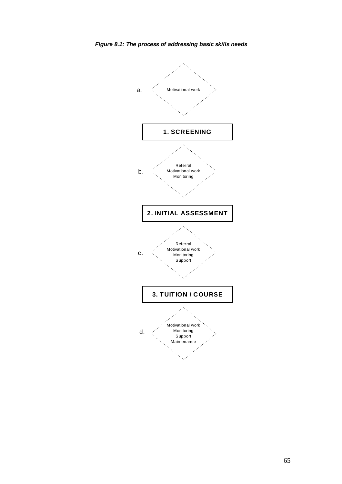

*Figure 8.1: The process of addressing basic skills needs*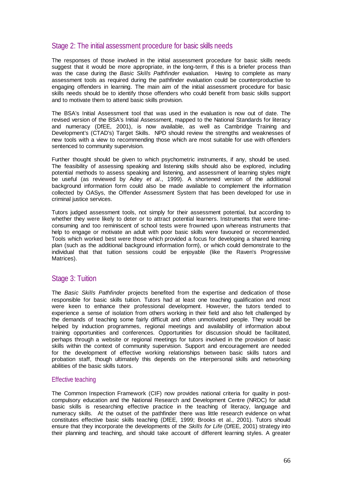## Stage 2: The initial assessment procedure for basic skills needs

The responses of those involved in the initial assessment procedure for basic skills needs suggest that it would be more appropriate, in the long-term, if this is a briefer process than was the case during the *Basic Skills Pathfinder* evaluation. Having to complete as many assessment tools as required during the pathfinder evaluation could be counterproductive to engaging offenders in learning. The main aim of the initial assessment procedure for basic skills needs should be to identify those offenders who could benefit from basic skills support and to motivate them to attend basic skills provision.

The BSA's Initial Assessment tool that was used in the evaluation is now out of date. The revised version of the BSA's Initial Assessment, mapped to the National Standards for literacy and numeracy (DfEE, 2001), is now available, as well as Cambridge Training and Development's (CTAD's) Target Skills. NPD should review the strengths and weaknesses of new tools with a view to recommending those which are most suitable for use with offenders sentenced to community supervision.

Further thought should be given to which psychometric instruments, if any, should be used. The feasibility of assessing speaking and listening skills should also be explored, including potential methods to assess speaking and listening, and assessment of learning styles might be useful (as reviewed by Adey *et al*., 1999). A shortened version of the additional background information form could also be made available to complement the information collected by OASys, the Offender Assessment System that has been developed for use in criminal justice services.

Tutors judged assessment tools, not simply for their assessment potential, but according to whether they were likely to deter or to attract potential learners. Instruments that were timeconsuming and too reminiscent of school tests were frowned upon whereas instruments that help to engage or motivate an adult with poor basic skills were favoured or recommended. Tools which worked best were those which provided a focus for developing a shared learning plan (such as the additional background information form), or which could demonstrate to the individual that that tuition sessions could be enjoyable (like the Raven's Progressive Matrices).

## Stage 3: Tuition

The *Basic Skills Pathfinder* projects benefited from the expertise and dedication of those responsible for basic skills tuition. Tutors had at least one teaching qualification and most were keen to enhance their professional development. However, the tutors tended to experience a sense of isolation from others working in their field and also felt challenged by the demands of teaching some fairly difficult and often unmotivated people. They would be helped by induction programmes, regional meetings and availability of information about training opportunities and conferences. Opportunities for discussion should be facilitated, perhaps through a website or regional meetings for tutors involved in the provision of basic skills within the context of community supervision. Support and encouragement are needed for the development of effective working relationships between basic skills tutors and probation staff, though ultimately this depends on the interpersonal skills and networking abilities of the basic skills tutors.

### Effective teaching

The Common Inspection Framework (CIF) now provides national criteria for quality in postcompulsory education and the National Research and Development Centre (NRDC) for adult basic skills is researching effective practice in the teaching of literacy, language and numeracy skills. At the outset of the pathfinder there was little research evidence on what constitutes effective basic skills teaching (DfEE, 1999; Brooks et al., 2001). Tutors should ensure that they incorporate the developments of the *Skills for Life* (DfEE, 2001) strategy into their planning and teaching, and should take account of different learning styles. A greater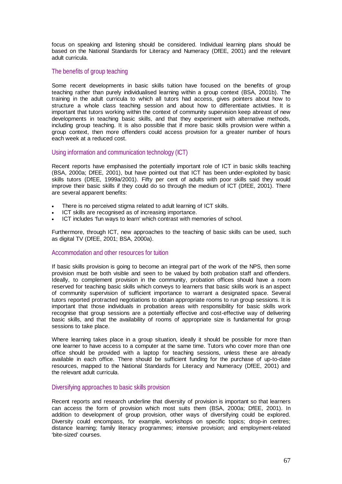focus on speaking and listening should be considered. Individual learning plans should be based on the National Standards for Literacy and Numeracy (DfEE, 2001) and the relevant adult curricula.

#### The benefits of group teaching

Some recent developments in basic skills tuition have focused on the benefits of group teaching rather than purely individualised learning within a group context (BSA, 2001b). The training in the adult curricula to which all tutors had access, gives pointers about how to structure a whole class teaching session and about how to differentiate activities. It is important that tutors working within the context of community supervision keep abreast of new developments in teaching basic skills, and that they experiment with alternative methods, including group teaching. It is also possible that if more basic skills provision were within a group context, then more offenders could access provision for a greater number of hours each week at a reduced cost.

### Using information and communication technology (ICT)

Recent reports have emphasised the potentially important role of ICT in basic skills teaching (BSA, 2000a; DfEE, 2001), but have pointed out that ICT has been under-exploited by basic skills tutors (DfEE, 1999a/2001). Fifty per cent of adults with poor skills said they would improve their basic skills if they could do so through the medium of ICT (DfEE, 2001). There are several apparent benefits:

- There is no perceived stigma related to adult learning of ICT skills.
- ICT skills are recognised as of increasing importance.
- ICT includes 'fun ways to learn' which contrast with memories of school.

Furthermore, through ICT, new approaches to the teaching of basic skills can be used, such as digital TV (DfEE, 2001; BSA, 2000a).

#### Accommodation and other resources for tuition

If basic skills provision is going to become an integral part of the work of the NPS, then some provision must be both visible and seen to be valued by both probation staff and offenders. Ideally, to complement provision in the community, probation offices should have a room reserved for teaching basic skills which conveys to learners that basic skills work is an aspect of community supervision of sufficient importance to warrant a designated space. Several tutors reported protracted negotiations to obtain appropriate rooms to run group sessions. It is important that those individuals in probation areas with responsibility for basic skills work recognise that group sessions are a potentially effective and cost-effective way of delivering basic skills, and that the availability of rooms of appropriate size is fundamental for group sessions to take place.

Where learning takes place in a group situation, ideally it should be possible for more than one learner to have access to a computer at the same time. Tutors who cover more than one office should be provided with a laptop for teaching sessions, unless these are already available in each office. There should be sufficient funding for the purchase of up-to-date resources, mapped to the National Standards for Literacy and Numeracy (DfEE, 2001) and the relevant adult curricula.

#### Diversifying approaches to basic skills provision

Recent reports and research underline that diversity of provision is important so that learners can access the form of provision which most suits them (BSA, 2000a; DfEE, 2001). In addition to development of group provision, other ways of diversifying could be explored. Diversity could encompass, for example, workshops on specific topics; drop-in centres; distance learning; family literacy programmes; intensive provision; and employment-related 'bite-sized' courses.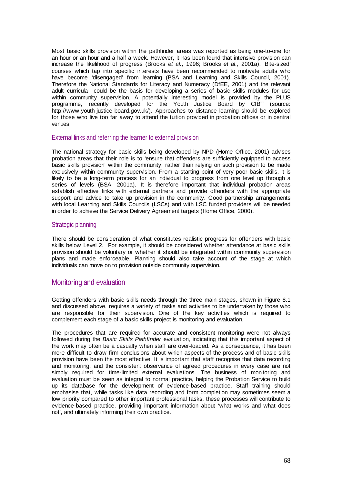Most basic skills provision within the pathfinder areas was reported as being one-to-one for an hour or an hour and a half a week. However, it has been found that intensive provision can increase the likelihood of progress (Brooks *et al.,* 1996; Brooks *et al.,* 2001a). 'Bite-sized' courses which tap into specific interests have been recommended to motivate adults who have become 'disengaged' from learning (BSA and Learning and Skills Council, 2001). Therefore the National Standards for Literacy and Numeracy (DfEE, 2001) and the relevant adult curricula could be the basis for developing a series of basic skills modules for use within community supervision. A potentially interesting model is provided by the PLUS programme, recently developed for the Youth Justice Board by CfBT (source: http://www.youth-justice-board.gov.uk/). Approaches to distance learning should be explored for those who live too far away to attend the tuition provided in probation offices or in central venues.

#### External links and referring the learner to external provision

The national strategy for basic skills being developed by NPD (Home Office, 2001) advises probation areas that their role is to 'ensure that offenders are sufficiently equipped to access basic skills provision' within the community, rather than relying on such provision to be made exclusively within community supervision. From a starting point of very poor basic skills, it is likely to be a long-term process for an individual to progress from one level up through a series of levels (BSA, 2001a). It is therefore important that individual probation areas establish effective links with external partners and provide offenders with the appropriate support and advice to take up provision in the community. Good partnership arrangements with local Learning and Skills Councils (LSCs) and with LSC funded providers will be needed in order to achieve the Service Delivery Agreement targets (Home Office, 2000).

#### Strategic planning

There should be consideration of what constitutes realistic progress for offenders with basic skills below Level 2. For example, it should be considered whether attendance at basic skills provision should be voluntary or whether it should be integrated within community supervision plans and made enforceable. Planning should also take account of the stage at which individuals can move on to provision outside community supervision.

## Monitoring and evaluation

Getting offenders with basic skills needs through the three main stages, shown in Figure 8.1 and discussed above, requires a variety of tasks and activities to be undertaken by those who are responsible for their supervision. One of the key activities which is required to complement each stage of a basic skills project is monitoring and evaluation.

The procedures that are required for accurate and consistent monitoring were not always followed during the *Basic Skills Pathfinder* evaluation, indicating that this important aspect of the work may often be a casualty when staff are over-loaded. As a consequence, it has been more difficult to draw firm conclusions about which aspects of the process and of basic skills provision have been the most effective. It is important that staff recognise that data recording and monitoring, and the consistent observance of agreed procedures in every case are not simply required for time-limited external evaluations. The business of monitoring and evaluation must be seen as integral to normal practice, helping the Probation Service to build up its database for the development of evidence-based practice. Staff training should emphasise that, while tasks like data recording and form completion may sometimes seem a low priority compared to other important professional tasks, these processes will contribute to evidence-based practice, providing important information about 'what works and what does not', and ultimately informing their own practice.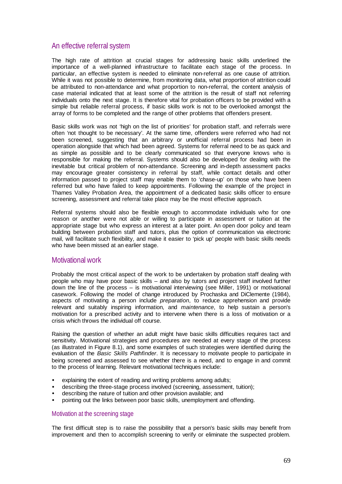## An effective referral system

The high rate of attrition at crucial stages for addressing basic skills underlined the importance of a well-planned infrastructure to facilitate each stage of the process. In particular, an effective system is needed to eliminate non-referral as one cause of attrition. While it was not possible to determine, from monitoring data, what proportion of attrition could be attributed to non-attendance and what proportion to non-referral, the content analysis of case material indicated that at least some of the attrition is the result of staff not referring individuals onto the next stage. It is therefore vital for probation officers to be provided with a simple but reliable referral process, if basic skills work is not to be overlooked amongst the array of forms to be completed and the range of other problems that offenders present.

Basic skills work was not 'high on the list of priorities' for probation staff, and referrals were often 'not thought to be necessary'. At the same time, offenders were referred who had not been screened, suggesting that an arbitrary or unofficial referral process had been in operation alongside that which had been agreed. Systems for referral need to be as quick and as simple as possible and to be clearly communicated so that everyone knows who is responsible for making the referral. Systems should also be developed for dealing with the inevitable but critical problem of non-attendance. Screening and in-depth assessment packs may encourage greater consistency in referral by staff, while contact details and other information passed to project staff may enable them to 'chase-up' on those who have been referred but who have failed to keep appointments. Following the example of the project in Thames Valley Probation Area, the appointment of a dedicated basic skills officer to ensure screening, assessment and referral take place may be the most effective approach.

Referral systems should also be flexible enough to accommodate individuals who for one reason or another were not able or willing to participate in assessment or tuition at the appropriate stage but who express an interest at a later point. An open door policy and team building between probation staff and tutors, plus the option of communication via electronic mail, will facilitate such flexibility, and make it easier to 'pick up' people with basic skills needs who have been missed at an earlier stage.

## Motivational work

Probably the most critical aspect of the work to be undertaken by probation staff dealing with people who may have poor basic skills – and also by tutors and project staff involved further down the line of the process – is motivational interviewing (see Miller, 1991) or motivational casework. Following the model of change introduced by Prochaska and DiClemente (1984), aspects of motivating a person include *preparation*, to reduce apprehension and provide relevant and suitably inspiring information, and *maintenance*, to help sustain a person's motivation for a prescribed activity and to intervene when there is a loss of motivation or a crisis which throws the individual off course.

Raising the question of whether an adult might have basic skills difficulties requires tact and sensitivity. Motivational strategies and procedures are needed at every stage of the process (as illustrated in Figure 8.1), and some examples of such strategies were identified during the evaluation of the *Basic Skills Pathfinder*. It is necessary to motivate people to participate in being screened and assessed to see whether there is a need, and to engage in and commit to the process of learning. Relevant motivational techniques include:

- explaining the extent of reading and writing problems among adults;
- describing the three-stage process involved (screening, assessment, tuition);
- describing the nature of tuition and other provision available; and
- pointing out the links between poor basic skills, unemployment and offending.

#### Motivation at the screening stage

The first difficult step is to raise the possibility that a person's basic skills may benefit from improvement and then to accomplish screening to verify or eliminate the suspected problem.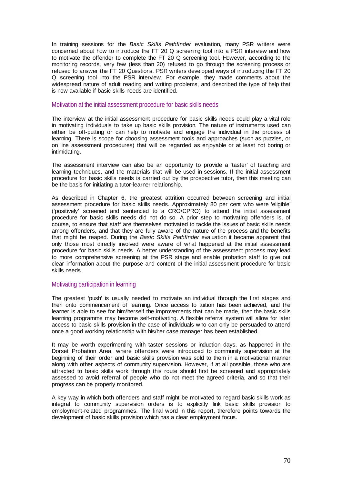In training sessions for the *Basic Skills Pathfinder* evaluation, many PSR writers were concerned about how to introduce the FT 20 Q screening tool into a PSR interview and how to motivate the offender to complete the FT 20 Q screening tool. However, according to the monitoring records, very few (less than 20) refused to go through the screening process or refused to answer the FT 20 Questions. PSR writers developed ways of introducing the FT 20 Q screening tool into the PSR interview. For example, they made comments about the widespread nature of adult reading and writing problems, and described the type of help that is now available if basic skills needs are identified.

#### Motivation at the initial assessment procedure for basic skills needs

The interview at the initial assessment procedure for basic skills needs could play a vital role in motivating individuals to take up basic skills provision. The nature of instruments used can either be off-putting or can help to motivate and engage the individual in the process of learning. There is scope for choosing assessment tools and approaches (such as puzzles, or on line assessment procedures) that will be regarded as enjoyable or at least not boring or intimidating.

The assessment interview can also be an opportunity to provide a 'taster' of teaching and learning techniques, and the materials that will be used in sessions. If the initial assessment procedure for basic skills needs is carried out by the prospective tutor, then this meeting can be the basis for initiating a tutor-learner relationship.

As described in Chapter 6, the greatest attrition occurred between screening and initial assessment procedure for basic skills needs. Approximately 80 per cent who were 'eligible' ('positively' screened and sentenced to a CRO/CPRO) to attend the initial assessment procedure for basic skills needs did not do so. A prior step to motivating offenders is, of course, to ensure that staff are themselves motivated to tackle the issues of basic skills needs among offenders, and that they are fully aware of the nature of the process and the benefits that might be reaped. During the *Basic Skills Pathfinder* evaluation it became apparent that only those most directly involved were aware of what happened at the initial assessment procedure for basic skills needs. A better understanding of the assessment process may lead to more comprehensive screening at the PSR stage and enable probation staff to give out clear information about the purpose and content of the initial assessment procedure for basic skills needs.

#### Motivating participation in learning

The greatest 'push' is usually needed to motivate an individual through the first stages and then onto commencement of learning. Once access to tuition has been achieved, and the learner is able to see for him/herself the improvements that can be made, then the basic skills learning programme may become self-motivating. A flexible referral system will allow for later access to basic skills provision in the case of individuals who can only be persuaded to attend once a good working relationship with his/her case manager has been established.

It may be worth experimenting with taster sessions or induction days, as happened in the Dorset Probation Area, where offenders were introduced to community supervision at the beginning of their order and basic skills provision was sold to them in a motivational manner along with other aspects of community supervision. However, if at all possible, those who are attracted to basic skills work through this route should first be screened and appropriately assessed to avoid referral of people who do not meet the agreed criteria, and so that their progress can be properly monitored.

A key way in which both offenders and staff might be motivated to regard basic skills work as integral to community supervision orders is to explicitly link basic skills provision to employment-related programmes. The final word in this report, therefore points towards the development of basic skills provision which has a clear employment focus.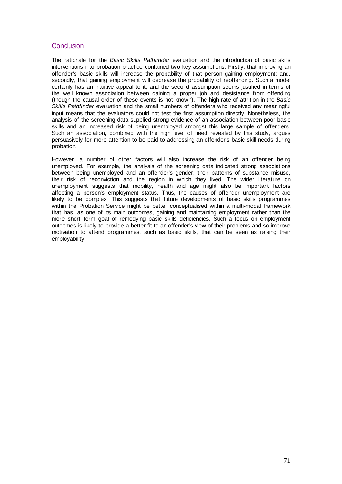## **Conclusion**

The rationale for the *Basic Skills Pathfinder* evaluation and the introduction of basic skills interventions into probation practice contained two key assumptions. Firstly, that improving an offender's basic skills will increase the probability of that person gaining employment; and, secondly, that gaining employment will decrease the probability of reoffending. Such a model certainly has an intuitive appeal to it, and the second assumption seems justified in terms of the well known association between gaining a proper job and desistance from offending (though the causal order of these events is not known). The high rate of attrition in the *Basic Skills Pathfinder* evaluation and the small numbers of offenders who received any meaningful input means that the evaluators could not test the first assumption directly. Nonetheless, the analysis of the screening data supplied strong evidence of an association between poor basic skills and an increased risk of being unemployed amongst this large sample of offenders. Such an association, combined with the high level of need revealed by this study, argues persuasively for more attention to be paid to addressing an offender's basic skill needs during probation.

However, a number of other factors will also increase the risk of an offender being unemployed. For example, the analysis of the screening data indicated strong associations between being unemployed and an offender's gender, their patterns of substance misuse, their risk of reconviction and the region in which they lived. The wider literature on unemployment suggests that mobility, health and age might also be important factors affecting a person's employment status. Thus, the causes of offender unemployment are likely to be complex. This suggests that future developments of basic skills programmes within the Probation Service might be better conceptualised within a multi-modal framework that has, as one of its main outcomes, gaining and maintaining employment rather than the more short term goal of remedying basic skills deficiencies. Such a focus on employment outcomes is likely to provide a better fit to an offender's view of their problems and so improve motivation to attend programmes, such as basic skills, that can be seen as raising their employability.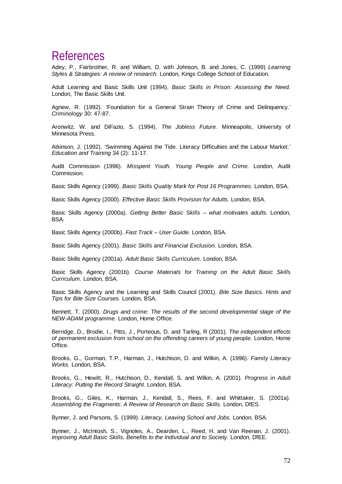## References

Adey, P., Fairbrother, R. and William, D. with Johnson, B. and Jones, C. (1999) *Learning Styles & Strategies: A review of research.* London, Kings College School of Education.

Adult Learning and Basic Skills Unit (1994). *Basic Skills in Prison: Assessing the Need.* London, The Basic Skills Unit.

Agnew, R. (1992). 'Foundation for a General Strain Theory of Crime and Delinquency.' *Criminology* 30: 47-87.

Aronwitz, W. and DiFazio, S. (1994). *The Jobless Future.* Minneapolis, University of Minnesota Press.

Atkinson, J. (1992). 'Swimming Against the Tide. Literacy Difficulties and the Labour Market.' *Education and Training* 34 (2): 11-17.

Audit Commission (1996). *Misspent Youth. Young People and Crime.* London, Audit Commission.

Basic Skills Agency (1999). *Basic Skills Quality Mark for Post 16 Programmes.* London, BSA.

Basic Skills Agency (2000). *Effective Basic Skills Provision for Adults.* London, BSA.

Basic Skills Agency (2000a). *Getting Better Basic Skills – what motivates adults.* London, BSA.

Basic Skills Agency (2000b). *Fast Track – User Guide.* London, BSA.

Basic Skills Agency (2001). *Basic Skills and Financial Exclusion.* London, BSA.

Basic Skills Agency (2001a). *Adult Basic Skills Curriculum.* London, BSA.

Basic Skills Agency (2001b). *Course Materials for Training on the Adult Basic Skills Curriculum.* London, BSA.

Basic Skills Agency and the Learning and Skills Council (2001). *Bite Size Basics. Hints and Tips for Bite Size Courses.* London, BSA.

Bennett, T. (2000). *Drugs and crime: The results of the second developmental stage of the NEW-ADAM programme.* London, Home Office.

Berridge, D., Brodie, I., Pitts, J., Porteous, D. and Tarling, R (2001). *The independent effects of permanent exclusion from school on the offending careers of young people.* London, Home Office.

Brooks, G., Gorman, T.P., Harman, J., Hutchison, D. and Wilkin, A. (1996). *Family Literacy Works.* London, BSA.

Brooks, G., Hewitt, R., Hutchison, D., Kendall, S. and Wilkin, A. (2001). *Progress in Adult Literacy: Putting the Record Straight.* London, BSA.

Brooks, G., Giles, K., Harman, J., Kendall, S., Rees, F. and Whittaker, S. (2001a). *Assembling the Fragments: A Review of Research on Basic Skills.* London, DfES.

Bynner, J. and Parsons, S. (1999). *Literacy, Leaving School and Jobs.* London, BSA.

Bynner, J., McIntosh, S., Vignoles, A., Dearden, L., Reed, H. and Van Reenan, J. (2001). *Improving Adult Basic Skills. Benefits to the Individual and to Society.* London, DfEE.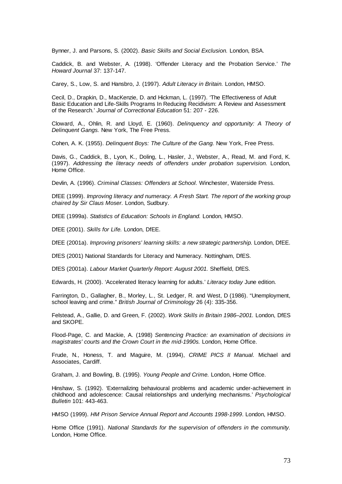Bynner, J. and Parsons, S. (2002). *Basic Skills and Social Exclusion.* London, BSA.

Caddick, B. and Webster, A. (1998). 'Offender Literacy and the Probation Service.' *The Howard Journal* 37: 137-147.

Carey, S., Low, S. and Hansbro, J. (1997). *Adult Literacy in Britain.* London, HMSO.

Cecil, D., Drapkin, D., MacKenzie, D. and Hickman, L. (1997). 'The Effectiveness of Adult Basic Education and Life-Skills Programs In Reducing Recidivism: A Review and Assessment of the Research.' *Journal of Correctional Education* 51: 207 - 226.

Cloward, A., Ohlin, R. and Lloyd, E. (1960). *Delinquency and opportunity: A Theory of Delinquent Gangs.* New York, The Free Press.

Cohen, A. K. (1955). *Delinquent Boys: The Culture of the Gang.* New York, Free Press.

Davis, G., Caddick, B., Lyon, K., Doling, L., Hasler, J., Webster, A., Read, M. and Ford, K. (1997). *Addressing the literacy needs of offenders under probation supervision.* London, Home Office.

Devlin, A. (1996). *Criminal Classes: Offenders at School.* Winchester, Waterside Press.

DfEE (1999). *Improving literacy and numeracy. A Fresh Start. The report of the working group chaired by Sir Claus Moser.* London, Sudbury.

DfEE (1999a). *Statistics of Education: Schools in England.* London, HMSO.

DfEE (2001). *Skills for Life.* London, DfEE.

DfEE (2001a). *Improving prisoners' learning skills: a new strategic partnership.* London, DfEE.

DfES (2001) National Standards for Literacy and Numeracy. Nottingham, DfES.

DfES (2001a). *Labour Market Quarterly Report: August 2001.* Sheffield, DfES.

Edwards, H. (2000). 'Accelerated literacy learning for adults.' *Literacy today* June edition.

Farrington, D., Gallagher, B., Morley, L., St. Ledger, R. and West, D (1986). "Unemployment, school leaving and crime." *British Journal of Criminology* 26 (4): 335-356.

Felstead, A., Gallie, D. and Green, F. (2002). *Work Skills in Britain 1986–2001.* London, DfES and SKOPE.

Flood-Page, C. and Mackie, A. (1998) *Sentencing Practice: an examination of decisions in magistrates' courts and the Crown Court in the mid-1990s.* London, Home Office.

Frude, N., Honess, T. and Maguire, M. (1994), *CRIME PICS II Manual.* Michael and Associates, Cardiff.

Graham, J. and Bowling, B. (1995). *Young People and Crime.* London, Home Office.

Hinshaw, S. (1992). 'Externalizing behavioural problems and academic under-achievement in childhood and adolescence: Causal relationships and underlying mechanisms.' *Psychological Bulletin* 101: 443-463.

HMSO (1999). *HM Prison Service Annual Report and Accounts 1998-1999*. London, HMSO.

Home Office (1991). *National Standards for the supervision of offenders in the community.* London, Home Office.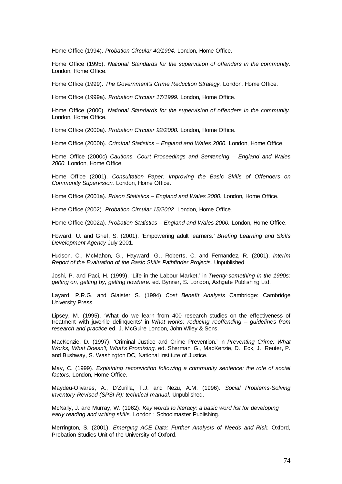Home Office (1994). *Probation Circular 40/1994.* London, Home Office.

Home Office (1995). *National Standards for the supervision of offenders in the community.* London, Home Office.

Home Office (1999). *The Government's Crime Reduction Strategy.* London, Home Office.

Home Office (1999a). *Probation Circular 17/1999.* London, Home Office.

Home Office (2000). *National Standards for the supervision of offenders in the community.* London, Home Office.

Home Office (2000a). *Probation Circular 92/2000.* London, Home Office.

Home Office (2000b). *Criminal Statistics – England and Wales 2000.* London, Home Office.

Home Office (2000c) *Cautions, Court Proceedings and Sentencing – England and Wales 2000.* London, Home Office.

Home Office (2001). *Consultation Paper: Improving the Basic Skills of Offenders on Community Supervision.* London, Home Office.

Home Office (2001a). *Prison Statistics – England and Wales 2000.* London, Home Office.

Home Office (2002). *Probation Circular 15/2002.* London, Home Office.

Home Office (2002a). *Probation Statistics – England and Wales 2000.* London, Home Office.

Howard, U. and Grief, S. (2001). 'Empowering adult learners.' *Briefing Learning and Skills Development Agency* July 2001.

Hudson, C., McMahon, G., Hayward, G., Roberts, C. and Fernandez, R. (2001). *Interim Report of the Evaluation of the Basic Skills Pathfinder Projects.* Unpublished

Joshi, P. and Paci, H. (1999). 'Life in the Labour Market.' in *Twenty-something in the 1990s: getting on, getting by, getting nowhere.* ed. Bynner, S. London, Ashgate Publishing Ltd.

Layard, P.R.G. and Glaister S. (1994) *Cost Benefit Analysis* Cambridge: Cambridge University Press.

Lipsey, M. (1995). 'What do we learn from 400 research studies on the effectiveness of treatment with juvenile delinquents' in *What works: reducing reoffending – guidelines from research and practice* ed. J. McGuire London, John Wiley & Sons.

MacKenzie, D. (1997). 'Criminal Justice and Crime Prevention.' in *Preventing Crime: What Works, What Doesn't, What's Promising.* ed. Sherman, G., MacKenzie, D., Eck, J., Reuter, P. and Bushway, S. Washington DC, National Institute of Justice.

May, C. (1999). *Explaining reconviction following a community sentence: the role of social factors.* London, Home Office.

Maydeu-Olivares, A., D'Zurilla, T.J. and Nezu, A.M. (1996). *Social Problems-Solving Inventory-Revised (SPSI-R): technical manual.* Unpublished.

McNally, J. and Murray, W. (1962). *Key words to literacy: a basic word list for developing early reading and writing skills.* London : Schoolmaster Publishing.

Merrington, S. (2001). *Emerging ACE Data: Further Analysis of Needs and Risk.* Oxford, Probation Studies Unit of the University of Oxford.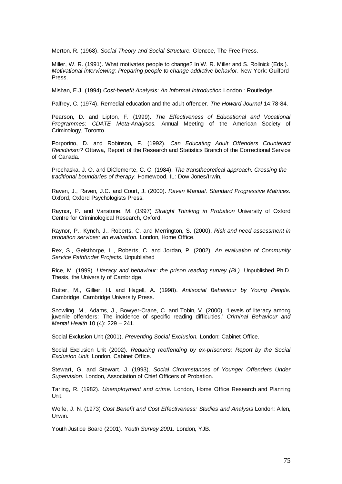Merton, R. (1968). *Social Theory and Social Structure.* Glencoe, The Free Press.

Miller, W. R. (1991). What motivates people to change? In W. R. Miller and S. Rollnick (Eds.). *Motivational interviewing: Preparing people to change addictive behavior*. New York: Guilford Press.

Mishan, E.J. (1994) *Cost-benefit Analysis: An Informal Introduction* London : Routledge.

Palfrey, C. (1974). Remedial education and the adult offender. *The Howard Journal* 14:78-84.

Pearson, D. and Lipton, F. (1999). *The Effectiveness of Educational and Vocational Programmes: CDATE Meta-Analyses.* Annual Meeting of the American Society of Criminology, Toronto.

Porporino, D. and Robinson, F. (1992). *Can Educating Adult Offenders Counteract Recidivism?* Ottawa, Report of the Research and Statistics Branch of the Correctional Service of Canada.

Prochaska, J. O. and DiClemente, C. C. (1984). *The transtheoretical approach: Crossing the traditional boundaries of therapy*. Homewood, IL: Dow Jones/Irwin.

Raven, J., Raven, J.C. and Court, J. (2000). *Raven Manual. Standard Progressive Matrices.* Oxford, Oxford Psychologists Press.

Raynor, P. and Vanstone, M. (1997) *Straight Thinking in Probation* University of Oxford Centre for Criminological Research, Oxford.

Raynor, P., Kynch, J., Roberts, C. and Merrington, S. (2000). *Risk and need assessment in probation services: an evaluation.* London, Home Office.

Rex, S., Gelsthorpe, L., Roberts, C. and Jordan, P. (2002). *An evaluation of Community Service Pathfinder Projects.* Unpublished

Rice, M. (1999). *Literacy and behaviour: the prison reading survey (BL).* Unpublished Ph.D. Thesis, the University of Cambridge.

Rutter, M., Gillier, H. and Hagell, A. (1998). *Antisocial Behaviour by Young People.* Cambridge, Cambridge University Press.

Snowling, M., Adams, J., Bowyer-Crane, C. and Tobin, V. (2000). 'Levels of literacy among juvenile offenders: The incidence of specific reading difficulties.' *Criminal Behaviour and Mental Health* 10 (4): 229 – 241.

Social Exclusion Unit (2001). *Preventing Social Exclusion.* London: Cabinet Office.

Social Exclusion Unit (2002). *Reducing reoffending by ex-prisoners: Report by the Social Exclusion Unit.* London, Cabinet Office.

Stewart, G. and Stewart, J. (1993). *Social Circumstances of Younger Offenders Under Supervision.* London, Association of Chief Officers of Probation.

Tarling, R. (1982). *Unemployment and crime.* London, Home Office Research and Planning Unit.

Wolfe, J. N. (1973) *Cost Benefit and Cost Effectiveness: Studies and Analysis* London: Allen, Unwin.

Youth Justice Board (2001). *Youth Survey 2001.* London, YJB.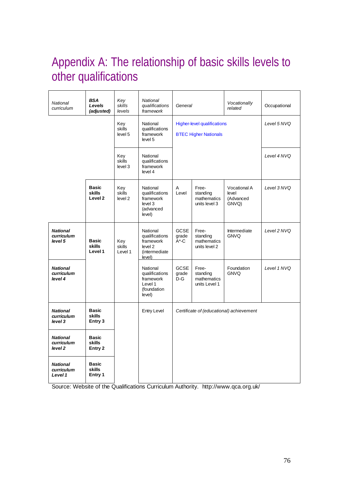# Appendix A: The relationship of basic skills levels to other qualifications

|                                                                               | National<br>curriculum                   | <b>BSA</b><br>Levels<br>(adjusted)                  | Key<br>skills<br>levels                            | <b>National</b><br>qualifications<br>framework                                | General                                  |                                                   | Vocationally<br>related                            | Occupational |
|-------------------------------------------------------------------------------|------------------------------------------|-----------------------------------------------------|----------------------------------------------------|-------------------------------------------------------------------------------|------------------------------------------|---------------------------------------------------|----------------------------------------------------|--------------|
|                                                                               |                                          | Key<br>skills<br>level 5                            | National<br>qualifications<br>framework<br>level 5 | <b>Higher-level qualifications</b><br><b>BTEC Higher Nationals</b>            |                                          |                                                   | Level 5 NVQ                                        |              |
|                                                                               |                                          |                                                     | Key<br>skills<br>level 3                           | National<br>qualifications<br>framework<br>level 4                            |                                          |                                                   | Level 4 NVQ                                        |              |
|                                                                               |                                          | <b>Basic</b><br><b>skills</b><br>Level <sub>2</sub> | Key<br>skills<br>level <sub>2</sub>                | National<br>qualifications<br>framework<br>level 3<br>(advanced<br>level)     | Α<br>Level                               | Free-<br>standing<br>mathematics<br>units level 3 | <b>Vocational A</b><br>level<br>(Advanced<br>GNVQ) | Level 3 NVQ  |
|                                                                               | <b>National</b><br>curriculum<br>level 5 | <b>Basic</b><br><b>skills</b><br>Level 1            | Key<br>skills<br>Level 1                           | National<br>qualifications<br>framework<br>level 2<br>(intermediate<br>level) | <b>GCSE</b><br>grade<br>$A^*$ -C         | Free-<br>standing<br>mathematics<br>units level 2 | Intermediate<br><b>GNVQ</b>                        | Level 2 NVQ  |
|                                                                               | <b>National</b><br>curriculum<br>level 4 |                                                     |                                                    | National<br>qualifications<br>framework<br>Level 1<br>(foundation<br>level)   | <b>GCSE</b><br>grade<br>$D-G$            | Free-<br>standing<br>mathematics<br>units Level 1 | Foundation<br><b>GNVQ</b>                          | Level 1 NVQ  |
|                                                                               | <b>National</b><br>curriculum<br>level 3 | <b>Basic</b><br><b>skills</b><br>Entry 3            |                                                    | <b>Entry Level</b>                                                            | Certificate of (educational) achievement |                                                   |                                                    |              |
| <b>Basic</b><br><b>National</b><br>skills<br>curriculum<br>level 2<br>Entry 2 |                                          |                                                     |                                                    |                                                                               |                                          |                                                   |                                                    |              |
|                                                                               | <b>National</b><br>curriculum<br>Level 1 | <b>Basic</b><br>skills<br>Entry 1                   |                                                    |                                                                               |                                          |                                                   |                                                    |              |

Source: Website of the Qualifications Curriculum Authority. http://www.qca.org.uk/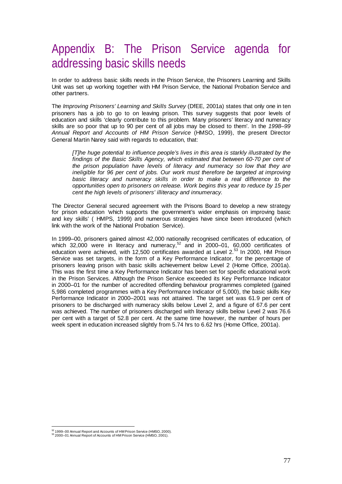## Appendix B: The Prison Service agenda for addressing basic skills needs

In order to address basic skills needs in the Prison Service, the Prisoners Learning and Skills Unit was set up working together with HM Prison Service, the National Probation Service and other partners.

The *Improving Prisoners' Learning and Skills Survey* (DfEE, 2001a) states that only one in ten prisoners has a job to go to on leaving prison. This survey suggests that poor levels of education and skills 'clearly contribute to this problem. Many prisoners' literacy and numeracy skills are so poor that up to 90 per cent of all jobs may be closed to them'. In the *1998–99 Annual Report and Accounts of HM Prison Service* (HMSO, 1999), the present Director General Martin Narey said with regards to education, that:

*[T]he huge potential to influence people's lives in this area is starkly illustrated by the findings of the Basic Skills Agency, which estimated that between 60-70 per cent of the prison population have levels of literacy and numeracy so low that they are ineligible for 96 per cent of jobs. Our work must therefore be targeted at improving* basic literacy and numeracy skills in order to make a real difference to the *opportunities open to prisoners on release. Work begins this year to reduce by 15 per cent the high levels of prisoners' illiteracy and innumeracy.*

The Director General secured agreement with the Prisons Board to develop a new strategy for prison education *'*which supports the government's wider emphasis on improving basic and key skills' ( HMPS, 1999) and numerous strategies have since been introduced (which link with the work of the National Probation Service).

In 1999–00, prisoners gained almost 42,000 nationally recognised certificates of education, of which 32,000 were in literacy and numeracy, $52$  and in 2000–01, 60,000 certificates of education were achieved, with 12,500 certificates awarded at Level 2.<sup>53</sup> In 2000, HM Prison Service was set targets, in the form of a Key Performance Indicator, for the percentage of prisoners leaving prison with basic skills achievement below Level 2 (Home Office, 2001a). This was the first time a Key Performance Indicator has been set for specific educational work in the Prison Services. Although the Prison Service exceeded its Key Performance Indicator in 2000–01 for the number of accredited offending behaviour programmes completed (gained 5,986 completed programmes with a Key Performance Indicator of 5,000), the basic skills Key Performance Indicator in 2000–2001 was not attained. The target set was 61.9 per cent of prisoners to be discharged with numeracy skills below Level 2, and a figure of 67.6 per cent was achieved. The number of prisoners discharged with literacy skills below Level 2 was 76.6 per cent with a target of 52.8 per cent. At the same time however, the number of hours per week spent in education increased slightly from 5.74 hrs to 6.62 hrs (Home Office, 2001a).

<sup>&</sup>lt;sup>52</sup> 1999–00 Annual Report and Accounts of HM Prison Service (HMSO, 2000).

<sup>52 1999–00</sup> Annual Report and Accounts of HM Prison Service (HMSO, 2000). 53 2000–01 Annual Report of Accounts of HM Prison Service (HMSO, 2001).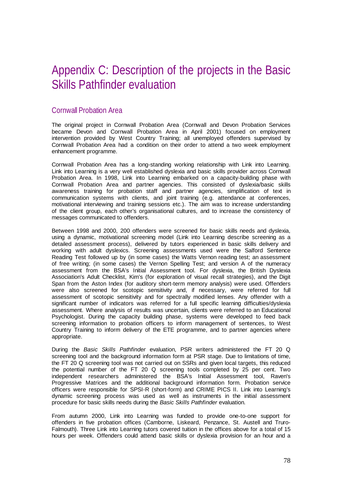## Appendix C: Description of the projects in the Basic Skills Pathfinder evaluation

## Cornwall Probation Area

The original project in Cornwall Probation Area (Cornwall and Devon Probation Services became Devon and Cornwall Probation Area in April 2001) focused on employment intervention provided by West Country Training; all unemployed offenders supervised by Cornwall Probation Area had a condition on their order to attend a two week employment enhancement programme.

Cornwall Probation Area has a long-standing working relationship with Link into Learning. Link into Learning is a very well established dyslexia and basic skills provider across Cornwall Probation Area. In 1998, Link into Learning embarked on a capacity-building phase with Cornwall Probation Area and partner agencies. This consisted of dyslexia/basic skills awareness training for probation staff and partner agencies, simplification of text in communication systems with clients, and joint training (e.g. attendance at conferences, motivational interviewing and training sessions etc.). The aim was to increase understanding of the client group, each other's organisational cultures, and to increase the consistency of messages communicated to offenders.

Between 1998 and 2000, 200 offenders were screened for basic skills needs and dyslexia, using a dynamic, motivational screening model (Link into Learning describe screening as a detailed assessment process), delivered by tutors experienced in basic skills delivery and working with adult dyslexics. Screening assessments used were the Salford Sentence Reading Test followed up by (in some cases) the Watts Vernon reading test; an assessment of free writing; (in some cases) the Vernon Spelling Test; and version A of the numeracy assessment from the BSA's Initial Assessment tool. For dyslexia, the British Dyslexia Association's Adult Checklist, Kim's (for exploration of visual recall strategies), and the Digit Span from the Aston Index (for auditory short-term memory analysis) were used. Offenders were also screened for scotopic sensitivity and, if necessary, were referred for full assessment of scotopic sensitivity and for spectrally modified lenses. Any offender with a significant number of indicators was referred for a full specific learning difficulties/dyslexia assessment. Where analysis of results was uncertain, clients were referred to an Educational Psychologist. During the capacity building phase, systems were developed to feed back screening information to probation officers to inform management of sentences, to West Country Training to inform delivery of the ETE programme, and to partner agencies where appropriate.

During the *Basic Skills Pathfinder* evaluation, PSR writers administered the FT 20 Q screening tool and the background information form at PSR stage. Due to limitations of time, the FT 20 Q screening tool was not carried out on SSRs and given local targets, this reduced the potential number of the FT 20 Q screening tools completed by 25 per cent. Two independent researchers administered the BSA's Initial Assessment tool, Raven's Progressive Matrices and the additional background information form. Probation service officers were responsible for SPSI-R (short-form) and CRIME PICS II. Link into Learning's dynamic screening process was used as well as instruments in the initial assessment procedure for basic skills needs during the *Basic Skills Pathfinder* evaluation.

From autumn 2000, Link into Learning was funded to provide one-to-one support for offenders in five probation offices (Camborne, Liskeard, Penzance, St. Austell and Truro-Falmouth). Three Link into Learning tutors covered tuition in the offices above for a total of 15 hours per week. Offenders could attend basic skills or dyslexia provision for an hour and a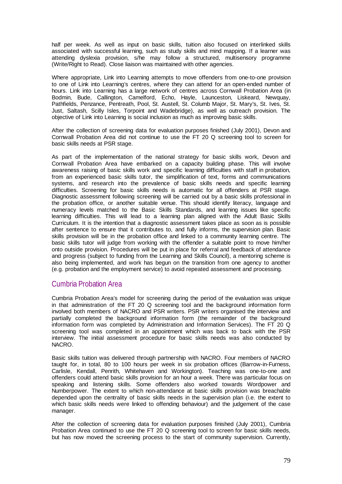half per week. As well as input on basic skills, tuition also focused on interlinked skills associated with successful learning, such as study skills and mind mapping. If a learner was attending dyslexia provision, s/he may follow a structured, multisensory programme (Write/Right to Read). Close liaison was maintained with other agencies.

Where appropriate, Link into Learning attempts to move offenders from one-to-one provision to one of Link into Learning's centres, where they can attend for an open-ended number of hours. Link into Learning has a large network of centres across Cornwall Probation Area (in Bodmin, Bude, Callington, Camelford, Echo, Hayle, Launceston, Liskeard, Newquay, Pathfields, Penzance, Pentreath, Pool, St. Austell, St. Columb Major, St. Mary's, St. Ives, St. Just, Saltash, Scilly Isles, Torpoint and Wadebridge), as well as outreach provision. The objective of Link into Learning is social inclusion as much as improving basic skills.

After the collection of screening data for evaluation purposes finished (July 2001), Devon and Cornwall Probation Area did not continue to use the FT 20 Q screening tool to screen for basic skills needs at PSR stage.

As part of the implementation of the national strategy for basic skills work, Devon and Cornwall Probation Area have embarked on a capacity building phase. This will involve awareness raising of basic skills work and specific learning difficulties with staff in probation, from an experienced basic skills tutor, the simplification of text, forms and communications systems, and research into the prevalence of basic skills needs and specific learning difficulties. Screening for basic skills needs is automatic for all offenders at PSR stage. Diagnostic assessment following screening will be carried out by a basic skills professional in the probation office, or another suitable venue. This should identify literacy, language and numeracy levels matched to the Basic Skills Standards, and learning issues like specific learning difficulties. This will lead to a learning plan aligned with the Adult Basic Skills Curriculum. It is the intention that a diagnostic assessment takes place as soon as is possible after sentence to ensure that it contributes to, and fully informs, the supervision plan. Basic skills provision will be in the probation office and linked to a community learning centre. The basic skills tutor will judge from working with the offender a suitable point to move him/her onto outside provision. Procedures will be put in place for referral and feedback of attendance and progress (subject to funding from the Learning and Skills Council), a mentoring scheme is also being implemented, and work has begun on the transition from one agency to another (e.g. probation and the employment service) to avoid repeated assessment and processing.

## Cumbria Probation Area

Cumbria Probation Area's model for screening during the period of the evaluation was unique in that administration of the FT 20 Q screening tool and the background information form involved both members of NACRO and PSR writers. PSR writers organised the interview and partially completed the background information form (the remainder of the background information form was completed by Administration and Information Services). The FT 20 Q screening tool was completed in an appointment which was back to back with the PSR interview. The initial assessment procedure for basic skills needs was also conducted by NACRO.

Basic skills tuition was delivered through partnership with NACRO. Four members of NACRO taught for, in total, 80 to 100 hours per week in six probation offices (Barrow-in-Furness, Carlisle, Kendall, Penrith, Whitehaven and Workington). Teaching was one-to-one and offenders could attend basic skills provision for an hour a week. There was particular focus on speaking and listening skills. Some offenders also worked towards Wordpower and Numberpower. The extent to which non-attendance at basic skills provision was breachable depended upon the centrality of basic skills needs in the supervision plan (i.e. the extent to which basic skills needs were linked to offending behaviour) and the judgement of the case manager.

After the collection of screening data for evaluation purposes finished (July 2001), Cumbria Probation Area continued to use the FT 20 Q screening tool to screen for basic skills needs, but has now moved the screening process to the start of community supervision. Currently,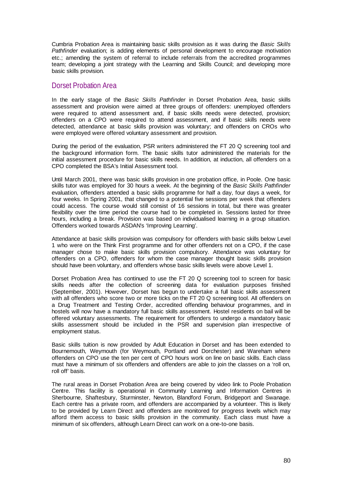Cumbria Probation Area is maintaining basic skills provision as it was during the *Basic Skills Pathfinder* evaluation; is adding elements of personal development to encourage motivation etc.; amending the system of referral to include referrals from the accredited programmes team; developing a joint strategy with the Learning and Skills Council; and developing more basic skills provision.

## Dorset Probation Area

In the early stage of the *Basic Skills Pathfinder* in Dorset Probation Area, basic skills assessment and provision were aimed at three groups of offenders: unemployed offenders were required to attend assessment and, if basic skills needs were detected, provision; offenders on a CPO were required to attend assessment, and if basic skills needs were detected, attendance at basic skills provision was voluntary; and offenders on CROs who were employed were offered voluntary assessment and provision.

During the period of the evaluation, PSR writers administered the FT 20 Q screening tool and the background information form. The basic skills tutor administered the materials for the initial assessment procedure for basic skills needs. In addition, at induction, all offenders on a CPO completed the BSA's Initial Assessment tool.

Until March 2001, there was basic skills provision in one probation office, in Poole. One basic skills tutor was employed for 30 hours a week. At the beginning of the *Basic Skills Pathfinder*  evaluation, offenders attended a basic skills programme for half a day, four days a week, for four weeks. In Spring 2001, that changed to a potential five sessions per week that offenders could access. The course would still consist of 16 sessions in total, but there was greater flexibility over the time period the course had to be completed in. Sessions lasted for three hours, including a break. Provision was based on individualised learning in a group situation. Offenders worked towards ASDAN's 'Improving Learning'.

Attendance at basic skills provision was compulsory for offenders with basic skills below Level 1 who were on the Think First programme and for other offenders not on a CPO, if the case manager chose to make basic skills provision compulsory. Attendance was voluntary for offenders on a CPO, offenders for whom the case manager thought basic skills provision should have been voluntary, and offenders whose basic skills levels were above Level 1.

Dorset Probation Area has continued to use the FT 20 Q screening tool to screen for basic skills needs after the collection of screening data for evaluation purposes finished (September, 2001). However, Dorset has begun to undertake a full basic skills assessment with all offenders who score two or more ticks on the FT 20 Q screening tool. All offenders on a Drug Treatment and Testing Order, accredited offending behaviour programmes, and in hostels will now have a mandatory full basic skills assessment. Hostel residents on bail will be offered voluntary assessments. The requirement for offenders to undergo a mandatory basic skills assessment should be included in the PSR and supervision plan irrespective of employment status.

Basic skills tuition is now provided by Adult Education in Dorset and has been extended to Bournemouth, Weymouth (for Weymouth, Portland and Dorchester) and Wareham where offenders on CPO use the ten per cent of CPO hours work on line on basic skills. Each class must have a minimum of six offenders and offenders are able to join the classes on a 'roll on, roll off' basis.

The rural areas in Dorset Probation Area are being covered by video link to Poole Probation Centre. This facility is operational in Community Learning and Information Centres in Sherbourne, Shaftesbury, Sturminster, Newton, Blandford Forum, Bridgeport and Swanage. Each centre has a private room, and offenders are accompanied by a volunteer. This is likely to be provided by Learn Direct and offenders are monitored for progress levels which may afford them access to basic skills provision in the community. Each class must have a minimum of six offenders, although Learn Direct can work on a one-to-one basis.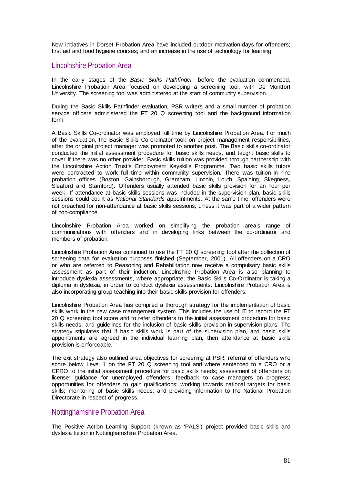New initiatives in Dorset Probation Area have included outdoor motivation days for offenders; first aid and food hygiene courses; and an increase in the use of technology for learning.

## Lincolnshire Probation Area

In the early stages of the *Basic Skills Pathfinder*, before the evaluation commenced, Lincolnshire Probation Area focused on developing a screening tool, with De Montfort University. The screening tool was administered at the start of community supervision.

During the Basic Skills Pathfinder evaluation, PSR writers and a small number of probation service officers administered the FT 20 Q screening tool and the background information form.

A Basic Skills Co-ordinator was employed full time by Lincolnshire Probation Area. For much of the evaluation, the Basic Skills Co-ordinator took on project management responsibilities, after the original project manager was promoted to another post. The Basic skills co-ordinator conducted the initial assessment procedure for basic skills needs, and taught basic skills to cover if there was no other provider. Basic skills tuition was provided through partnership with the Lincolnshire Action Trust's Employment Keyskills Programme. Two basic skills tutors were contracted to work full time within community supervision. There was tuition in nine probation offices (Boston, Gainsborough, Grantham, Lincoln, Louth, Spalding, Skegness, Sleaford and Stamford). Offenders usually attended basic skills provision for an hour per week. If attendance at basic skills sessions was included in the supervision plan, basic skills sessions could count as *National Standards* appointments. At the same time, offenders were not breached for non-attendance at basic skills sessions, unless it was part of a wider pattern of non-compliance.

Lincolnshire Probation Area worked on simplifying the probation area's range of communications with offenders and in developing links between the co-ordinator and members of probation.

Lincolnshire Probation Area continued to use the FT 20 Q screening tool after the collection of screening data for evaluation purposes finished (September, 2001). All offenders on a CRO or who are referred to Reasoning and Rehabilitation now receive a compulsory basic skills assessment as part of their induction. Lincolnshire Probation Area is also planning to introduce dyslexia assessments, where appropriate; the Basic Skills Co-Ordinator is taking a diploma in dyslexia, in order to conduct dyslexia assessments. Lincolnshire Probation Area is also incorporating group teaching into their basic skills provision for offenders.

Lincolnshire Probation Area has compiled a thorough strategy for the implementation of basic skills work in the new case management system. This includes the use of IT to record the FT 20 Q screening tool score and to refer offenders to the initial assessment procedure for basic skills needs, and guidelines for the inclusion of basic skills provision in supervision plans. The strategy stipulates that if basic skills work is part of the supervision plan, and basic skills appointments are agreed in the individual learning plan, then attendance at basic skills provision is enforceable.

The exit strategy also outlined area objectives for screening at PSR; referral of offenders who score below Level 1 on the FT 20 Q screening tool and where sentenced to a CRO or a CPRO to the initial assessment procedure for basic skills needs; assessment of offenders on license; guidance for unemployed offenders; feedback to case managers on progress; opportunities for offenders to gain qualifications; working towards national targets for basic skills; monitoring of basic skills needs; and providing information to the National Probation Directorate in respect of progress.

## Nottinghamshire Probation Area

The Positive Action Learning Support (known as 'PALS') project provided basic skills and dyslexia tuition in Nottinghamshire Probation Area.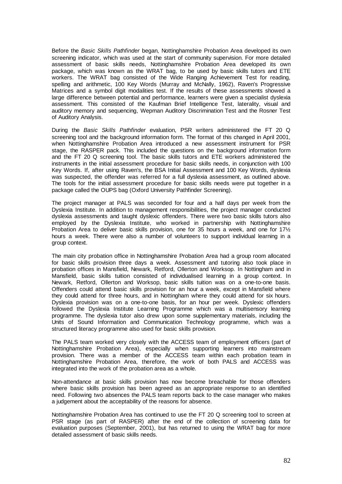Before the *Basic Skills Pathfinder* began, Nottinghamshire Probation Area developed its own screening indicator, which was used at the start of community supervision. For more detailed assessment of basic skills needs, Nottinghamshire Probation Area developed its own package, which was known as the WRAT bag, to be used by basic skills tutors and ETE workers. The WRAT bag consisted of the Wide Ranging Achievement Test for reading, spelling and arithmetic, 100 Key Words (Murray and McNally, 1962), Raven's Progressive Matrices and a symbol digit modalities test. If the results of these assessments showed a large difference between potential and performance, learners were given a specialist dyslexia assessment. This consisted of the Kaufman Brief Intelligence Test, laterality, visual and auditory memory and sequencing, Wepman Auditory Discrimination Test and the Rosner Test of Auditory Analysis.

During the *Basic Skills Pathfinder* evaluation, PSR writers administered the FT 20 Q screening tool and the background information form. The format of this changed in April 2001, when Nottinghamshire Probation Area introduced a new assessment instrument for PSR stage, the RASPER pack. This included the questions on the background information form and the FT 20 Q screening tool. The basic skills tutors and ETE workers administered the instruments in the initial assessment procedure for basic skills needs, in conjunction with 100 Key Words. If, after using Raven's, the BSA Initial Assessment and 100 Key Words, dyslexia was suspected, the offender was referred for a full dyslexia assessment, as outlined above. The tools for the initial assessment procedure for basic skills needs were put together in a package called the OUPS bag (Oxford University Pathfinder Screening).

The project manager at PALS was seconded for four and a half days per week from the Dyslexia Institute. In addition to management responsibilities, the project manager conducted dyslexia assessments and taught dyslexic offenders. There were two basic skills tutors also employed by the Dyslexia Institute, who worked in partnership with Nottinghamshire Probation Area to deliver basic skills provision, one for 35 hours a week, and one for 17½ hours a week. There were also a number of volunteers to support individual learning in a group context.

The main city probation office in Nottinghamshire Probation Area had a group room allocated for basic skills provision three days a week. Assessment and tutoring also took place in probation offices in Mansfield, Newark, Retford, Ollerton and Worksop. In Nottingham and in Mansfield, basic skills tuition consisted of individualised learning in a group context. In Newark, Retford, Ollerton and Worksop, basic skills tuition was on a one-to-one basis. Offenders could attend basic skills provision for an hour a week, except in Mansfield where they could attend for three hours, and in Nottingham where they could attend for six hours. Dyslexia provision was on a one-to-one basis, for an hour per week. Dyslexic offenders followed the Dyslexia Institute Learning Programme which was a multisensory learning programme. The dyslexia tutor also drew upon some supplementary materials, including the Units of Sound Information and Communication Technology programme, which was a structured literacy programme also used for basic skills provision.

The PALS team worked very closely with the ACCESS team of employment officers (part of Nottinghamshire Probation Area), especially when supporting learners into mainstream provision. There was a member of the ACCESS team within each probation team in Nottinghamshire Probation Area, therefore, the work of both PALS and ACCESS was integrated into the work of the probation area as a whole.

Non-attendance at basic skills provision has now become breachable for those offenders where basic skills provision has been agreed as an appropriate response to an identified need. Following two absences the PALS team reports back to the case manager who makes a judgement about the acceptability of the reasons for absence.

Nottinghamshire Probation Area has continued to use the FT 20 Q screening tool to screen at PSR stage (as part of RASPER) after the end of the collection of screening data for evaluation purposes (September, 2001), but has returned to using the WRAT bag for more detailed assessment of basic skills needs.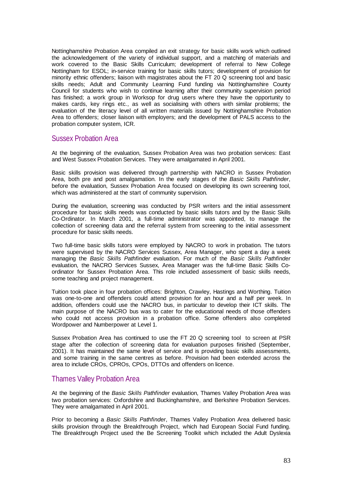Nottinghamshire Probation Area compiled an exit strategy for basic skills work which outlined the acknowledgement of the variety of individual support, and a matching of materials and work covered to the Basic Skills Curriculum; development of referral to New College Nottingham for ESOL; in-service training for basic skills tutors; development of provision for minority ethnic offenders; liaison with magistrates about the FT 20 Q screening tool and basic skills needs; Adult and Community Learning Fund funding via Nottinghamshire County Council for students who wish to continue learning after their community supervision period has finished; a work group in Worksop for drug users where they have the opportunity to makes cards, key rings etc., as well as socialising with others with similar problems; the evaluation of the literacy level of all written materials issued by Nottinghamshire Probation Area to offenders; closer liaison with employers; and the development of PALS access to the probation computer system, ICR.

## Sussex Probation Area

At the beginning of the evaluation, Sussex Probation Area was two probation services: East and West Sussex Probation Services. They were amalgamated in April 2001.

Basic skills provision was delivered through partnership with NACRO in Sussex Probation Area, both pre and post amalgamation. In the early stages of the *Basic Skills Pathfinder*, before the evaluation, Sussex Probation Area focused on developing its own screening tool, which was administered at the start of community supervision.

During the evaluation, screening was conducted by PSR writers and the initial assessment procedure for basic skills needs was conducted by basic skills tutors and by the Basic Skills Co-Ordinator. In March 2001, a full-time administrator was appointed, to manage the collection of screening data and the referral system from screening to the initial assessment procedure for basic skills needs.

Two full-time basic skills tutors were employed by NACRO to work in probation. The tutors were supervised by the NACRO Services Sussex, Area Manager, who spent a day a week managing the *Basic Skills Pathfinder* evaluation. For much of the *Basic Skills Pathfinder*  evaluation, the NACRO Services Sussex, Area Manager was the full-time Basic Skills Coordinator for Sussex Probation Area. This role included assessment of basic skills needs, some teaching and project management.

Tuition took place in four probation offices: Brighton, Crawley, Hastings and Worthing. Tuition was one-to-one and offenders could attend provision for an hour and a half per week. In addition, offenders could use the NACRO bus, in particular to develop their ICT skills. The main purpose of the NACRO bus was to cater for the educational needs of those offenders who could not access provision in a probation office. Some offenders also completed Wordpower and Numberpower at Level 1.

Sussex Probation Area has continued to use the FT 20 Q screening tool to screen at PSR stage after the collection of screening data for evaluation purposes finished (September, 2001). It has maintained the same level of service and is providing basic skills assessments, and some training in the same centres as before. Provision had been extended across the area to include CROs, CPROs, CPOs, DTTOs and offenders on licence.

## Thames Valley Probation Area

At the beginning of the *Basic Skills Pathfinder* evaluation, Thames Valley Probation Area was two probation services: Oxfordshire and Buckinghamshire, and Berkshire Probation Services. They were amalgamated in April 2001.

Prior to becoming a *Basic Skills Pathfinder*, Thames Valley Probation Area delivered basic skills provision through the Breakthrough Project, which had European Social Fund funding. The Breakthrough Project used the Be Screening Toolkit which included the Adult Dyslexia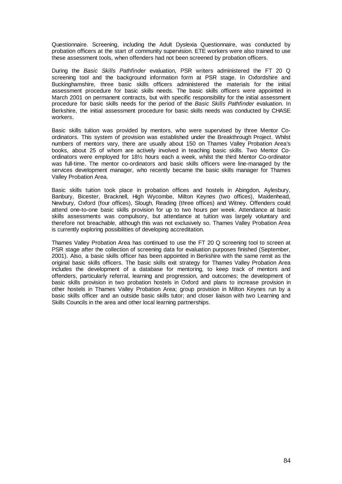Questionnaire. Screening, including the Adult Dyslexia Questionnaire, was conducted by probation officers at the start of community supervision. ETE workers were also trained to use these assessment tools, when offenders had not been screened by probation officers.

During the *Basic Skills Pathfinder* evaluation, PSR writers administered the FT 20 Q screening tool and the background information form at PSR stage. In Oxfordshire and Buckinghamshire, three basic skills officers administered the materials for the initial assessment procedure for basic skills needs. The basic skills officers were appointed in March 2001 on permanent contracts, but with specific responsibility for the initial assessment procedure for basic skills needs for the period of the *Basic Skills Pathfinder* evaluation. In Berkshire, the initial assessment procedure for basic skills needs was conducted by CHASE workers.

Basic skills tuition was provided by mentors, who were supervised by three Mentor Coordinators. This system of provision was established under the Breakthrough Project. Whilst numbers of mentors vary, there are usually about 150 on Thames Valley Probation Area's books, about 25 of whom are actively involved in teaching basic skills. Two Mentor Coordinators were employed for 18½ hours each a week, whilst the third Mentor Co-ordinator was full-time. The mentor co-ordinators and basic skills officers were line-managed by the services development manager, who recently became the basic skills manager for Thames Valley Probation Area.

Basic skills tuition took place in probation offices and hostels in Abingdon, Aylesbury, Banbury, Bicester, Bracknell, High Wycombe, Milton Keynes (two offices), Maidenhead, Newbury, Oxford (four offices), Slough, Reading (three offices) and Witney. Offenders could attend one-to-one basic skills provision for up to two hours per week. Attendance at basic skills assessments was compulsory, but attendance at tuition was largely voluntary and therefore not breachable, although this was not exclusively so. Thames Valley Probation Area is currently exploring possibilities of developing accreditation.

Thames Valley Probation Area has continued to use the FT 20 Q screening tool to screen at PSR stage after the collection of screening data for evaluation purposes finished (September, 2001). Also, a basic skills officer has been appointed in Berkshire with the same remit as the original basic skills officers. The basic skills exit strategy for Thames Valley Probation Area includes the development of a database for mentoring, to keep track of mentors and offenders, particularly referral, learning and progression, and outcomes; the development of basic skills provision in two probation hostels in Oxford and plans to increase provision in other hostels in Thames Valley Probation Area; group provision in Milton Keynes run by a basic skills officer and an outside basic skills tutor; and closer liaison with two Learning and Skills Councils in the area and other local learning partnerships.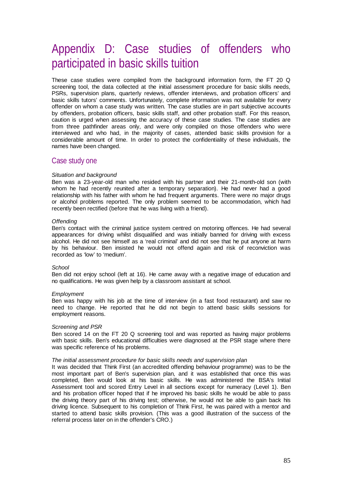## Appendix D: Case studies of offenders who participated in basic skills tuition

These case studies were compiled from the background information form, the FT 20 Q screening tool, the data collected at the initial assessment procedure for basic skills needs, PSRs, supervision plans, quarterly reviews, offender interviews, and probation officers' and basic skills tutors' comments. Unfortunately, complete information was not available for every offender on whom a case study was written. The case studies are in part subjective accounts by offenders, probation officers, basic skills staff, and other probation staff. For this reason, caution is urged when assessing the accuracy of these case studies. The case studies are from three pathfinder areas only, and were only compiled on those offenders who were interviewed and who had, in the majority of cases, attended basic skills provision for a considerable amount of time. In order to protect the confidentiality of these individuals, the names have been changed.

### Case study one

#### *Situation and background*

Ben was a 23-year-old man who resided with his partner and their 21-month-old son (with whom he had recently reunited after a temporary separation). He had never had a good relationship with his father with whom he had frequent arguments. There were no major drugs or alcohol problems reported. The only problem seemed to be accommodation, which had recently been rectified (before that he was living with a friend).

#### *Offending*

Ben's contact with the criminal justice system centred on motoring offences. He had several appearances for driving whilst disqualified and was initially banned for driving with excess alcohol. He did not see himself as a 'real criminal' and did not see that he put anyone at harm by his behaviour. Ben insisted he would not offend again and risk of reconviction was recorded as 'low' to 'medium'.

#### *School*

Ben did not enjoy school (left at 16). He came away with a negative image of education and no qualifications. He was given help by a classroom assistant at school.

#### *Employment*

Ben was happy with his job at the time of interview (in a fast food restaurant) and saw no need to change. He reported that he did not begin to attend basic skills sessions for employment reasons.

#### *Screening and PSR*

Ben scored 14 on the FT 20 Q screening tool and was reported as having major problems with basic skills. Ben's educational difficulties were diagnosed at the PSR stage where there was specific reference of his problems.

#### *The initial assessment procedure for basic skills needs and supervision plan*

It was decided that Think First (an accredited offending behaviour programme) was to be the most important part of Ben's supervision plan, and it was established that once this was completed, Ben would look at his basic skills. He was administered the BSA's Initial Assessment tool and scored Entry Level in all sections except for numeracy (Level 1). Ben and his probation officer hoped that if he improved his basic skills he would be able to pass the driving theory part of his driving test; otherwise, he would not be able to gain back his driving licence. Subsequent to his completion of Think First, he was paired with a mentor and started to attend basic skills provision. (This was a good illustration of the success of the referral process later on in the offender's CRO.)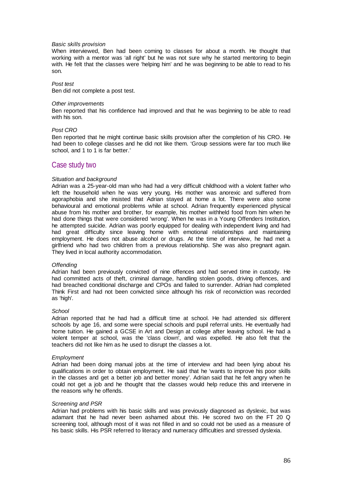#### *Basic skills provision*

When interviewed, Ben had been coming to classes for about a month. He thought that working with a mentor was 'all right' but he was not sure why he started mentoring to begin with. He felt that the classes were 'helping him' and he was beginning to be able to read to his son.

#### *Post test*

Ben did not complete a post test.

#### *Other improvements*

Ben reported that his confidence had improved and that he was beginning to be able to read with his son.

#### *Post CRO*

Ben reported that he might continue basic skills provision after the completion of his CRO. He had been to college classes and he did not like them. 'Group sessions were far too much like school, and 1 to 1 is far better.'

### Case study two

#### *Situation and background*

Adrian was a 25-year-old man who had had a very difficult childhood with a violent father who left the household when he was very young. His mother was anorexic and suffered from agoraphobia and she insisted that Adrian stayed at home a lot. There were also some behavioural and emotional problems while at school. Adrian frequently experienced physical abuse from his mother and brother, for example, his mother withheld food from him when he had done things that were considered 'wrong'. When he was in a Young Offenders Institution, he attempted suicide. Adrian was poorly equipped for dealing with independent living and had had great difficulty since leaving home with emotional relationships and maintaining employment. He does not abuse alcohol or drugs. At the time of interview, he had met a girlfriend who had two children from a previous relationship. She was also pregnant again. They lived in local authority accommodation.

#### *Offending*

Adrian had been previously convicted of nine offences and had served time in custody. He had committed acts of theft, criminal damage, handling stolen goods, driving offences, and had breached conditional discharge and CPOs and failed to surrender. Adrian had completed Think First and had not been convicted since although his risk of reconviction was recorded as 'high'.

#### *School*

Adrian reported that he had had a difficult time at school. He had attended six different schools by age 16, and some were special schools and pupil referral units. He eventually had home tuition. He gained a GCSE in Art and Design at college after leaving school. He had a violent temper at school, was the 'class clown', and was expelled. He also felt that the teachers did not like him as he used to disrupt the classes a lot.

#### *Employment*

Adrian had been doing manual jobs at the time of interview and had been lying about his qualifications in order to obtain employment. He said that he 'wants to improve his poor skills in the classes and get a better job and better money'. Adrian said that he felt angry when he could not get a job and he thought that the classes would help reduce this and intervene in the reasons why he offends.

#### *Screening and PSR*

Adrian had problems with his basic skills and was previously diagnosed as dyslexic, but was adamant that he had never been ashamed about this. He scored two on the FT 20 Q screening tool, although most of it was not filled in and so could not be used as a measure of his basic skills. His PSR referred to literacy and numeracy difficulties and stressed dyslexia.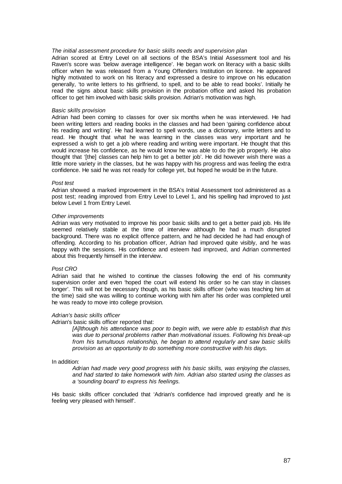#### *The initial assessment procedure for basic skills needs and supervision plan*

Adrian scored at Entry Level on all sections of the BSA's Initial Assessment tool and his Raven's score was 'below average intelligence'. He began work on literacy with a basic skills officer when he was released from a Young Offenders Institution on licence. He appeared highly motivated to work on his literacy and expressed a desire to improve on his education generally, 'to write letters to his girlfriend, to spell, and to be able to read books'. Initially he read the signs about basic skills provision in the probation office and asked his probation officer to get him involved with basic skills provision. Adrian's motivation was high.

#### *Basic skills provision*

Adrian had been coming to classes for over six months when he was interviewed. He had been writing letters and reading books in the classes and had been 'gaining confidence about his reading and writing'. He had learned to spell words, use a dictionary, write letters and to read. He thought that what he was learning in the classes was very important and he expressed a wish to get a job where reading and writing were important. He thought that this would increase his confidence, as he would know he was able to do the job properly. He also thought that '[the] classes can help him to get a better job'. He did however wish there was a little more variety in the classes, but he was happy with his progress and was feeling the extra confidence. He said he was not ready for college yet, but hoped he would be in the future.

#### *Post test*

Adrian showed a marked improvement in the BSA's Initial Assessment tool administered as a post test; reading improved from Entry Level to Level 1, and his spelling had improved to just below Level 1 from Entry Level.

#### *Other improvements*

Adrian was very motivated to improve his poor basic skills and to get a better paid job. His life seemed relatively stable at the time of interview although he had a much disrupted background. There was no explicit offence pattern, and he had decided he had had enough of offending. According to his probation officer, Adrian had improved quite visibly, and he was happy with the sessions. His confidence and esteem had improved, and Adrian commented about this frequently himself in the interview.

#### *Post CRO*

Adrian said that he wished to continue the classes following the end of his community supervision order and even 'hoped the court will extend his order so he can stay in classes longer'. This will not be necessary though, as his basic skills officer (who was teaching him at the time) said she was willing to continue working with him after his order was completed until he was ready to move into college provision.

#### *Adrian's basic skills officer*

#### Adrian's basic skills officer reported that:

*[A]lthough his attendance was poor to begin with, we were able to establish that this was due to personal problems rather than motivational issues. Following his break-up from his tumultuous relationship, he began to attend regularly and saw basic skills provision as an opportunity to do something more constructive with his days.* 

#### In addition:

*Adrian had made very good progress with his basic skills, was enjoying the classes, and had started to take homework with him. Adrian also started using the classes as a 'sounding board' to express his feelings.* 

His basic skills officer concluded that 'Adrian's confidence had improved greatly and he is feeling very pleased with himself'.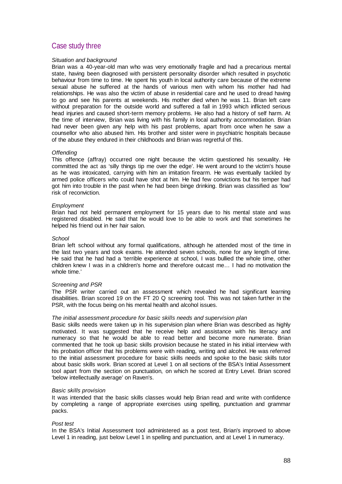## Case study three

#### *Situation and background*

Brian was a 40-year-old man who was very emotionally fragile and had a precarious mental state, having been diagnosed with persistent personality disorder which resulted in psychotic behaviour from time to time. He spent his youth in local authority care because of the extreme sexual abuse he suffered at the hands of various men with whom his mother had had relationships. He was also the victim of abuse in residential care and he used to dread having to go and see his parents at weekends. His mother died when he was 11. Brian left care without preparation for the outside world and suffered a fall in 1993 which inflicted serious head injuries and caused short-term memory problems. He also had a history of self harm. At the time of interview, Brian was living with his family in local authority accommodation. Brian had never been given any help with his past problems, apart from once when he saw a counsellor who also abused him. His brother and sister were in psychiatric hospitals because of the abuse they endured in their childhoods and Brian was regretful of this.

#### *Offending*

This offence (affray) occurred one night because the victim questioned his sexuality. He committed the act as 'silly things tip me over the edge'. He went around to the victim's house as he was intoxicated, carrying with him an imitation firearm. He was eventually tackled by armed police officers who could have shot at him. He had few convictions but his temper had got him into trouble in the past when he had been binge drinking. Brian was classified as 'low' risk of reconviction.

#### *Employment*

Brian had not held permanent employment for 15 years due to his mental state and was registered disabled. He said that he would love to be able to work and that sometimes he helped his friend out in her hair salon.

#### *School*

Brian left school without any formal qualifications, although he attended most of the time in the last two years and took exams. He attended seven schools, none for any length of time. He said that he had had a 'terrible experience at school, I was bullied the whole time, other children knew I was in a children's home and therefore outcast me… I had no motivation the whole time.'

#### *Screening and PSR*

The PSR writer carried out an assessment which revealed he had significant learning disabilities. Brian scored 19 on the FT 20 Q screening tool. This was not taken further in the PSR, with the focus being on his mental health and alcohol issues.

#### *The initial assessment procedure for basic skills needs and supervision plan*

Basic skills needs were taken up in his supervision plan where Brian was described as highly motivated. It was suggested that he receive help and assistance with his literacy and numeracy so that he would be able to read better and become more numerate. Brian commented that he took up basic skills provision because he stated in his initial interview with his probation officer that his problems were with reading, writing and alcohol. He was referred to the initial assessment procedure for basic skills needs and spoke to the basic skills tutor about basic skills work. Brian scored at Level 1 on all sections of the BSA's Initial Assessment tool apart from the section on punctuation, on which he scored at Entry Level. Brian scored 'below intellectually average' on Raven's.

#### *Basic skills provision*

It was intended that the basic skills classes would help Brian read and write with confidence by completing a range of appropriate exercises using spelling, punctuation and grammar packs.

#### *Post test*

In the BSA's Initial Assessment tool administered as a post test, Brian's improved to above Level 1 in reading, just below Level 1 in spelling and punctuation, and at Level 1 in numeracy.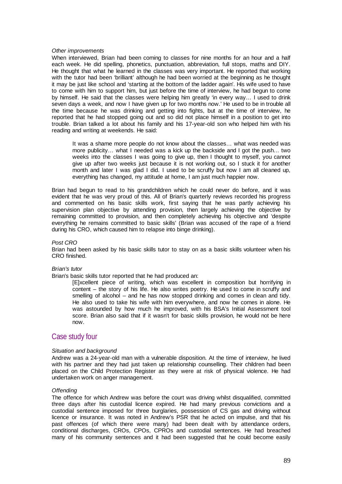#### *Other improvements*

When interviewed, Brian had been coming to classes for nine months for an hour and a half each week. He did spelling, phonetics, punctuation, abbreviation, full stops, maths and DIY. He thought that what he learned in the classes was very important. He reported that working with the tutor had been 'brilliant' although he had been worried at the beginning as he thought it may be just like school and 'starting at the bottom of the ladder again'. His wife used to have to come with him to support him, but just before the time of interview, he had begun to come by himself. He said that the classes were helping him greatly 'in every way… I used to drink seven days a week, and now I have given up for two months now.' He used to be in trouble all the time because he was drinking and getting into fights, but at the time of interview, he reported that he had stopped going out and so did not place himself in a position to get into trouble. Brian talked a lot about his family and his 17-year-old son who helped him with his reading and writing at weekends. He said:

It was a shame more people do not know about the classes… what was needed was more publicity… what I needed was a kick up the backside and I got the push… two weeks into the classes I was going to give up, then I thought to myself, you cannot give up after two weeks just because it is not working out, so I stuck it for another month and later I was glad I did. I used to be scruffy but now I am all cleaned up, everything has changed, my attitude at home, I am just much happier now.

Brian had begun to read to his grandchildren which he could never do before, and it was evident that he was very proud of this. All of Brian's quarterly reviews recorded his progress and commented on his basic skills work, first saying that he was partly achieving his supervision plan objective by attending provision, then largely achieving the objective by remaining committed to provision, and then completely achieving his objective and 'despite everything he remains committed to basic skills' (Brian was accused of the rape of a friend during his CRO, which caused him to relapse into binge drinking).

#### *Post CRO*

Brian had been asked by his basic skills tutor to stay on as a basic skills volunteer when his CRO finished.

#### *Brian's tutor*

Brian's basic skills tutor reported that he had produced an:

[E]xcellent piece of writing, which was excellent in composition but horrifying in content – the story of his life. He also writes poetry. He used to come in scruffy and smelling of alcohol – and he has now stopped drinking and comes in clean and tidy. He also used to take his wife with him everywhere, and now he comes in alone. He was astounded by how much he improved, with his BSA's Initial Assessment tool score. Brian also said that if it wasn't for basic skills provision, he would not be here now.

## Case study four

#### *Situation and background*

Andrew was a 24-year-old man with a vulnerable disposition. At the time of interview, he lived with his partner and they had just taken up relationship counselling. Their children had been placed on the Child Protection Register as they were at risk of physical violence. He had undertaken work on anger management.

#### *Offending*

The offence for which Andrew was before the court was driving whilst disqualified, committed three days after his custodial licence expired. He had many previous convictions and a custodial sentence imposed for three burglaries, possession of CS gas and driving without licence or insurance. It was noted in Andrew's PSR that he acted on impulse, and that his past offences (of which there were many) had been dealt with by attendance orders, conditional discharges, CROs, CPOs, CPROs and custodial sentences. He had breached many of his community sentences and it had been suggested that he could become easily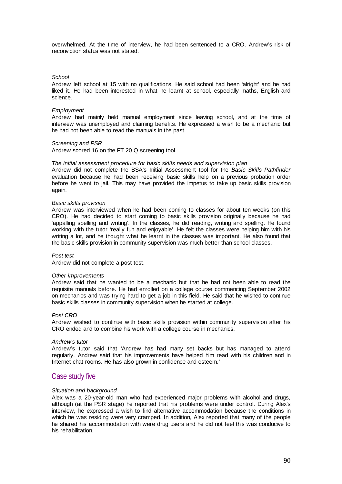overwhelmed. At the time of interview, he had been sentenced to a CRO. Andrew's risk of reconviction status was not stated.

#### *School*

Andrew left school at 15 with no qualifications. He said school had been 'alright' and he had liked it. He had been interested in what he learnt at school, especially maths, English and science.

#### *Employment*

Andrew had mainly held manual employment since leaving school, and at the time of interview was unemployed and claiming benefits. He expressed a wish to be a mechanic but he had not been able to read the manuals in the past.

#### *Screening and PSR*

Andrew scored 16 on the FT 20 Q screening tool.

#### *The initial assessment procedure for basic skills needs and supervision plan*

Andrew did not complete the BSA's Initial Assessment tool for the *Basic Skills Pathfinder* evaluation because he had been receiving basic skills help on a previous probation order before he went to jail. This may have provided the impetus to take up basic skills provision again.

#### *Basic skills provision*

Andrew was interviewed when he had been coming to classes for about ten weeks (on this CRO). He had decided to start coming to basic skills provision originally because he had 'appalling spelling and writing'. In the classes, he did reading, writing and spelling. He found working with the tutor 'really fun and enjoyable'. He felt the classes were helping him with his writing a lot, and he thought what he learnt in the classes was important. He also found that the basic skills provision in community supervision was much better than school classes.

#### *Post test*

Andrew did not complete a post test.

#### *Other improvements*

Andrew said that he wanted to be a mechanic but that he had not been able to read the requisite manuals before. He had enrolled on a college course commencing September 2002 on mechanics and was trying hard to get a job in this field. He said that he wished to continue basic skills classes in community supervision when he started at college.

#### *Post CRO*

Andrew wished to continue with basic skills provision within community supervision after his CRO ended and to combine his work with a college course in mechanics.

#### *Andrew's tutor*

Andrew's tutor said that 'Andrew has had many set backs but has managed to attend regularly. Andrew said that his improvements have helped him read with his children and in Internet chat rooms. He has also grown in confidence and esteem.'

### Case study five

#### *Situation and background*

Alex was a 20-year-old man who had experienced major problems with alcohol and drugs, although (at the PSR stage) he reported that his problems were under control. During Alex's interview, he expressed a wish to find alternative accommodation because the conditions in which he was residing were very cramped. In addition, Alex reported that many of the people he shared his accommodation with were drug users and he did not feel this was conducive to his rehabilitation.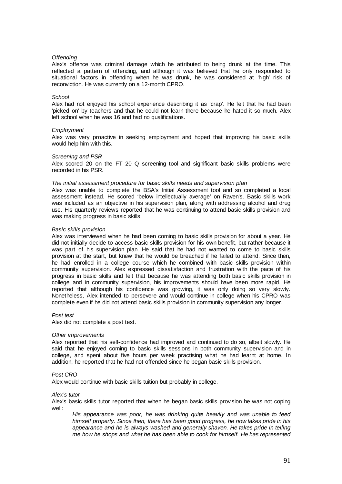#### *Offending*

Alex's offence was criminal damage which he attributed to being drunk at the time. This reflected a pattern of offending, and although it was believed that he only responded to situational factors in offending when he was drunk, he was considered at 'high' risk of reconviction. He was currently on a 12-month CPRO.

#### *School*

Alex had not enjoyed his school experience describing it as 'crap'. He felt that he had been 'picked on' by teachers and that he could not learn there because he hated it so much. Alex left school when he was 16 and had no qualifications.

#### *Employment*

Alex was very proactive in seeking employment and hoped that improving his basic skills would help him with this.

#### *Screening and PSR*

Alex scored 20 on the FT 20 Q screening tool and significant basic skills problems were recorded in his PSR.

#### *The initial assessment procedure for basic skills needs and supervision plan*

Alex was unable to complete the BSA's Initial Assessment tool and so completed a local assessment instead. He scored 'below intellectually average' on Raven's. Basic skills work was included as an objective in his supervision plan, along with addressing alcohol and drug use. His quarterly reviews reported that he was continuing to attend basic skills provision and was making progress in basic skills.

#### *Basic skills provision*

Alex was interviewed when he had been coming to basic skills provision for about a year. He did not initially decide to access basic skills provision for his own benefit, but rather because it was part of his supervision plan. He said that he had not wanted to come to basic skills provision at the start, but knew that he would be breached if he failed to attend. Since then, he had enrolled in a college course which he combined with basic skills provision within community supervision. Alex expressed dissatisfaction and frustration with the pace of his progress in basic skills and felt that because he was attending both basic skills provision in college and in community supervision, his improvements should have been more rapid. He reported that although his confidence was growing, it was only doing so very slowly. Nonetheless, Alex intended to persevere and would continue in college when his CPRO was complete even if he did not attend basic skills provision in community supervision any longer.

#### *Post test*

Alex did not complete a post test.

#### *Other improvements*

Alex reported that his self-confidence had improved and continued to do so, albeit slowly. He said that he enjoyed coming to basic skills sessions in both community supervision and in college, and spent about five hours per week practising what he had learnt at home. In addition, he reported that he had not offended since he began basic skills provision.

#### *Post CRO*

Alex would continue with basic skills tuition but probably in college.

*Alex's tutor* 

Alex's basic skills tutor reported that when he began basic skills provision he was not coping well:

*His appearance was poor, he was drinking quite heavily and was unable to feed himself properly. Since then, there has been good progress, he now takes pride in his appearance and he is always washed and generally shaven. He takes pride in telling me how he shops and what he has been able to cook for himself. He has represented*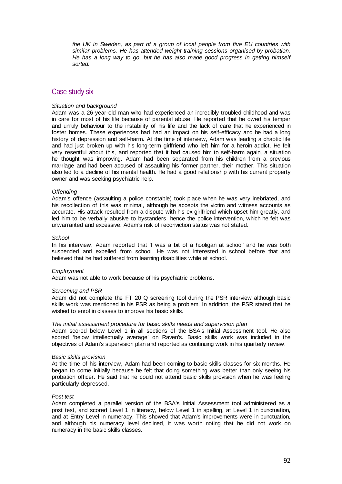*the UK in Sweden, as part of a group of local people from five EU countries with similar problems. He has attended weight training sessions organised by probation. He has a long way to go, but he has also made good progress in getting himself sorted.* 

## Case study six

#### *Situation and background*

Adam was a 26-year-old man who had experienced an incredibly troubled childhood and was in care for most of his life because of parental abuse. He reported that he owed his temper and unruly behaviour to the instability of his life and the lack of care that he experienced in foster homes. These experiences had had an impact on his self-efficacy and he had a long history of depression and self-harm. At the time of interview, Adam was leading a chaotic life and had just broken up with his long-term girlfriend who left him for a heroin addict. He felt very resentful about this, and reported that it had caused him to self-harm again, a situation he thought was improving. Adam had been separated from his children from a previous marriage and had been accused of assaulting his former partner, their mother. This situation also led to a decline of his mental health. He had a good relationship with his current property owner and was seeking psychiatric help.

#### *Offending*

Adam's offence (assaulting a police constable) took place when he was very inebriated, and his recollection of this was minimal, although he accepts the victim and witness accounts as accurate. His attack resulted from a dispute with his ex-girlfriend which upset him greatly, and led him to be verbally abusive to bystanders, hence the police intervention, which he felt was unwarranted and excessive. Adam's risk of reconviction status was not stated.

#### *School*

In his interview, Adam reported that 'I was a bit of a hooligan at school' and he was both suspended and expelled from school. He was not interested in school before that and believed that he had suffered from learning disabilities while at school.

#### *Employment*

Adam was not able to work because of his psychiatric problems.

#### *Screening and PSR*

Adam did not complete the FT 20 Q screening tool during the PSR interview although basic skills work was mentioned in his PSR as being a problem. In addition, the PSR stated that he wished to enrol in classes to improve his basic skills.

#### *The initial assessment procedure for basic skills needs and supervision plan*

Adam scored below Level 1 in all sections of the BSA's Initial Assessment tool. He also scored 'below intellectually average' on Raven's. Basic skills work was included in the objectives of Adam's supervision plan and reported as continuing work in his quarterly review.

#### *Basic skills provision*

At the time of his interview, Adam had been coming to basic skills classes for six months. He began to come initially because he felt that doing something was better than only seeing his probation officer. He said that he could not attend basic skills provision when he was feeling particularly depressed.

#### *Post test*

Adam completed a parallel version of the BSA's Initial Assessment tool administered as a post test, and scored Level 1 in literacy, below Level 1 in spelling, at Level 1 in punctuation, and at Entry Level in numeracy. This showed that Adam's improvements were in punctuation, and although his numeracy level declined, it was worth noting that he did not work on numeracy in the basic skills classes.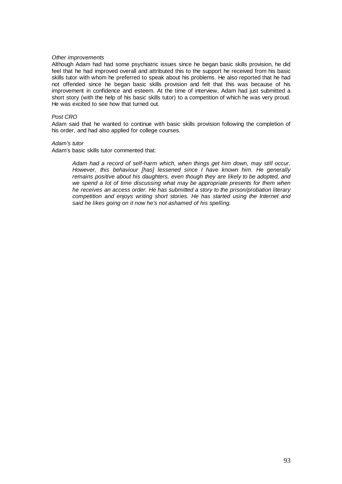#### *Other improvements*

Although Adam had had some psychiatric issues since he began basic skills provision, he did feel that he had improved overall and attributed this to the support he received from his basic skills tutor with whom he preferred to speak about his problems. He also reported that he had not offended since he began basic skills provision and felt that this was because of his improvement in confidence and esteem. At the time of interview, Adam had just submitted a short story (with the help of his basic skills tutor) to a competition of which he was very proud. He was excited to see how that turned out.

#### *Post CRO*

Adam said that he wanted to continue with basic skills provision following the completion of his order, and had also applied for college courses.

#### *Adam's tutor*

Adam's basic skills tutor commented that:

*Adam had a record of self-harm which, when things get him down, may still occur. However, this behaviour [has] lessened since I have known him. He generally remains positive about his daughters, even though they are likely to be adopted, and we spend a lot of time discussing what may be appropriate presents for them when he receives an access order. He has submitted a story to the prison/probation literary competition and enjoys writing short stories. He has started using the Internet and said he likes going on it now he's not ashamed of his spelling.*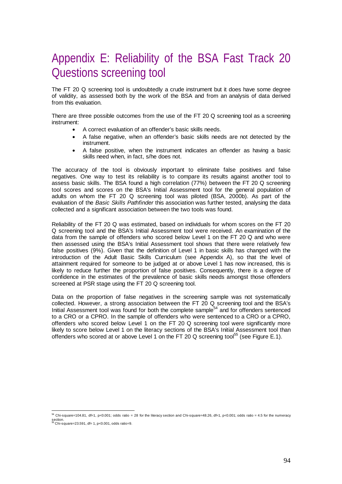## Appendix E: Reliability of the BSA Fast Track 20 Questions screening tool

The FT 20 Q screening tool is undoubtedly a crude instrument but it does have some degree of validity, as assessed both by the work of the BSA and from an analysis of data derived from this evaluation.

There are three possible outcomes from the use of the FT 20 Q screening tool as a screening instrument:

- A correct evaluation of an offender's basic skills needs.
- A false negative, when an offender's basic skills needs are not detected by the instrument.
- A false positive, when the instrument indicates an offender as having a basic skills need when, in fact, s/he does not.

The accuracy of the tool is obviously important to eliminate false positives and false negatives. One way to test its reliability is to compare its results against another tool to assess basic skills. The BSA found a high correlation (77%) between the FT 20 Q screening tool scores and scores on the BSA's Initial Assessment tool for the general population of adults on whom the FT 20 Q screening tool was piloted (BSA, 2000b). As part of the evaluation of the *Basic Skills Pathfinder* this association was further tested, analysing the data collected and a significant association between the two tools was found.

Reliability of the FT 20 Q was estimated, based on individuals for whom scores on the FT 20 Q screening tool and the BSA's Initial Assessment tool were received. An examination of the data from the sample of offenders who scored below Level 1 on the FT 20 Q and who were then assessed using the BSA's Initial Assessment tool shows that there were relatively few false positives (9%). Given that the definition of Level 1 in basic skills has changed with the introduction of the Adult Basic Skills Curriculum (see Appendix A), so that the level of attainment required for someone to be judged at or above Level 1 has now increased, this is likely to reduce further the proportion of false positives. Consequently, there is a degree of confidence in the estimates of the prevalence of basic skills needs amongst those offenders screened at PSR stage using the FT 20 Q screening tool.

Data on the proportion of false negatives in the screening sample was not systematically collected. However, a strong association between the FT 20 Q screening tool and the BSA's Initial Assessment tool was found for both the complete sample<sup>54</sup> and for offenders sentenced to a CRO or a CPRO. In the sample of offenders who were sentenced to a CRO or a CPRO, offenders who scored below Level 1 on the FT 20 Q screening tool were significantly more likely to score below Level 1 on the literacy sections of the BSA's Initial Assessment tool than offenders who scored at or above Level 1 on the FT 20 Q screening tool<sup>55</sup> (see Figure E.1).

 $\frac{54 \text{ Chi-square}=104.81, df=1, p<0.001; odds ratio = 28 for the literary section and Chi-square=48.26, df=1, p<0.001; odds ratio = 4.5 for the numeracy.}$ section.<br><sup>55</sup> Chi-square=23.591, df= 1, p<0.001, odds ratio=9.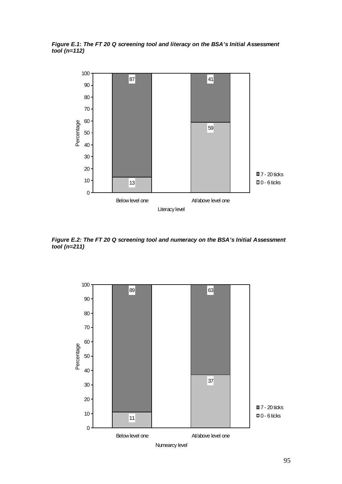*Figure E.1***:** *The FT 20 Q screening tool and literacy on the BSA's Initial Assessment tool (n=112)* 



*Figure E.2: The FT 20 Q screening tool and numeracy on the BSA's Initial Assessment tool (n=211)* 

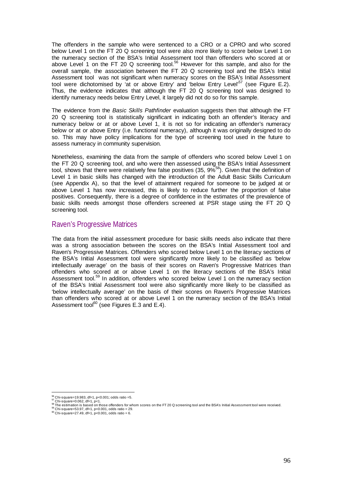The offenders in the sample who were sentenced to a CRO or a CPRO and who scored below Level 1 on the FT 20 Q screening tool were also more likely to score below Level 1 on the numeracy section of the BSA's Initial Assessment tool than offenders who scored at or above Level 1 on the FT 20 Q screening tool.<sup>56</sup> However for this sample, and also for the overall sample, the association between the FT 20 Q screening tool and the BSA's Initial Assessment tool was not significant when numeracy scores on the BSA's Initial Assessment tool were dichotomised by 'at or above Entry' and 'below Entry Level'<sup>57</sup> (see Figure E.2). Thus, the evidence indicates that although the FT 20 Q screening tool was designed to identify numeracy needs below Entry Level, it largely did not do so for this sample.

The evidence from the *Basic Skills Pathfinder* evaluation suggests then that although the FT 20 Q screening tool is statistically significant in indicating both an offender's literacy and numeracy below or at or above Level 1, it is not so for indicating an offender's numeracy below or at or above Entry (i.e. functional numeracy), although it was originally designed to do so. This may have policy implications for the type of screening tool used in the future to assess numeracy in community supervision.

Nonetheless, examining the data from the sample of offenders who scored below Level 1 on the FT 20 Q screening tool, and who were then assessed using the BSA's Initial Assessment tool, shows that there were relatively few false positives (35, 9%<sup>58</sup>). Given that the definition of Level 1 in basic skills has changed with the introduction of the Adult Basic Skills Curriculum (see Appendix A), so that the level of attainment required for someone to be judged at or above Level 1 has now increased, this is likely to reduce further the proportion of false positives. Consequently, there is a degree of confidence in the estimates of the prevalence of basic skills needs amongst those offenders screened at PSR stage using the FT 20 Q screening tool.

## Raven's Progressive Matrices

The data from the initial assessment procedure for basic skills needs also indicate that there was a strong association between the scores on the BSA's Initial Assessment tool and Raven's Progressive Matrices. Offenders who scored below Level 1 on the literacy sections of the BSA's Initial Assessment tool were significantly more likely to be classified as 'below intellectually average' on the basis of their scores on Raven's Progressive Matrices than offenders who scored at or above Level 1 on the literacy sections of the BSA's Initial Assessment tool.<sup>59</sup> In addition, offenders who scored below Level 1 on the numeracy section of the BSA's Initial Assessment tool were also significantly more likely to be classified as 'below intellectually average' on the basis of their scores on Raven's Progressive Matrices than offenders who scored at or above Level 1 on the numeracy section of the BSA's Initial Assessment tool $^{60}$  (see Figures E.3 and E.4).

 $^{56}_{-}$ Chi-square=19.983, df=1, p<0.001; odds ratio =5.

<sup>&</sup>quot;Chi-square=19.903, αι=1, p<υ.ου τ, σασ του - ου<br>
π Chi-square=0.062, df=1, p<∪.ου<br>
π Chi-square=0.062, df=1, p<0.001, odds ratio = 29.<br>
π The estimation is based on those offenders for whom scores on the FT 20 Q screeni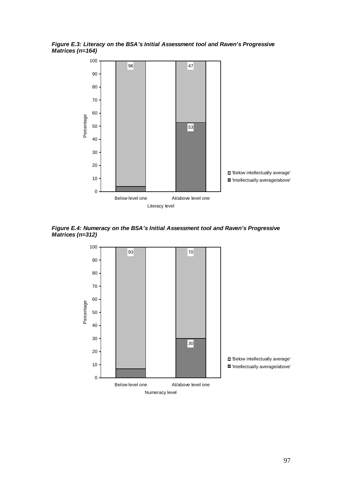*Figure E.3: Literacy on the BSA's Initial Assessment tool and Raven's Progressive Matrices (n=164)* 



*Figure E.4: Numeracy on the BSA's Initial Assessment tool and Raven's Progressive Matrices (n=312)* 

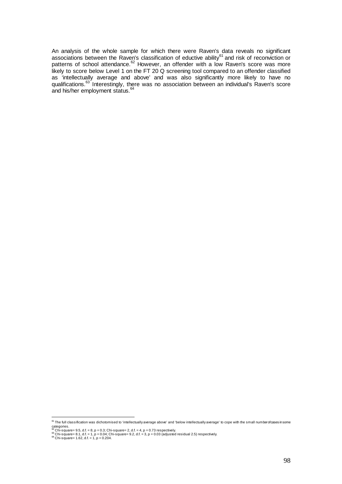An analysis of the whole sample for which there were Raven's data reveals no significant associations between the Raven's classification of eductive ability<sup>61</sup> and risk of reconviction or patterns of school attendance.<sup>62</sup> However, an offender with a low Raven's score was more likely to score below Level 1 on the FT 20 Q screening tool compared to an offender classified as 'intellectually average and above' and was also significantly more likely to have no qualifications.<sup>63</sup> Interestingly, there was no association between an individual's Raven's score and his/her employment status.<sup>64</sup>

end the full classification was dichotomised to 'intellectually average above' and 'below intellectually average' to cope with the small number of cases in some<br><sup>61</sup> The full classification was dichotomised to 'intellectua

categories.<br>≌ Chi-square= 9.5, d.f. = 8, p = 0.3; Chi-square= 2, d.f. = 4, p = 0.73 respectively.<br><sup>e3</sup> Chi-square= 8.1, d.f. = 1, p = 0.04; Chi-square= 9.2, d.f. = 3, p = 0.03 (adjusted residual 2.5) respectively.<br><sup>e4</sup> Ch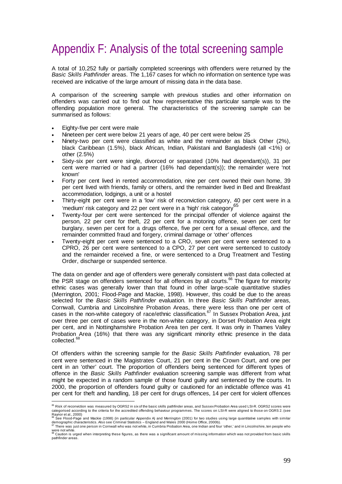# Appendix F: Analysis of the total screening sample

A total of 10,252 fully or partially completed screenings with offenders were returned by the *Basic Skills Pathfinder* areas. The 1,167 cases for which no information on sentence type was received are indicative of the large amount of missing data in the data base.

A comparison of the screening sample with previous studies and other information on offenders was carried out to find out how representative this particular sample was to the offending population more general. The characteristics of the screening sample can be summarised as follows:

- Eighty-five per cent were male
- Nineteen per cent were below 21 years of age, 40 per cent were below 25
- Ninety-two per cent were classified as white and the remainder as black Other (2%), black Caribbean (1.5%), black African, Indian, Pakistani and Bangladeshi (all <1%) or other (2.5%)
- Sixty-six per cent were single, divorced or separated (10% had dependant(s)), 31 per cent were married or had a partner (16% had dependant(s)); the remainder were 'not known'
- Forty per cent lived in rented accommodation, nine per cent owned their own home, 39 per cent lived with friends, family or others, and the remainder lived in Bed and Breakfast accommodation, lodgings, a unit or a hostel
- Thirty-eight per cent were in a 'low' risk of reconviction category, 40 per cent were in a 'medium' risk category and 22 per cent were in a 'high' risk category<sup>65</sup>
- Twenty-four per cent were sentenced for the principal offender of violence against the person, 22 per cent for theft, 22 per cent for a motoring offence, seven per cent for burglary, seven per cent for a drugs offence, five per cent for a sexual offence, and the remainder committed fraud and forgery, criminal damage or 'other' offences
- Twenty-eight per cent were sentenced to a CRO, seven per cent were sentenced to a CPRO, 26 per cent were sentenced to a CPO, 27 per cent were sentenced to custody and the remainder received a fine, or were sentenced to a Drug Treatment and Testing Order, discharge or suspended sentence.

The data on gender and age of offenders were generally consistent with past data collected at the PSR stage on offenders sentenced for all offences by all courts.<sup>66</sup> The figure for minority ethnic cases was generally lower than that found in other large-scale quantitative studies (Merrington, 2001; Flood-Page and Mackie, 1998). However, this could be due to the areas selected for the *Basic Skills Pathfinder* evaluation. In three *Basic Skills Pathfinder* areas, Cornwall, Cumbria and Lincolnshire Probation Areas, there were less than one per cent of cases in the non-white category of race/ethnic classification.<sup>67</sup> In Sussex Probation Area, just over three per cent of cases were in the non-white category, in Dorset Probation Area eight per cent, and in Nottinghamshire Probation Area ten per cent. It was only in Thames Valley Probation Area (16%) that there was any significant minority ethnic presence in the data collected.<sup>68</sup>

Of offenders within the screening sample for the *Basic Skills Pathfinder* evaluation, 78 per cent were sentenced in the Magistrates Court, 21 per cent in the Crown Court, and one per cent in an 'other' court. The proportion of offenders being sentenced for different types of offence in the *Basic Skills Pathfinder* evaluation screening sample was different from what might be expected in a random sample of those found guilty and sentenced by the courts. In 2000, the proportion of offenders found guilty or cautioned for an indictable offence was 41 per cent for theft and handling, 18 per cent for drugs offences, 14 per cent for violent offences

 $\frac{65}{100}$ Risk of reconviction was measured by OGRS2 in six of the basic skills pathfinder areas, and Sussex Probation Area used LSI-R. OGRS2 scores were categorised according to the criteria for the accredited offending behaviour programmes. The scores on LSI-R were aligned to those on OGRS 2. (see<br>Raynor et al., 2000)<br><sup>ଞ</sup> See Flood-Page and Mackie (1998) (in particular A

demographic characteristics. Also see Criminal Statistics – England and Wales 2000 (Home Office, 2000b).<br><sup>67</sup> There was just one person in Cornwall who was not white, in Cumbria Probation Area, one Indian and four 'other,'

were not white.<br><sup>68</sup> Caution is urged when interpreting these figures, as there was a significant amount of missing information which was not provided from basic skills pathfinder areas.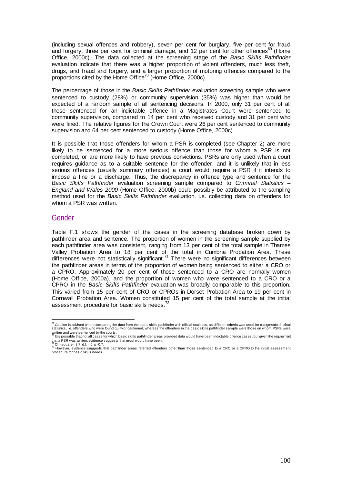(including sexual offences and robbery), seven per cent for burglary, five per cent for fraud and forgery, three per cent for criminal damage, and 12 per cent for other offences<sup>69</sup> (Home Office, 2000c). The data collected at the screening stage of the *Basic Skills Pathfinder*  evaluation indicate that there was a higher proportion of violent offenders, much less theft, drugs, and fraud and forgery, and a larger proportion of motoring offences compared to the proportions cited by the Home Office<sup>70</sup> (Home Office, 2000c).

The percentage of those in the *Basic Skills Pathfinder* evaluation screening sample who were sentenced to custody (28%) or community supervision (35%) was higher than would be expected of a random sample of all sentencing decisions. In 2000, only 31 per cent of all those sentenced for an indictable offence in a Magistrates Court were sentenced to community supervision, compared to 14 per cent who received custody and 31 per cent who were fined. The relative figures for the Crown Court were 26 per cent sentenced to community supervision and 64 per cent sentenced to custody (Home Office, 2000c).

It is possible that those offenders for whom a PSR is completed (see Chapter 2) are more likely to be sentenced for a more serious offence than those for whom a PSR is not completed, or are more likely to have previous convictions. PSRs are only used when a court requires guidance as to a suitable sentence for the offender, and it is unlikely that in less serious offences (usually summary offences) a court would require a PSR if it intends to impose a fine or a discharge. Thus, the discrepancy in offence type and sentence for the *Basic Skills Pathfinder* evaluation screening sample compared to *Criminal Statistics – England and Wales 2000* (Home Office, 2000b) could possibly be attributed to the sampling method used for the *Basic Skills Pathfinder* evaluation, i.e. collecting data on offenders for whom a PSR was written.

### Gender

Table F.1 shows the gender of the cases in the screening database broken down by pathfinder area and sentence. The proportion of women in the screening sample supplied by each pathfinder area was consistent, ranging from 13 per cent of the total sample in Thames Valley Probation Area to 18 per cent of the total in Cumbria Probation Area. These differences were not statistically significant.<sup>71</sup> There were no significant differences between the pathfinder areas in terms of the proportion of women being sentenced to either a CRO or a CPRO. Approximately 20 per cent of those sentenced to a CRO are normally women (Home Office, 2000a), and the proportion of women who were sentenced to a CRO or a CPRO in the *Basic Skills Pathfinder* evaluation was broadly comparable to this proportion. This varied from 15 per cent of CRO or CPROs in Dorset Probation Area to 19 per cent in Cornwall Probation Area. Women constituted 15 per cent of the total sample at the initial assessment procedure for basic skills needs.<sup>72</sup>

es<br><sup>69</sup> Caution is advised when comparing the data from the basic skills pathfinder with official statistics, as different criteria was used for categorisation in official statistics, i.e. offenders who were found guilty or cautioned, whereas the offenders in the basic skills pathfinder sample were those on whom PSRs were

written and were sentenced by the courts.<br><sup>70</sup> It is possible that not all cases for which basic skills pathfinder areas provided data would have been indictable offence cases, but given the requirement that a PSR was written, evidence suggests that most would have been.<br>  $\frac{m}{l}$  Chi-square= 3.7, d.f. = 6, p=0.7.

Chi-square= 3.7, d.f. = 6, p=0.7.<br><sup>72</sup> However, evidence suggests that pathfinder areas referred offenders other than those sentenced to a CRO or a CPRO to the initial assessment procedure for basic skills needs.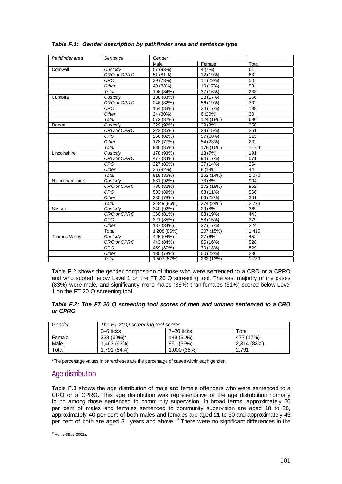| Pathfinder area      | Sentence    | Gender      |           |       |
|----------------------|-------------|-------------|-----------|-------|
|                      |             | Male        | Female    | Total |
| Cornwall             | Custody     | 57 (93%)    | 4(7%)     | 61    |
|                      | CRO or CPRO | 51 (81%)    | 12 (19%)  | 63    |
|                      | CPO         | 39 (78%)    | 11 (22%)  | 50    |
|                      | Other       | 49 (83%)    | 10 (17%)  | 59    |
|                      | Total       | 196 (84%)   | 37 (16%)  | 233   |
| Cumbria              | Custody     | 138 (83%)   | 28 (17%)  | 166   |
|                      | CRO or CPRO | 246 (82%)   | 56 (19%)  | 302   |
|                      | CPO         | 164 (83%)   | 34 (17%)  | 198   |
|                      | Other       | 24 (80%)    | 6(20%)    | 30    |
|                      | Total       | 572 (82%)   | 124 (18%) | 696   |
| Dorset               | Custody     | 329 (92%)   | 29 (8%)   | 358   |
|                      | CRO or CPRO | 223 (85%)   | 38 (15%)  | 261   |
|                      | CPO         | 256 (82%)   | 57 (18%)  | 313   |
|                      | Other       | 178 (77%)   | 54 (23%)  | 232   |
|                      | Total       | 986 (85%)   | 178 (15%) | 1,164 |
| Lincolnshire         | Custody     | 178 (93%)   | 13 (7%)   | 191   |
|                      | CRO or CPRO | 477 (84%)   | 94 (17%)  | 571   |
|                      | CPO         | 227 (86%)   | 37 (14%)  | 264   |
|                      | Other       | 36 (82%)    | 8 (18%)   | 44    |
|                      | Total       | 918 (86%)   | 152 (14%) | 1.070 |
| Nottinghamshire      | Custody     | 831 (92%)   | 73 (8%)   | 904   |
|                      | CRO or CPRO | 780 (82%)   | 172 (18%) | 952   |
|                      | CPO         | 503 (89%)   | 63 (11%)  | 566   |
|                      | Other       | 235 (78%)   | 66 (22%)  | 301   |
|                      | Total       | 2,349 (86%) | 374 (24%) | 2.723 |
| <b>Sussex</b>        | Custody     | 340 (92%)   | 29 (8%)   | 369   |
|                      | CRO or CPRO | 360 (81%)   | 83 (19%)  | 443   |
|                      | CPO         | 321 (85%)   | 58 (15%)  | 379   |
|                      | Other       | 187 (84%)   | 37 (17%)  | 224   |
|                      | Total       | 1,208 (86%) | 207 (15%) | 1,415 |
| <b>Thames Valley</b> | Custody     | 425 (94%)   | 27 (6%)   | 452   |
|                      | CRO or CPRO | 443 (84%)   | 85 (16%)  | 528   |
|                      | CPO         | 459 (87%)   | 70 (13%)  | 529   |
|                      | Other       | 180 (78%)   | 50 (22%)  | 230   |
|                      | Total       | 1,507 (87%) | 232 (13%) | 1,739 |

## *Table F.1: Gender description by pathfinder area and sentence type*

Table F.2 shows the gender composition of those who were sentenced to a CRO or a CPRO and who scored below Level 1 on the FT 20 Q screening tool. The vast majority of the cases (83%) were male, and significantly more males (36%) than females (31%) scored below Level 1 on the FT 20 Q screening tool.

#### *Table F.2: The FT 20 Q screening tool scores of men and women sentenced to a CRO or CPRO*

| Gender                 | The FT 20 Q screening tool scores |              |             |  |
|------------------------|-----------------------------------|--------------|-------------|--|
|                        | 0–6 ticks                         | $7-20$ ticks | ⊤otal       |  |
| Female                 | 328 (69%)*                        | 149 (31%)    | 477 (17%)   |  |
| Male                   | 1.463 (63%)                       | 851 (36%)    | 2.314 (83%) |  |
| $\tau$ <sub>otal</sub> | 1.791 (64%)                       | 1.000(36%)   | 2.791       |  |

\*The percentage values in parentheses are the percentage of cases within each gender.

## Age distribution

Table F.3 shows the age distribution of male and female offenders who were sentenced to a CRO or a CPRO. This age distribution was representative of the age distribution normally found among those sentenced to community supervision. In broad terms, approximately 20 per cent of males and females sentenced to community supervision are aged 18 to 20, approximately 40 per cent of both males and females are aged 21 to 30 and approximately 45 per cent of both are aged 31 years and above.<sup>73</sup> There were no significant differences in the

 $^{73}$  Home Office, 2002a.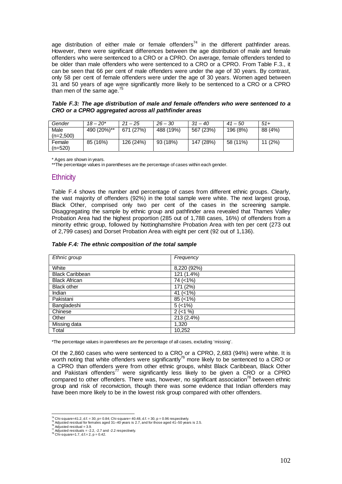age distribution of either male or female offenders<sup>74</sup> in the different pathfinder areas. However, there were significant differences between the age distribution of male and female offenders who were sentenced to a CRO or a CPRO. On average, female offenders tended to be older than male offenders who were sentenced to a CRO or a CPRO. From Table F.3., it can be seen that 66 per cent of male offenders were under the age of 30 years. By contrast, only 58 per cent of female offenders were under the age of 30 years. Women aged between 31 and 50 years of age were significantly more likely to be sentenced to a CRO or a CPRO than men of the same age. $75$ 

*Table F.3: The age distribution of male and female offenders who were sentenced to a CRO or a CPRO aggregated across all pathfinder areas*

| Gender      | $18 - 20*$  | $21 - 25$ | $26 - 30$ | $.31 - 40$ | $41 - 50$ | $51+$   |
|-------------|-------------|-----------|-----------|------------|-----------|---------|
| Male        | 490 (20%)** | 671 (27%) | 488 (19%) | 567 (23%)  | 196 (8%)  | 88 (4%) |
| $(n=2.500)$ |             |           |           |            |           |         |
| Female      | 85 (16%)    | 126 (24%) | 93 (18%)  | 147 (28%)  | 58 (11%)  | 11(2%)  |
| $(n=520)$   |             |           |           |            |           |         |

\* Ages are shown in years.

\*\*The percentage values in parentheses are the percentage of cases within each gender.

#### **Ethnicity**

Table F.4 shows the number and percentage of cases from different ethnic groups. Clearly, the vast majority of offenders (92%) in the total sample were white. The next largest group, Black Other, comprised only two per cent of the cases in the screening sample. Disaggregating the sample by ethnic group and pathfinder area revealed that Thames Valley Probation Area had the highest proportion (285 out of 1,788 cases, 16%) of offenders from a minority ethnic group, followed by Nottinghamshire Probation Area with ten per cent (273 out of 2,799 cases) and Dorset Probation Area with eight per cent (92 out of 1,136).

| Ethnic group           | Frequency    |
|------------------------|--------------|
| White                  | 8,220 (92%)  |
| <b>Black Caribbean</b> | $121(1.4\%)$ |
| <b>Black African</b>   | 74 (<1%)     |
| <b>Black other</b>     | 171 (2%)     |
| Indian                 | 41 $(< 1\%)$ |
| Pakistani              | $85 (< 1\%)$ |
| Bangladeshi            | 5(<1%)       |
| Chinese                | $2$ (<1 %)   |
| Other                  | 213 (2.4%)   |
| Missing data           | 1,320        |
| Total                  | 10,252       |

*Table F.4: The ethnic composition of the total sample*

\*The percentage values in parentheses are the percentage of all cases, excluding 'missing'.

Of the 2,860 cases who were sentenced to a CRO or a CPRO, 2,683 (94%) were white. It is worth noting that white offenders were significantly<sup>76</sup> more likely to be sentenced to a CRO or a CPRO than offenders were from other ethnic groups, whilst Black Caribbean, Black Other and Pakistani offenders<sup>77</sup> were significantly less likely to be given a CRO or a CPRO compared to other offenders. There was, however, no significant association<sup>78</sup> between ethnic group and risk of reconviction, though there was some evidence that Indian offenders may have been more likely to be in the lowest risk group compared with other offenders.

<sup>&</sup>lt;sup>74</sup> Chi-square=41.2, d.f. = 30, p= 0.84; Chi-square= 40.48, d.f. = 30, p = 0.96 respectively.

To Adjusted residual for females aged 31-40 years is 2.7, and for those aged 41-50 years is 2.5.<br>To Adjusted residual for females aged 31-40 years is 2.7, and for those aged 41-50 years is 2.5.<br>The Adjusted residual = 3.9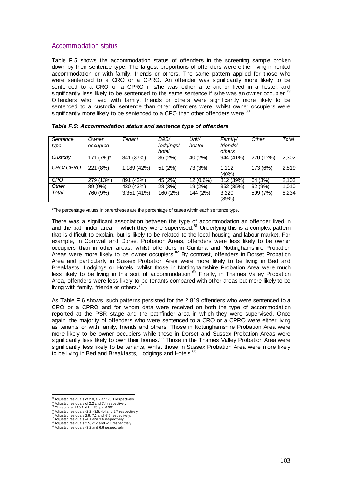## Accommodation status

Table F.5 shows the accommodation status of offenders in the screening sample broken down by their sentence type. The largest proportions of offenders were either living in rented accommodation or with family, friends or others. The same pattern applied for those who were sentenced to a CRO or a CPRO. An offender was significantly more likely to be sentenced to a CRO or a CPRO if s/he was either a tenant or lived in a hostel, and significantly less likely to be sentenced to the same sentence if s/he was an owner occupier.<sup>79</sup> Offenders who lived with family, friends or others were significantly more likely to be sentenced to a custodial sentence than other offenders were, whilst owner occupiers were significantly more likely to be sentenced to a CPO than other offenders were.<sup>80</sup>

| Sentence   | Owner     | Tenant       | <b>B&amp;B/</b> | Unit/     | Family/        | Other     | Total |
|------------|-----------|--------------|-----------------|-----------|----------------|-----------|-------|
| type       | occupied  |              | lodgings/       | hostel    | friends/       |           |       |
|            |           |              | hotel           |           | others         |           |       |
| Custody    | 171 (7%)* | 841 (37%)    | 36 (2%)         | 40 (2%)   | 944 (41%)      | 270 (12%) | 2,302 |
| CRO/ CPRO  | 221 (8%)  | 1,189 (42%)  | 51 (2%)         | 73 (3%)   | 1.112<br>(40%) | 173 (6%)  | 2,819 |
| <b>CPO</b> | 279 (13%) | (42%)<br>891 | 45 (2%)         | 12 (0.6%) | 812 (39%)      | 64 (3%)   | 2,103 |
| Other      | 89 (9%)   | 430 (43%)    | 28 (3%)         | 19 (2%)   | 352 (35%)      | 92 (9%)   | 1,010 |
| Total      | 760 (9%)  | 3,351 (41%)  | 160 (2%)        | 144 (2%)  | 3,220          | 599 (7%)  | 8,234 |
|            |           |              |                 |           | (39%)          |           |       |

| Table F.5: Accommodation status and sentence type of offenders |  |  |  |
|----------------------------------------------------------------|--|--|--|
|----------------------------------------------------------------|--|--|--|

\*The percentage values in parentheses are the percentage of cases within each sentence type.

There was a significant association between the type of accommodation an offender lived in and the pathfinder area in which they were supervised.<sup>81</sup> Underlying this is a complex pattern that is difficult to explain, but is likely to be related to the local housing and labour market. For example, in Cornwall and Dorset Probation Areas, offenders were less likely to be owner occupiers than in other areas, whilst offenders in Cumbria and Nottinghamshire Probation Areas were more likely to be owner occupiers.<sup>82</sup> By contrast, offenders in Dorset Probation Area and particularly in Sussex Probation Area were more likely to be living in Bed and Breakfasts, Lodgings or Hotels, whilst those in Nottinghamshire Probation Area were much less likely to be living in this sort of accommodation.<sup>83</sup> Finally, in Thames Valley Probation Area, offenders were less likely to be tenants compared with other areas but more likely to be living with family, friends or others.<sup>84</sup>

As Table F.6 shows, such patterns persisted for the 2,819 offenders who were sentenced to a CRO or a CPRO and for whom data were received on both the type of accommodation reported at the PSR stage and the pathfinder area in which they were supervised. Once again, the majority of offenders who were sentenced to a CRO or a CPRO were either living as tenants or with family, friends and others. Those in Nottinghamshire Probation Area were more likely to be owner occupiers while those in Dorset and Sussex Probation Areas were significantly less likely to own their homes.<sup>85</sup> Those in the Thames Valley Probation Area were significantly less likely to be tenants, whilst those in Sussex Probation Area were more likely to be living in Bed and Breakfasts, Lodgings and Hotels.<sup>8</sup>

<sup>&</sup>lt;sup>79</sup> Adjusted residuals of 2.0, 4.2 and -3.1 respectively.

Majusted residuals of 2.2 and 7.4 amo -5.1 respectively.<br>
80 Adjusted residuals of 2.2 and 7.4 respectively.<br>
81 Chi-square=210.1, d.f. = 30, p < 0.001.<br>
82 Adjusted residuals -2.2, -3.5, 4.4 and 2.7 respectively.<br>
83 Adj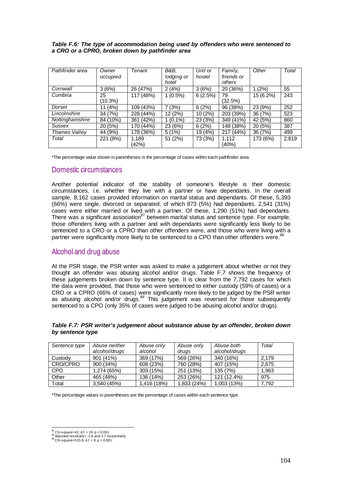| Table F.6: The type of accommodation being used by offenders who were sentenced to |
|------------------------------------------------------------------------------------|
| a CRO or a CPRO, broken down by pathfinder area                                    |

| Pathfinder area      | Owner<br>occupied | Tenant         | B&B.<br>lodging or<br>hotel | Unit or<br>hostel | Family,<br>friends or<br>others | Other     | Total |
|----------------------|-------------------|----------------|-----------------------------|-------------------|---------------------------------|-----------|-------|
| Cornwall             | 3(6%)             | 26 (47%)       | 2(4%)                       | 3(6%)             | 20 (36%)                        | 1(2%)     | 55    |
| Cumbria              | 25<br>(10.3%)     | 117 (48%)      | $1(0.5\%)$                  | 6(2.5%)           | 79<br>(32.5%)                   | 15 (6.2%) | 243   |
| Dorset               | (4%)<br>11        | 109 (43%)      | 7 (3%)                      | 6(2%)             | $\overline{96}$ (38%)           | 23 (9%)   | 252   |
| Lincolnshire         | 34 (7%)           | 228 (44%)      | 12 (2%)                     | 10(2%)            | 203 (39%)                       | 36 (7%)   | 523   |
| Nottinghamshire      | 84 (10%)          | 361 (42%)      | $1(0.1\%)$                  | 23 (3%)           | 349 (41%)                       | 42 (5%)   | 860   |
| Sussex               | 20 (5%)           | 170 (44%)      | 23 (6%)                     | 6(2%)             | 148 (38%)                       | 20(5%)    | 387   |
| <b>Thames Valley</b> | 44 (9%)           | 178 (36%)      | 5(1%)                       | 19 (4%)           | 217 (44%)                       | 36(7%)    | 499   |
| Total                | 221 (8%)          | 1.189<br>(42%) | 51 (2%)                     | 73 (3%)           | 1.112<br>(40%)                  | 173 (6%)  | 2,819 |

\*The percentage value shown in parentheses is the percentage of cases within each pathfinder area.

### Domestic circumstances

Another potential indicator of the stability of someone's lifestyle is their domestic circumstances, i.e. whether they live with a partner or have dependants. In the overall sample, 8,162 cases provided information on marital status and dependants. Of these, 5,393 (66%) were single, divorced or separated, of which 873 (5%) had dependants. 2,541 (31%) cases were either married or lived with a partner. Of these, 1,290 (51%) had dependants. There was a significant association  $87$  between marital status and sentence type. For example, those offenders living with a partner and with dependants were significantly less likely to be sentenced to a CRO or a CPRO than other offenders were, and those who were living with a partner were significantly more likely to be sentenced to a CPO than other offenders were.<sup>88</sup>

## Alcohol and drug abuse

At the PSR stage, the PSR writer was asked to make a judgement about whether or not they thought an offender was abusing alcohol and/or drugs. Table F.7 shows the frequency of these judgements broken down by sentence type. It is clear from the 7,792 cases for which the data were provided, that those who were sentenced to either custody (59% of cases) or a CRO or a CPRO (66% of cases) were significantly more likely to be judged by the PSR writer as abusing alcohol and/or drugs.<sup>89</sup> This judgement was reversed for those subsequently sentenced to a CPO (only 35% of cases were judged to be abusing alcohol and/or drugs).

| Sentence type | Abuse neither | Abuse only  | Abuse only  | Abuse both    | Total |
|---------------|---------------|-------------|-------------|---------------|-------|
|               | alcohol/drugs | alcohol     | drugs       | alcohol/drugs |       |
| Custody       | $901(41\%)$   | 369 (17%)   | 569 (26%)   | 340 (16%)     | 2.179 |
| CRO/CPRO      | 900 (34%)     | 608 (23%)   | 760 (28%)   | 407 (15%)     | 2.675 |
| <b>CPO</b>    | 1,274 (65%)   | 303 (15%)   | 251 (13%)   | 135 (7%)      | 1.963 |
| Other         | 465 (48%)     | 136 (14%)   | 253 (26%)   | 121 (12.4%)   | 975   |
| Total         | 3,540 (45%)   | 1,416 (18%) | 1,833 (24%) | 1,003 (13%)   | 7.792 |

*Table F.7: PSR writer's judgement about substance abuse by an offender, broken down by sentence type*

\*The percentage values in parentheses are the percentage of cases within each sentence type.

 $^{87}$  Chi-square=42, d.f. = 18, p < 0.001.

<sup>88</sup> Adjusted residuals= -2.6 and 3.7 respectively.<br>  $^{88}$  Adjusted residuals= -2.6 and 3.7 respectively.<br>  $^{89}$  Chi-square=515.8, d.f. = 9, p < 0.001.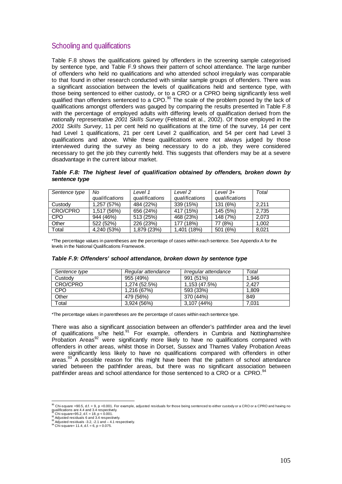## Schooling and qualifications

Table F.8 shows the qualifications gained by offenders in the screening sample categorised by sentence type, and Table F.9 shows their pattern of school attendance. The large number of offenders who held no qualifications and who attended school irregularly was comparable to that found in other research conducted with similar sample groups of offenders. There was a significant association between the levels of qualifications held and sentence type, with those being sentenced to either custody, or to a CRO or a CPRO being significantly less well qualified than offenders sentenced to a CPO.<sup>90</sup> The scale of the problem posed by the lack of qualifications amongst offenders was gauged by comparing the results presented in Table F.8 with the percentage of employed adults with differing levels of qualification derived from the nationally representative *2001 Skills Survey* (Felstead et al., 2002). Of those employed in the *2001 Skills Survey*, 11 per cent held no qualifications at the time of the survey, 14 per cent had Level 1 qualifications, 21 per cent Level 2 qualification, and 54 per cent had Level 3 qualifications and above. While these qualifications were not always judged by those interviewed during the survey as being necessary to do a job, they were considered necessary to get the job they currently held. This suggests that offenders may be at a severe disadvantage in the current labour market.

*Table F.8: The highest level of qualification obtained by offenders, broken down by sentence type* 

| Sentence type | No             | Level 1        | Level 2        | Level $3+$     | Total |
|---------------|----------------|----------------|----------------|----------------|-------|
|               | qualifications | qualifications | qualifications | qualifications |       |
| Custody       | 1.257(57%)     | 484 (22%)      | 339 (15%)      | 131 (6%)       | 2.211 |
| CRO/CPRO      | 1,517 (56%)    | 656 (24%)      | 417 (15%)      | 145 (5%)       | 2.735 |
| <b>CPO</b>    | 944 (46%)      | 513 (25%)      | 468 (23%)      | 148 (7%)       | 2.073 |
| Other         | 522 (52%)      | 226 (23%)      | 177 (18%)      | 77 (8%)        | 1.002 |
| Total         | 4,240 (53%)    | 1,879 (23%)    | 1,401 (18%)    | 501 (6%)       | 8.021 |

\*The percentage values in parentheses are the percentage of cases within each sentence. See Appendix A for the levels in the National Qualifications Framework.

| Sentence type | Regular attendance | Irregular attendance | Total |
|---------------|--------------------|----------------------|-------|
| Custody       | 955 (49%)          | 991 (51%)            | 1.946 |
| CRO/CPRO      | 1.274 (52.5%)      | 1.153(47.5%)         | 2.427 |
| <b>CPO</b>    | 1.216 (67%)        | 593 (33%)            | 1.809 |
| Other         | 479 (56%)          | 370 (44%)            | 849   |
| Total         | 3,924 (56%)        | 3,107 (44%)          | 7.031 |

#### *Table F.9: Offenders' school attendance, broken down by sentence type*

\*The percentage values in parentheses are the percentage of cases within each sentence type.

There was also a significant association between an offender's pathfinder area and the level of qualifications s/he held.<sup>91</sup> For example, offenders in Cumbria and Nottinghamshire Probation Areas<sup>92</sup> were significantly more likely to have no qualifications compared with offenders in other areas, whilst those in Dorset, Sussex and Thames Valley Probation Areas were significantly less likely to have no qualifications compared with offenders in other areas. $93$  A possible reason for this might have been that the pattern of school attendance varied between the pathfinder areas, but there was no significant association between pathfinder areas and school attendance for those sentenced to a CRO or a CPRO.<sup>94</sup>

<sup>&</sup>lt;sup>90</sup> Chi-square =90.5, d.f. = 9, p <0.001. For example, adjusted residuals for those being sentenced to either custody or a CRO or a CPRO and having no<br><sup>91</sup> Chi-square=95.2, d.f. = 18, p < 0.001.<br><sup>92</sup> Chi-square=95.2, d.f.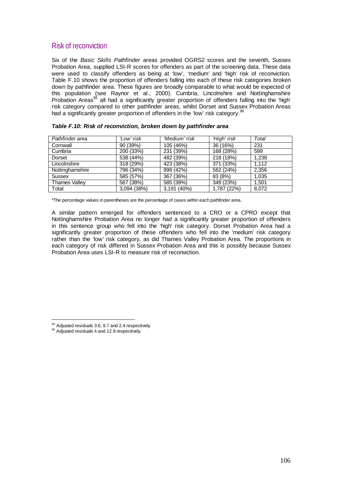## Risk of reconviction

Six of the *Basic Skills Pathfinder* areas provided OGRS2 scores and the seventh, Sussex Probation Area, supplied LSI-R scores for offenders as part of the screening data. These data were used to classify offenders as being at 'low', 'medium' and 'high' risk of reconviction. Table F.10 shows the proportion of offenders falling into each of these risk categories broken down by pathfinder area. These figures are broadly comparable to what would be expected of this population (see Raynor et al., 2000). Cumbria, Lincolnshire and Nottinghamshire Probation Areas<sup>95</sup> all had a significantly greater proportion of offenders falling into the 'high' risk category compared to other pathfinder areas, whilst Dorset and Sussex Probation Areas had a significantly greater proportion of offenders in the 'low' risk category.<sup>96</sup>

| Pathfinder area      | 'Low' risk  | 'Medium' risk | 'High' risk | Total |
|----------------------|-------------|---------------|-------------|-------|
| Cornwall             | 90 (39%)    | 105 (46%)     | 36 (16%)    | 231   |
| Cumbria              | 200 (33%)   | 231 (39%)     | 168 (28%)   | 599   |
| Dorset               | 538 (44%)   | 482 (39%)     | 218 (18%)   | 1,238 |
| Lincolnshire         | 318 (29%)   | 423 (38%)     | 371 (33%)   | 1,112 |
| Nottinghamshire      | 796 (34%)   | 998 (42%)     | 562 (24%)   | 2,356 |
| Sussex               | 585 (57%)   | 367 (36%)     | 83 (8%)     | 1,035 |
| <b>Thames Valley</b> | 567 (38%)   | 585 (39%)     | 349 (23%)   | 1,501 |
| Total                | 3,094 (38%) | 3,191 (40%)   | 1,787 (22%) | 8,072 |

| Table F.10: Risk of reconviction, broken down by pathfinder area |  |  |  |  |
|------------------------------------------------------------------|--|--|--|--|
|------------------------------------------------------------------|--|--|--|--|

\*The percentage values in parentheses are the percentage of cases within each pathfinder area.

A similar pattern emerged for offenders sentenced to a CRO or a CPRO except that Nottinghamshire Probation Area no longer had a significantly greater proportion of offenders in this sentence group who fell into the 'high' risk category. Dorset Probation Area had a significantly greater proportion of these offenders who fell into the 'medium' risk category rather than the 'low' risk category, as did Thames Valley Probation Area. The proportions in each category of risk differed in Sussex Probation Area and this is possibly because Sussex Probation Area uses LSI-R to measure risk of reconviction.

95 Adjusted residuals 3.6, 9.7 and 2.4 respectively. 96 Adjusted residuals 4 and 12.9 respectively.

<sup>95</sup> Adjusted residuals 3.6, 9.7 and 2.4 respectively.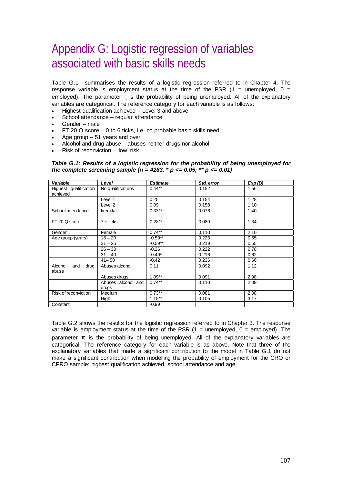# Appendix G: Logistic regression of variables associated with basic skills needs

Table G.1 summarises the results of a logistic regression referred to in Chapter 4. The response variable is employment status at the time of the PSR  $(1 =$  unemployed,  $0 =$ employed). The parameter is the probability of being unemployed. All of the explanatory variables are categorical. The reference category for each variable is as follows:

- Highest qualification achieved Level 3 and above
- School attendance regular attendance
- Gender male
- $FT$  20 Q score 0 to 6 ticks, i.e. no probable basic skills need
- Age group  $-51$  years and over
- Alcohol and drug abuse abuses neither drugs nor alcohol
- Risk of reconviction 'low' risk.

*Table G.1: Results of a logistic regression for the probability of being unemployed for the complete screening sample (n = 4283, \* p <= 0.05; \*\* p <= 0.01)* 

| Variable                          | Level                       | <b>Estimate</b> | Std. error | Exp(B) |
|-----------------------------------|-----------------------------|-----------------|------------|--------|
| Highest qualification<br>achieved | No qualifications           | $0.44**$        | 0.152      | 1.56   |
|                                   | Level 1                     | 0.25            | 0.154      | 1.28   |
|                                   | Level 2                     | 0.09            | 0.158      | 1.10   |
| School attendance                 | <b>Irregular</b>            | $0.33**$        | 0.076      | 1.40   |
| FT 20 Q score                     | $7 +$ ticks                 | $0.28**$        | 0.080      | 1.34   |
| Gender                            | Female                      | $0.74**$        | 0.110      | 2.10   |
| Age group (years)                 | $18 - 20$                   | $-0.59**$       | 0.223      | 0.55   |
|                                   | $21 - 25$                   | $-0.59**$       | 0.219      | 0.55   |
|                                   | $26 - 30$                   | $-0.26$         | 0.222      | 0.78   |
|                                   | $31 - 40$                   | $-0.49*$        | 0.216      | 0.62   |
|                                   | $41 - 50$                   | $-0.42$         | 0.236      | 0.66   |
| Alcohol<br>drug<br>and<br>abuse   | Abuses alcohol              | 0.11            | 0.092      | 1.12   |
|                                   | Abuses drugs                | $1.09**$        | 0.091      | 2.98   |
|                                   | Abuses alcohol and<br>drugs | $0.74***$       | 0.110      | 2.09   |
| Risk of reconviction              | Medium                      | $0.73***$       | 0.081      | 2.08   |
|                                   | High                        | $1.15***$       | 0.105      | 3.17   |
| Constant                          |                             | $-0.99$         |            |        |

Table G.2 shows the results for the logistic regression referred to in Chapter 3. The response variable is employment status at the time of the PSR  $(1 =$  unemployed,  $0 =$  employed). The parameter  $\pi$  is the probability of being unemployed. All of the explanatory variables are categorical. The reference category for each variable is as above. Note that three of the explanatory variables that made a significant contribution to the model in Table G.1 do not make a significant contribution when modelling the probability of employment for the CRO or CPRO sample: highest qualification achieved, school attendance and age.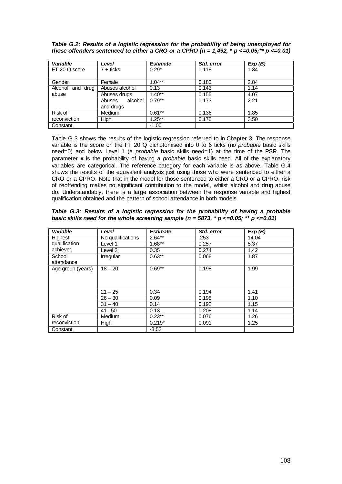*Table G.2: Results of a logistic regression for the probability of being unemployed for those offenders sentenced to either a CRO or a CPRO (n = 1,492, \* p <=0.05;\*\* p <=0.01)* 

| Variable         | Level             | <b>Estimate</b> | Std. error | Exp(B) |
|------------------|-------------------|-----------------|------------|--------|
| FT 20 Q score    | $7 +$ ticks       | $0.29*$         | 0.118      | 1.34   |
|                  |                   |                 |            |        |
| Gender           | Female            | $1.04**$        | 0.183      | 2.84   |
| Alcohol and drug | Abuses alcohol    | 0.13            | 0.143      | 1.14   |
| abuse            | Abuses drugs      | $1.40**$        | 0.155      | 4.07   |
|                  | alcohol<br>Abuses | $0.79**$        | 0.173      | 2.21   |
|                  | and drugs         |                 |            |        |
| Risk of          | Medium            | $0.61**$        | 0.136      | 1.85   |
| reconviction     | High              | $1.25***$       | 0.175      | 3.50   |
| Constant         |                   | $-1.00$         |            |        |

Table G.3 shows the results of the logistic regression referred to in Chapter 3. The response variable is the score on the FT 20 Q dichotomised into 0 to 6 ticks (no *probable* basic skills need=0) and below Level 1 (a *probable* basic skills need=1) at the time of the PSR. The parameter π is the probability of having a *probable* basic skills need. All of the explanatory variables are categorical. The reference category for each variable is as above. Table G.4 shows the results of the equivalent analysis just using those who were sentenced to either a CRO or a CPRO. Note that in the model for those sentenced to either a CRO or a CPRO, risk of reoffending makes no significant contribution to the model, whilst alcohol and drug abuse do. Understandably, there is a large association between the response variable and highest qualification obtained and the pattern of school attendance in both models.

| Table G.3: Results of a logistic regression for the probability of having a probable               |  |  |  |  |  |  |
|----------------------------------------------------------------------------------------------------|--|--|--|--|--|--|
| basic skills need for the whole screening sample ( $n = 5873$ , $* p \le 0.05$ ; $** p \le 0.01$ ) |  |  |  |  |  |  |

| Variable             | Level             | <b>Estimate</b> | Std. error | Exp(B) |
|----------------------|-------------------|-----------------|------------|--------|
| Highest              | No qualifications | $2.64**$        | .253       | 14.04  |
| qualification        | Level 1           | $1.68***$       | 0.257      | 5.37   |
| achieved             | Level 2           | 0.35            | 0.274      | 1.42   |
| School<br>attendance | Irregular         | $0.63***$       | 0.068      | 1.87   |
| Age group (years)    | $18 - 20$         | $0.69**$        | 0.198      | 1.99   |
|                      | $21 - 25$         | 0.34            | 0.194      | 1.41   |
|                      | $26 - 30$         | 0.09            | 0.198      | 1.10   |
|                      | $31 - 40$         | 0.14            | 0.192      | 1.15   |
|                      | $41 - 50$         | 0.13            | 0.208      | 1.14   |
| Risk of              | Medium            | $0.23**$        | 0.076      | 1.26   |
| reconviction         | High              | $0.219*$        | 0.091      | 1.25   |
| Constant             |                   | $-3.52$         |            |        |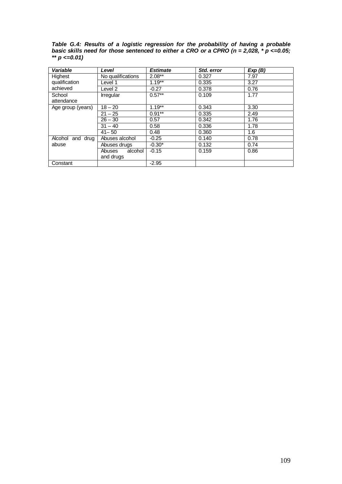*Table G.4: Results of a logistic regression for the probability of having a probable basic skills need for those sentenced to either a CRO or a CPRO (n = 2,028, \* p <=0.05; \*\* p <=0.01)* 

| Variable          | Level             | <b>Estimate</b> | Std. error | Exp(B) |
|-------------------|-------------------|-----------------|------------|--------|
| Highest           | No qualifications | $2.08**$        | 0.327      | 7.97   |
| qualification     | Level 1           | $1.19**$        | 0.335      | 3.27   |
| achieved          | Level 2           | $-0.27$         | 0.378      | 0.76   |
| School            | <b>Irregular</b>  | $0.57**$        | 0.109      | 1.77   |
| attendance        |                   |                 |            |        |
| Age group (years) | $18 - 20$         | $1.19***$       | 0.343      | 3.30   |
|                   | $21 - 25$         | $0.91**$        | 0.335      | 2.49   |
|                   | $26 - 30$         | 0.57            | 0.342      | 1.76   |
|                   | $31 - 40$         | 0.58            | 0.336      | 1.78   |
|                   | $41 - 50$         | 0.48            | 0.360      | 1.6    |
| Alcohol and drug  | Abuses alcohol    | $-0.25$         | 0.140      | 0.78   |
| abuse             | Abuses drugs      | $-0.30*$        | 0.132      | 0.74   |
|                   | alcohol<br>Abuses | $-0.15$         | 0.159      | 0.86   |
|                   | and drugs         |                 |            |        |
| Constant          |                   | $-2.95$         |            |        |